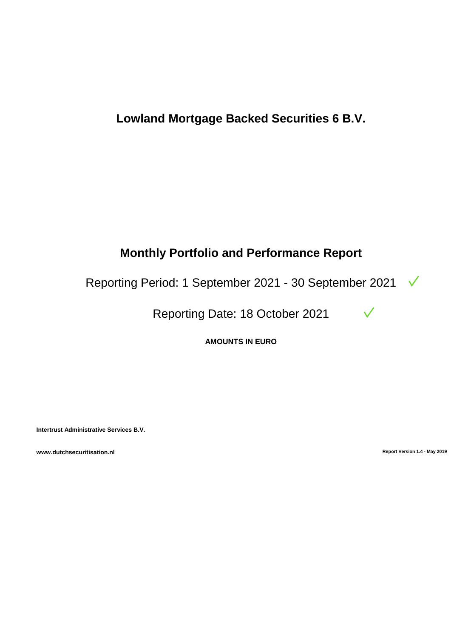# **Lowland Mortgage Backed Securities 6 B.V.**

# **Monthly Portfolio and Performance Report**

Reporting Period: 1 September 2021 - 30 September 2021

Reporting Date: 18 October 2021

**AMOUNTS IN EURO**

**Intertrust Administrative Services B.V.**

**www.dutchsecuritisation.nl Report Version 1.4 - May 2019** 

 $\checkmark$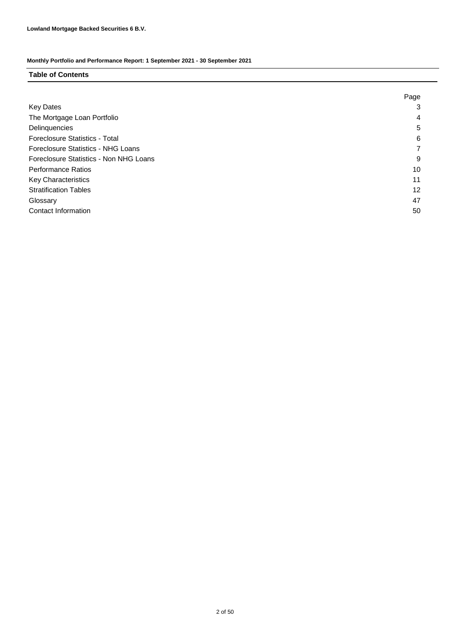# **Table of Contents**

|                                        | Page |
|----------------------------------------|------|
| <b>Key Dates</b>                       | 3    |
| The Mortgage Loan Portfolio            | 4    |
| Delinquencies                          | 5    |
| Foreclosure Statistics - Total         | 6    |
| Foreclosure Statistics - NHG Loans     |      |
| Foreclosure Statistics - Non NHG Loans | 9    |
| <b>Performance Ratios</b>              | 10   |
| <b>Key Characteristics</b>             | 11   |
| <b>Stratification Tables</b>           | 12   |
| Glossary                               | 47   |
| Contact Information                    | 50   |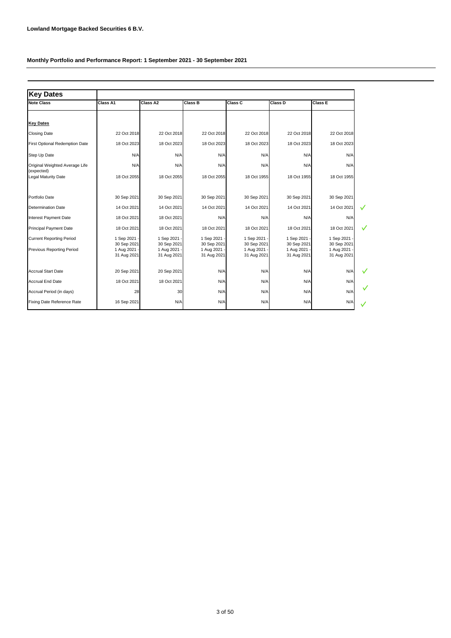| <b>Key Dates</b>                             |                             |                           |                           |                             |                           |                           |
|----------------------------------------------|-----------------------------|---------------------------|---------------------------|-----------------------------|---------------------------|---------------------------|
| <b>Note Class</b>                            | Class A1                    | Class A2                  | Class B                   | Class C                     | Class D                   | Class E                   |
|                                              |                             |                           |                           |                             |                           |                           |
| <b>Key Dates</b>                             |                             |                           |                           |                             |                           |                           |
| <b>Closing Date</b>                          | 22 Oct 2018                 | 22 Oct 2018               | 22 Oct 2018               | 22 Oct 2018                 | 22 Oct 2018               | 22 Oct 2018               |
| First Optional Redemption Date               | 18 Oct 2023                 | 18 Oct 2023               | 18 Oct 2023               | 18 Oct 2023                 | 18 Oct 2023               | 18 Oct 2023               |
| Step Up Date                                 | N/A                         | N/A                       | N/A                       | N/A                         | N/A                       | N/A                       |
| Original Weighted Average Life<br>(expected) | N/A                         | N/A                       | N/A                       | N/A                         | N/A                       | N/A                       |
| <b>Legal Maturity Date</b>                   | 18 Oct 2055                 | 18 Oct 2055               | 18 Oct 2055               | 18 Oct 1955                 | 18 Oct 1955               | 18 Oct 1955               |
| Portfolio Date                               | 30 Sep 2021                 | 30 Sep 2021               | 30 Sep 2021               | 30 Sep 2021                 | 30 Sep 2021               | 30 Sep 2021               |
| <b>Determination Date</b>                    | 14 Oct 2021                 | 14 Oct 2021               | 14 Oct 2021               | 14 Oct 2021                 | 14 Oct 2021               | 14 Oct 2021               |
| <b>Interest Payment Date</b>                 | 18 Oct 2021                 | 18 Oct 2021               | N/A                       | N/A                         | N/A                       | N/A                       |
| <b>Principal Payment Date</b>                | 18 Oct 2021                 | 18 Oct 2021               | 18 Oct 2021               | 18 Oct 2021                 | 18 Oct 2021               | 18 Oct 2021               |
| <b>Current Reporting Period</b>              | 1 Sep 2021 -<br>30 Sep 2021 | 1 Sep 2021<br>30 Sep 2021 | 1 Sep 2021<br>30 Sep 2021 | 1 Sep 2021 -<br>30 Sep 2021 | 1 Sep 2021<br>30 Sep 2021 | 1 Sep 2021<br>30 Sep 2021 |
| <b>Previous Reporting Period</b>             | 1 Aug 2021<br>31 Aug 2021   | 1 Aug 2021<br>31 Aug 2021 | 1 Aug 2021<br>31 Aug 2021 | 1 Aug 2021 -<br>31 Aug 2021 | 1 Aug 2021<br>31 Aug 2021 | 1 Aug 2021<br>31 Aug 2021 |
| <b>Accrual Start Date</b>                    | 20 Sep 2021                 | 20 Sep 2021               | N/A                       | N/A                         | N/A                       | N/A                       |
| <b>Accrual End Date</b>                      | 18 Oct 2021                 | 18 Oct 2021               | N/A                       | N/A                         | N/A                       | N/A                       |
| Accrual Period (in days)                     | 28                          | 30                        | N/A                       | N/A                         | N/A                       | N/A                       |
| Fixing Date Reference Rate                   | 16 Sep 2021                 | N/A                       | N/A                       | N/A                         | N/A                       | N/A                       |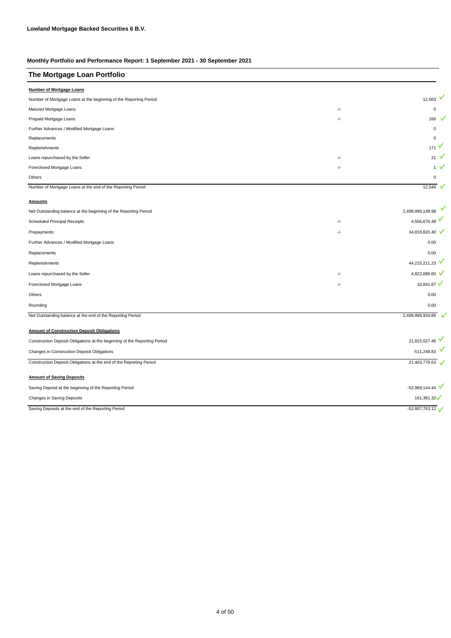| The Mortgage Loan Portfolio                                               |       |                    |
|---------------------------------------------------------------------------|-------|--------------------|
| <b>Number of Mortgage Loans</b>                                           |       |                    |
| Number of Mortgage Loans at the beginning of the Reporting Period         |       | 12,563 $V$         |
| Matured Mortgage Loans                                                    | $-/-$ | $\pmb{0}$          |
| Prepaid Mortgage Loans                                                    | $-/-$ | 166                |
| Further Advances / Modified Mortgage Loans                                |       | $\pmb{0}$          |
| Replacements                                                              |       | $\Omega$           |
| Replenishments                                                            |       | v<br>171           |
| Loans repurchased by the Seller                                           | $-/-$ | $21$ V             |
| Foreclosed Mortgage Loans                                                 | $-/-$ | 1 $\vee$           |
| Others                                                                    |       | $\Omega$           |
| Number of Mortgage Loans at the end of the Reporting Period               |       | 12,546 $\sqrt{ }$  |
| <b>Amounts</b>                                                            |       |                    |
| Net Outstanding balance at the beginning of the Reporting Period          |       | 2,499,999,148.98   |
| Scheduled Principal Receipts                                              | -/-   | 4,556,676.48       |
| Prepayments                                                               | $-/-$ | 34,818,820.40 V    |
| Further Advances / Modified Mortgage Loans                                |       | 0.00               |
| Replacements                                                              |       | 0.00               |
| Replenishments                                                            |       | 44,215,211.23 V    |
| Loans repurchased by the Seller                                           | -/-   | 4,822,086.60 V     |
| Foreclosed Mortgage Loans                                                 | -/-   | 16,841.87 V        |
| Others                                                                    |       | 0.00               |
| Rounding                                                                  |       | 0.00               |
| Net Outstanding balance at the end of the Reporting Period                |       | 2,499,999,934.86   |
| <b>Amount of Construction Deposit Obligations</b>                         |       |                    |
| Construction Deposit Obligations at the beginning of the Reporting Period |       | 21,915,027.46      |
| Changes in Construction Deposit Obligations                               |       | $-511,248.83$ V    |
| Construction Deposit Obligations at the end of the Reporting Period       |       | 21,403,778.63      |
| <b>Amount of Saving Deposits</b>                                          |       |                    |
| Saving Deposit at the beginning of the Reporting Period                   |       | $-52,969,144.44$ V |
| Changes in Saving Deposits                                                |       | 161,381.32         |
| Saving Deposits at the end of the Reporting Period                        |       | $-52,807,763.12$   |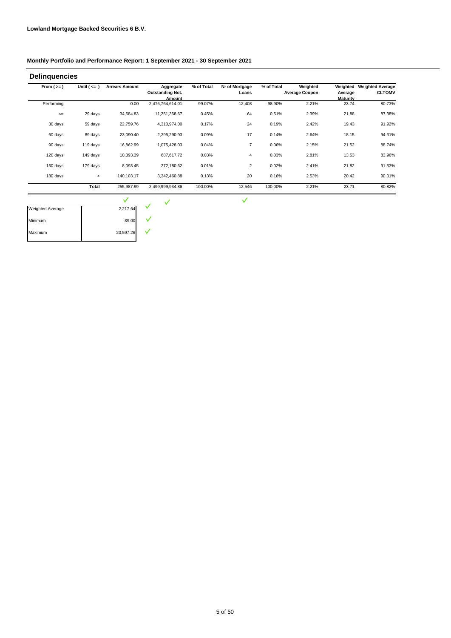| From $(>=)$ | Until $($ <= $)$ | <b>Arrears Amount</b> | Aggregate                  | % of Total | Nr of Mortgage | % of Total | Weighted              | Weighted                 | <b>Weighted Average</b> |
|-------------|------------------|-----------------------|----------------------------|------------|----------------|------------|-----------------------|--------------------------|-------------------------|
|             |                  |                       | <b>Outstanding Not.</b>    |            | Loans          |            | <b>Average Coupon</b> | Average                  | <b>CLTOMV</b>           |
| Performing  |                  | 0.00                  | Amount<br>2,476,764,614.01 | 99.07%     | 12,408         | 98.90%     | 2.21%                 | <b>Maturity</b><br>23.74 | 80.73%                  |
| $\leq$      | 29 days          | 34,684.83             | 11,251,368.67              | 0.45%      | 64             | 0.51%      | 2.39%                 | 21.88                    | 87.38%                  |
| 30 days     | 59 days          | 22,759.76             | 4,310,974.00               | 0.17%      | 24             | 0.19%      | 2.42%                 | 19.43                    | 91.92%                  |
| 60 days     | 89 days          | 23,090.40             | 2,295,290.93               | 0.09%      | 17             | 0.14%      | 2.64%                 | 18.15                    | 94.31%                  |
| 90 days     | 119 days         | 16,862.99             | 1,075,428.03               | 0.04%      | $\overline{7}$ | 0.06%      | 2.15%                 | 21.52                    | 88.74%                  |
| 120 days    | 149 days         | 10,393.39             | 687,617.72                 | 0.03%      | 4              | 0.03%      | 2.81%                 | 13.53                    | 83.96%                  |
| 150 days    | 179 days         | 8,093.45              | 272,180.62                 | 0.01%      | $\overline{2}$ | 0.02%      | 2.41%                 | 21.82                    | 91.53%                  |
| 180 days    | $\geq$           | 140,103.17            | 3,342,460.88               | 0.13%      | 20             | 0.16%      | 2.53%                 | 20.42                    | 90.01%                  |
|             | Total            | 255,987.99            | 2,499,999,934.86           | 100.00%    | 12,546         | 100.00%    | 2.21%                 | 23.71                    | 80.82%                  |
|             |                  | $\checkmark$          | V                          |            | $\checkmark$   |            |                       |                          |                         |

| Weighted Average | 2,217.64  |  |
|------------------|-----------|--|
| Minimum          | 39.00     |  |
| Maximum          | 20,597.26 |  |
|                  |           |  |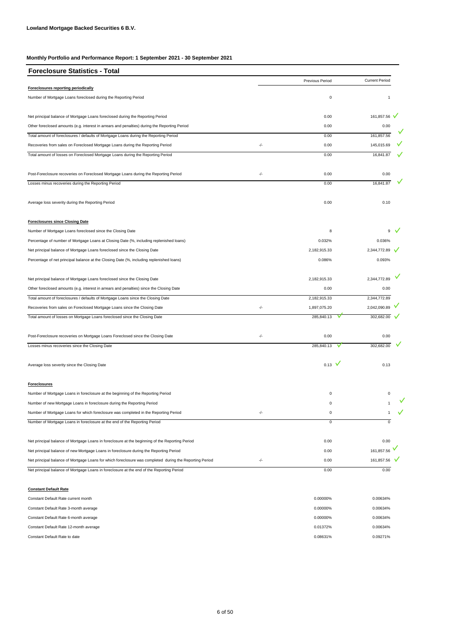| <b>Foreclosure Statistics - Total</b>                                                                   |               |                 |                       |
|---------------------------------------------------------------------------------------------------------|---------------|-----------------|-----------------------|
|                                                                                                         |               | Previous Period | <b>Current Period</b> |
| Foreclosures reporting periodically                                                                     |               |                 |                       |
| Number of Mortgage Loans foreclosed during the Reporting Period                                         |               | $\pmb{0}$       |                       |
| Net principal balance of Mortgage Loans foreclosed during the Reporting Period                          |               | 0.00            | 161,857.56            |
| Other foreclosed amounts (e.g. interest in arrears and penalties) during the Reporting Period           |               | 0.00            | 0.00                  |
| Total amount of foreclosures / defaults of Mortgage Loans during the Reporting Period                   |               | 0.00            | 161,857.56            |
| Recoveries from sales on Foreclosed Mortgage Loans during the Reporting Period                          | $\frac{1}{2}$ | 0.00            | 145,015.69            |
| Total amount of losses on Foreclosed Mortgage Loans during the Reporting Period                         |               | 0.00            | 16,841.87             |
| Post-Foreclosure recoveries on Foreclosed Mortgage Loans during the Reporting Period                    | -/-           | 0.00            | 0.00                  |
| Losses minus recoveries during the Reporting Period                                                     |               | 0.00            | 16,841.87             |
| Average loss severity during the Reporting Period                                                       |               | 0.00            | 0.10                  |
| <b>Foreclosures since Closing Date</b>                                                                  |               |                 |                       |
| Number of Mortgage Loans foreclosed since the Closing Date                                              |               | 8               | 9                     |
| Percentage of number of Mortgage Loans at Closing Date (%, including replenished loans)                 |               | 0.032%          | 0.036%                |
| Net principal balance of Mortgage Loans foreclosed since the Closing Date                               |               | 2,182,915.33    | 2,344,772.89          |
| Percentage of net principal balance at the Closing Date (%, including replenished loans)                |               | 0.086%          | 0.093%                |
| Net principal balance of Mortgage Loans foreclosed since the Closing Date                               |               | 2,182,915.33    | 2,344,772.89          |
| Other foreclosed amounts (e.g. interest in arrears and penalties) since the Closing Date                |               | 0.00            | 0.00                  |
| Total amount of foreclosures / defaults of Mortgage Loans since the Closing Date                        |               | 2,182,915.33    | 2,344,772.89          |
| Recoveries from sales on Foreclosed Mortgage Loans since the Closing Date                               | $-/-$         | 1,897,075.20    | 2,042,090.89          |
| Total amount of losses on Mortgage Loans foreclosed since the Closing Date                              |               | 285,840.13      | 302,682.00            |
| Post-Foreclosure recoveries on Mortgage Loans Foreclosed since the Closing Date                         | $-/-$         | 0.00            | 0.00                  |
| Losses minus recoveries since the Closing Date                                                          |               | 285,840.13      | 302,682.00            |
| Average loss severity since the Closing Date                                                            |               | $0.13$ V        | 0.13                  |
| <b>Foreclosures</b>                                                                                     |               |                 |                       |
| Number of Mortgage Loans in foreclosure at the beginning of the Reporting Period                        |               | 0               | 0                     |
| Number of new Mortgage Loans in foreclosure during the Reporting Period                                 |               | 0               |                       |
| Number of Mortgage Loans for which foreclosure was completed in the Reporting Period                    | -/-           | $\pmb{0}$       | 1                     |
| Number of Mortgage Loans in foreclosure at the end of the Reporting Period                              |               | 0               | 0                     |
| Net principal balance of Mortgage Loans in foreclosure at the beginning of the Reporting Period         |               | 0.00            | 0.00                  |
| Net principal balance of new Mortgage Loans in foreclosure during the Reporting Period                  |               | 0.00            | 161,857.56            |
| Net principal balance of Mortgage Loans for which foreclosure was completed during the Reporting Period | -/-           | 0.00            | 161,857.56            |
| Net principal balance of Mortgage Loans in foreclosure at the end of the Reporting Period               |               | 0.00            | 0.00                  |

#### **Constant Default Rate**

| Constant Default Rate current month    | 0.00000% | 0.00634% |
|----------------------------------------|----------|----------|
| Constant Default Rate 3-month average  | 0.00000% | 0.00634% |
| Constant Default Rate 6-month average  | 0.00000% | 0.00634% |
| Constant Default Rate 12-month average | 0.01372% | 0.00634% |
| Constant Default Rate to date          | 0.08631% | 0.09271% |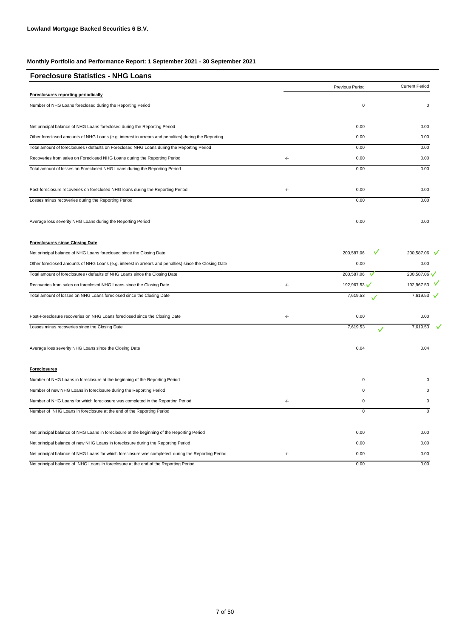| <b>Foreclosure Statistics - NHG Loans</b>                                                             |       |                          |                       |
|-------------------------------------------------------------------------------------------------------|-------|--------------------------|-----------------------|
|                                                                                                       |       | Previous Period          | <b>Current Period</b> |
| Foreclosures reporting periodically                                                                   |       |                          |                       |
| Number of NHG Loans foreclosed during the Reporting Period                                            |       | $\mathsf 0$              | $\Omega$              |
| Net principal balance of NHG Loans foreclosed during the Reporting Period                             |       | 0.00                     | 0.00                  |
| Other foreclosed amounts of NHG Loans (e.g. interest in arrears and penalties) during the Reporting   |       | 0.00                     | 0.00                  |
| Total amount of foreclosures / defaults on Foreclosed NHG Loans during the Reporting Period           |       | 0.00                     | 0.00                  |
| Recoveries from sales on Foreclosed NHG Loans during the Reporting Period                             | $-/-$ | 0.00                     | 0.00                  |
| Total amount of losses on Foreclosed NHG Loans during the Reporting Period                            |       | 0.00                     | 0.00                  |
| Post-foreclosure recoveries on foreclosed NHG loans during the Reporting Period                       | -/-   | 0.00                     | 0.00                  |
| Losses minus recoveries during the Reporting Period                                                   |       | 0.00                     | 0.00                  |
| Average loss severity NHG Loans during the Reporting Period                                           |       | 0.00                     | 0.00                  |
| <b>Foreclosures since Closing Date</b>                                                                |       |                          |                       |
| Net principal balance of NHG Loans foreclosed since the Closing Date                                  |       | 200,587.06               | 200,587.06 V          |
| Other foreclosed amounts of NHG Loans (e.g. interest in arrears and penalties) since the Closing Date |       | 0.00                     | 0.00                  |
| Total amount of foreclosures / defaults of NHG Loans since the Closing Date                           |       | 200,587.06<br>v          | 200,587.06            |
| Recoveries from sales on foreclosed NHG Loans since the Closing Date                                  | -/-   | 192,967.53               | 192,967.53 V          |
| Total amount of losses on NHG Loans foreclosed since the Closing Date                                 |       | 7,619.53                 | 7,619.53 $\sqrt{}$    |
| Post-Foreclosure recoveries on NHG Loans foreclosed since the Closing Date                            | -/-   | 0.00                     | 0.00                  |
| Losses minus recoveries since the Closing Date                                                        |       | 7,619.53<br>$\checkmark$ | 7,619.53              |
| Average loss severity NHG Loans since the Closing Date                                                |       | 0.04                     | 0.04                  |
| <b>Foreclosures</b>                                                                                   |       |                          |                       |
| Number of NHG Loans in foreclosure at the beginning of the Reporting Period                           |       | 0                        |                       |
| Number of new NHG Loans in foreclosure during the Reporting Period                                    |       | 0                        |                       |
| Number of NHG Loans for which foreclosure was completed in the Reporting Period                       | -/-   | 0                        |                       |
| Number of NHG Loans in foreclosure at the end of the Reporting Period                                 |       | U                        |                       |
| Net principal balance of NHG Loans in foreclosure at the beginning of the Reporting Period            |       | 0.00                     | 0.00                  |
| Net principal balance of new NHG Loans in foreclosure during the Reporting Period                     |       | 0.00                     | 0.00                  |
| Net principal balance of NHG Loans for which foreclosure was completed during the Reporting Period    | $-/-$ | 0.00                     | 0.00                  |
| Net principal balance of NHG Loans in foreclosure at the end of the Reporting Period                  |       | 0.00                     | 0.00                  |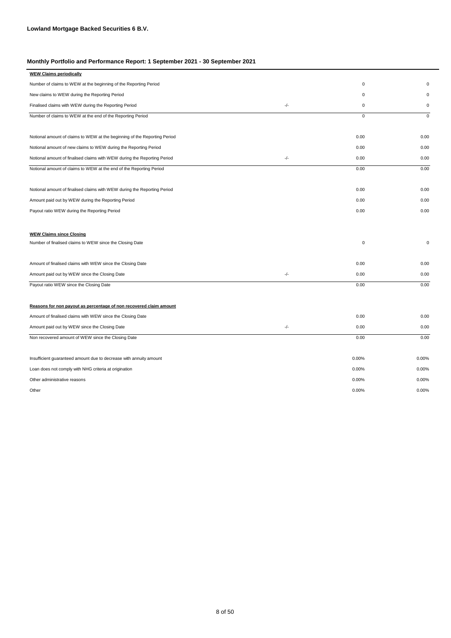| <b>WEW Claims periodically</b>                                            |       |             |             |
|---------------------------------------------------------------------------|-------|-------------|-------------|
| Number of claims to WEW at the beginning of the Reporting Period          |       | 0           | $\mathbf 0$ |
| New claims to WEW during the Reporting Period                             |       | 0           | 0           |
| Finalised claims with WEW during the Reporting Period                     | $-/-$ | 0           | $\mathsf 0$ |
| Number of claims to WEW at the end of the Reporting Period                |       | 0           | 0           |
|                                                                           |       |             |             |
| Notional amount of claims to WEW at the beginning of the Reporting Period |       | 0.00        | 0.00        |
| Notional amount of new claims to WEW during the Reporting Period          |       | 0.00        | 0.00        |
| Notional amount of finalised claims with WEW during the Reporting Period  | $-/-$ | 0.00        | 0.00        |
| Notional amount of claims to WEW at the end of the Reporting Period       |       | 0.00        | 0.00        |
|                                                                           |       |             |             |
| Notional amount of finalised claims with WEW during the Reporting Period  |       | 0.00        | 0.00        |
| Amount paid out by WEW during the Reporting Period                        |       | 0.00        | 0.00        |
| Payout ratio WEW during the Reporting Period                              |       | 0.00        | 0.00        |
|                                                                           |       |             |             |
| <b>WEW Claims since Closing</b>                                           |       |             |             |
| Number of finalised claims to WEW since the Closing Date                  |       | $\mathbf 0$ | 0           |
|                                                                           |       |             |             |
| Amount of finalised claims with WEW since the Closing Date                |       | 0.00        | 0.00        |
| Amount paid out by WEW since the Closing Date                             | $-/-$ | 0.00        | 0.00        |
| Payout ratio WEW since the Closing Date                                   |       | 0.00        | 0.00        |
|                                                                           |       |             |             |
| Reasons for non payout as percentage of non recovered claim amount        |       |             |             |
| Amount of finalised claims with WEW since the Closing Date                |       | 0.00        | 0.00        |
| Amount paid out by WEW since the Closing Date                             | $-/-$ | 0.00        | 0.00        |
| Non recovered amount of WEW since the Closing Date                        |       | 0.00        | 0.00        |
|                                                                           |       |             |             |
| Insufficient guaranteed amount due to decrease with annuity amount        |       | 0.00%       | 0.00%       |
| Loan does not comply with NHG criteria at origination                     |       | 0.00%       | 0.00%       |
| Other administrative reasons                                              |       | 0.00%       | 0.00%       |
| Other                                                                     |       | 0.00%       | 0.00%       |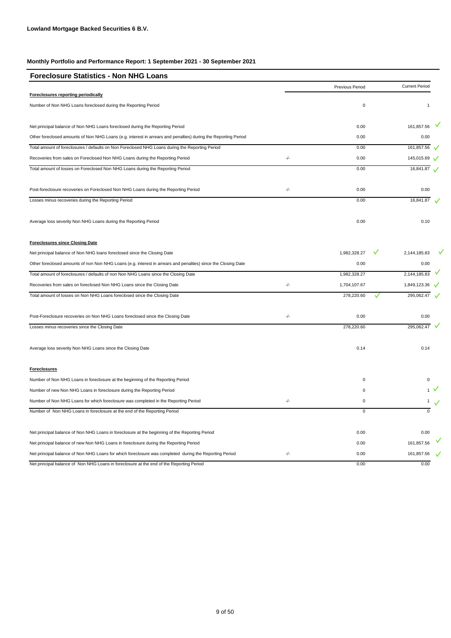| <b>Foreclosure Statistics - Non NHG Loans</b>                                                                  |     |                 |                       |              |
|----------------------------------------------------------------------------------------------------------------|-----|-----------------|-----------------------|--------------|
|                                                                                                                |     | Previous Period | <b>Current Period</b> |              |
| Foreclosures reporting periodically                                                                            |     |                 |                       |              |
| Number of Non NHG Loans foreclosed during the Reporting Period                                                 |     | $\mathsf 0$     |                       |              |
| Net principal balance of Non NHG Loans foreclosed during the Reporting Period                                  |     | 0.00            | 161,857.56            |              |
| Other foreclosed amounts of Non NHG Loans (e.g. interest in arrears and penalties) during the Reporting Period |     | 0.00            |                       | 0.00         |
| Total amount of foreclosures / defaults on Non Foreclosed NHG Loans during the Reporting Period                |     | 0.00            | 161,857.56            |              |
| Recoveries from sales on Foreclosed Non NHG Loans during the Reporting Period                                  | -/- | 0.00            | 145,015.69            |              |
| Total amount of losses on Foreclosed Non NHG Loans during the Reporting Period                                 |     | 0.00            | 16,841.87             | $\checkmark$ |
| Post-foreclosure recoveries on Foreclosed Non NHG Loans during the Reporting Period                            | -/- | 0.00            |                       | 0.00         |
| Losses minus recoveries during the Reporting Period                                                            |     | 0.00            | 16,841.87             |              |
| Average loss severity Non NHG Loans during the Reporting Period                                                |     | 0.00            |                       | 0.10         |
| <b>Foreclosures since Closing Date</b>                                                                         |     |                 |                       |              |
| Net principal balance of Non NHG loans foreclosed since the Closing Date                                       |     | 1,982,328.27    | 2,144,185.83          |              |
| Other foreclosed amounts of non Non NHG Loans (e.g. interest in arrears and penalties) since the Closing Date  |     | 0.00            |                       | 0.00         |
| Total amount of foreclosures / defaults of non Non NHG Loans since the Closing Date                            |     | 1,982,328.27    | 2,144,185.83          |              |
| Recoveries from sales on foreclosed Non NHG Loans since the Closing Date                                       | -/- | 1,704,107.67    | 1,849,123.36          |              |
| Total amount of losses on Non NHG Loans foreclosed since the Closing Date                                      |     | 278,220.60      | 295,062.47            |              |
| Post-Foreclosure recoveries on Non NHG Loans foreclosed since the Closing Date                                 | -/- | 0.00            |                       | 0.00         |
| Losses minus recoveries since the Closing Date                                                                 |     | 278,220.60      | 295,062.47            |              |
| Average loss severity Non NHG Loans since the Closing Date                                                     |     | 0.14            |                       | 0.14         |
| <b>Foreclosures</b>                                                                                            |     |                 |                       |              |
| Number of Non NHG Loans in foreclosure at the beginning of the Reporting Period                                |     | 0               |                       |              |
| Number of new Non NHG Loans in foreclosure during the Reporting Period                                         |     | 0               |                       |              |
| Number of Non NHG Loans for which foreclosure was completed in the Reporting Period                            | -/- | 0               |                       |              |
| Number of Non NHG Loans in foreclosure at the end of the Reporting Period                                      |     | U               |                       |              |
| Net principal balance of Non NHG Loans in foreclosure at the beginning of the Reporting Period                 |     | 0.00            |                       | 0.00         |
| Net principal balance of new Non NHG Loans in foreclosure during the Reporting Period                          |     | 0.00            | 161,857.56            |              |
| Net principal balance of Non NHG Loans for which foreclosure was completed during the Reporting Period         | -/- | 0.00            | 161,857.56            |              |
| Net principal balance of Non NHG Loans in foreclosure at the end of the Reporting Period                       |     | 0.00            |                       | 0.00         |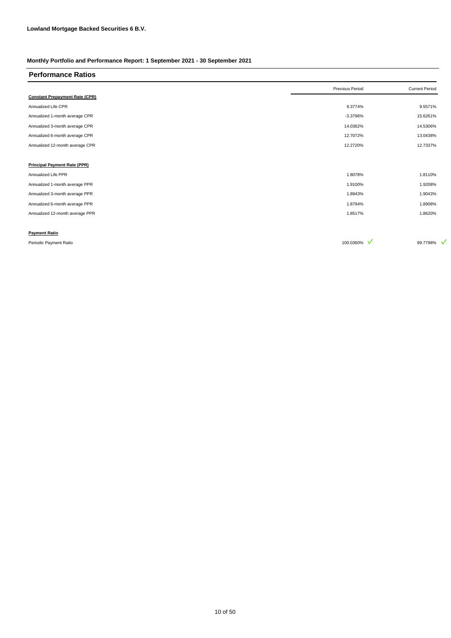| <b>Performance Ratios</b>             |                 |                       |
|---------------------------------------|-----------------|-----------------------|
|                                       | Previous Period | <b>Current Period</b> |
| <b>Constant Prepayment Rate (CPR)</b> |                 |                       |
| Annualized Life CPR                   | 9.3774%         | 9.5571%               |
| Annualized 1-month average CPR        | $-3.3796%$      | 15.6261%              |
| Annualized 3-month average CPR        | 14.0362%        | 14.5306%              |
| Annualized 6-month average CPR        | 12.7072%        | 13.0438%              |
| Annualized 12-month average CPR       | 12.2720%        | 12.7337%              |
|                                       |                 |                       |
| <b>Principal Payment Rate (PPR)</b>   |                 |                       |
| Annualized Life PPR                   | 1.8078%         | 1.8110%               |
| Annualized 1-month average PPR        | 1.9100%         | 1.9208%               |
| Annualized 3-month average PPR        | 1.8943%         | 1.9043%               |
| Annualized 6-month average PPR        | 1.8794%         | 1.8908%               |
| Annualized 12-month average PPR       | 1.8517%         | 1.8620%               |
|                                       |                 |                       |
| <b>Payment Ratio</b>                  |                 |                       |

Periodic Payment Ratio 99.7798%  $\sqrt{ }$  99.7798%  $\sqrt{ }$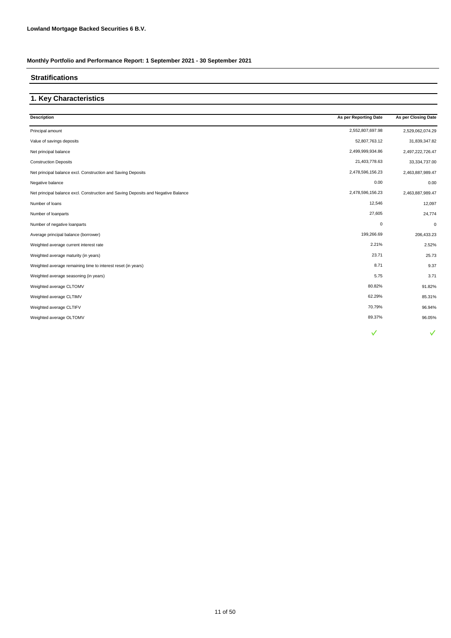# **Stratifications**

# **1. Key Characteristics**

| <b>Description</b>                                                                | As per Reporting Date | As per Closing Date |
|-----------------------------------------------------------------------------------|-----------------------|---------------------|
| Principal amount                                                                  | 2,552,807,697.98      | 2,529,062,074.29    |
| Value of savings deposits                                                         | 52,807,763.12         | 31,839,347.82       |
| Net principal balance                                                             | 2,499,999,934.86      | 2,497,222,726.47    |
| <b>Construction Deposits</b>                                                      | 21,403,778.63         | 33,334,737.00       |
| Net principal balance excl. Construction and Saving Deposits                      | 2,478,596,156.23      | 2,463,887,989.47    |
| Negative balance                                                                  | 0.00                  | 0.00                |
| Net principal balance excl. Construction and Saving Deposits and Negative Balance | 2,478,596,156.23      | 2,463,887,989.47    |
| Number of loans                                                                   | 12,546                | 12,097              |
| Number of loanparts                                                               | 27,605                | 24,774              |
| Number of negative loanparts                                                      | $\pmb{0}$             | $\mathbf 0$         |
| Average principal balance (borrower)                                              | 199,266.69            | 206,433.23          |
| Weighted average current interest rate                                            | 2.21%                 | 2.52%               |
| Weighted average maturity (in years)                                              | 23.71                 | 25.73               |
| Weighted average remaining time to interest reset (in years)                      | 8.71                  | 9.37                |
| Weighted average seasoning (in years)                                             | 5.75                  | 3.71                |
| Weighted average CLTOMV                                                           | 80.82%                | 91.82%              |
| Weighted average CLTIMV                                                           | 62.29%                | 85.31%              |
| Weighted average CLTIFV                                                           | 70.79%                | 96.94%              |
| Weighted average OLTOMV                                                           | 89.37%                | 96.05%              |
|                                                                                   | ✓                     |                     |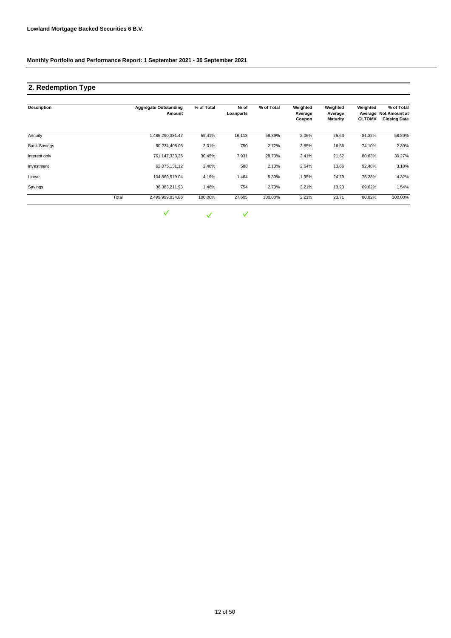# **2. Redemption Type**

| <b>Description</b>  |       | <b>Aggregate Outstanding</b><br>Amount | % of Total | Nr of<br>Loanparts | % of Total | Weighted<br>Average<br>Coupon | Weighted<br>Average<br><b>Maturity</b> | Weighted<br><b>CLTOMV</b> | % of Total<br>Average Not.Amount at<br><b>Closing Date</b> |
|---------------------|-------|----------------------------------------|------------|--------------------|------------|-------------------------------|----------------------------------------|---------------------------|------------------------------------------------------------|
| Annuity             |       | 1,485,290,331.47                       | 59.41%     | 16,118             | 58.39%     | 2.06%                         | 25.63                                  | 81.32%                    | 58.29%                                                     |
| <b>Bank Savings</b> |       | 50,234,408.05                          | 2.01%      | 750                | 2.72%      | 2.85%                         | 16.56                                  | 74.10%                    | 2.39%                                                      |
| Interest only       |       | 761,147,333.25                         | 30.45%     | 7,931              | 28.73%     | 2.41%                         | 21.62                                  | 80.63%                    | 30.27%                                                     |
| Investment          |       | 62,075,131.12                          | 2.48%      | 588                | 2.13%      | 2.64%                         | 13.66                                  | 92.48%                    | 3.18%                                                      |
| Linear              |       | 104,869,519.04                         | 4.19%      | 1,464              | 5.30%      | 1.95%                         | 24.79                                  | 75.28%                    | 4.32%                                                      |
| Savings             |       | 36,383,211.93                          | 1.46%      | 754                | 2.73%      | 3.21%                         | 13.23                                  | 69.62%                    | 1.54%                                                      |
|                     | Total | 2,499,999,934.86                       | 100.00%    | 27,605             | 100.00%    | 2.21%                         | 23.71                                  | 80.82%                    | 100.00%                                                    |

 $\checkmark$  $\checkmark$  $\checkmark$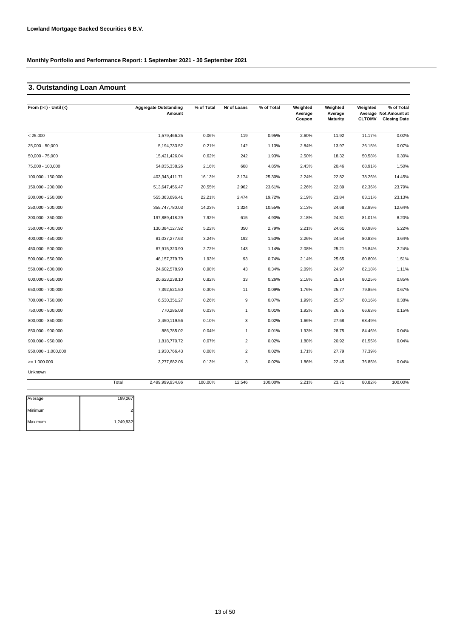# **3. Outstanding Loan Amount**

|                     |       | <b>Aggregate Outstanding</b><br>Amount | % of Total | Nr of Loans    | % of Total | Weighted<br>Average<br>Coupon | Weighted<br>Average<br><b>Maturity</b> | Weighted<br><b>CLTOMV</b> | % of Total<br>Average Not.Amount at<br><b>Closing Date</b> |
|---------------------|-------|----------------------------------------|------------|----------------|------------|-------------------------------|----------------------------------------|---------------------------|------------------------------------------------------------|
| < 25.000            |       | 1,579,466.25                           | 0.06%      | 119            | 0.95%      | 2.60%                         | 11.92                                  | 11.17%                    | 0.02%                                                      |
| 25,000 - 50,000     |       | 5, 194, 733.52                         | 0.21%      | 142            | 1.13%      | 2.84%                         | 13.97                                  | 26.15%                    | 0.07%                                                      |
| $50,000 - 75,000$   |       | 15,421,426.04                          | 0.62%      | 242            | 1.93%      | 2.50%                         | 18.32                                  | 50.58%                    | 0.30%                                                      |
| 75,000 - 100,000    |       | 54,035,338.26                          | 2.16%      | 608            | 4.85%      | 2.43%                         | 20.46                                  | 68.91%                    | 1.50%                                                      |
| 100,000 - 150,000   |       | 403,343,411.71                         | 16.13%     | 3,174          | 25.30%     | 2.24%                         | 22.82                                  | 78.26%                    | 14.45%                                                     |
| 150,000 - 200,000   |       | 513,647,456.47                         | 20.55%     | 2,962          | 23.61%     | 2.26%                         | 22.89                                  | 82.36%                    | 23.79%                                                     |
| 200,000 - 250,000   |       | 555,363,696.41                         | 22.21%     | 2,474          | 19.72%     | 2.19%                         | 23.84                                  | 83.11%                    | 23.13%                                                     |
| 250,000 - 300,000   |       | 355,747,780.03                         | 14.23%     | 1,324          | 10.55%     | 2.13%                         | 24.68                                  | 82.89%                    | 12.64%                                                     |
| 300,000 - 350,000   |       | 197,889,418.29                         | 7.92%      | 615            | 4.90%      | 2.18%                         | 24.81                                  | 81.01%                    | 8.20%                                                      |
| 350,000 - 400,000   |       | 130,384,127.92                         | 5.22%      | 350            | 2.79%      | 2.21%                         | 24.61                                  | 80.98%                    | 5.22%                                                      |
| 400,000 - 450,000   |       | 81,037,277.63                          | 3.24%      | 192            | 1.53%      | 2.26%                         | 24.54                                  | 80.83%                    | 3.64%                                                      |
| 450,000 - 500,000   |       | 67,915,323.90                          | 2.72%      | 143            | 1.14%      | 2.08%                         | 25.21                                  | 76.84%                    | 2.24%                                                      |
| 500,000 - 550,000   |       | 48, 157, 379. 79                       | 1.93%      | 93             | 0.74%      | 2.14%                         | 25.65                                  | 80.80%                    | 1.51%                                                      |
| 550,000 - 600,000   |       | 24,602,578.90                          | 0.98%      | 43             | 0.34%      | 2.09%                         | 24.97                                  | 82.18%                    | 1.11%                                                      |
| 600,000 - 650,000   |       | 20,623,238.10                          | 0.82%      | 33             | 0.26%      | 2.18%                         | 25.14                                  | 80.25%                    | 0.85%                                                      |
| 650,000 - 700,000   |       | 7,392,521.50                           | 0.30%      | 11             | 0.09%      | 1.76%                         | 25.77                                  | 79.85%                    | 0.67%                                                      |
| 700,000 - 750,000   |       | 6,530,351.27                           | 0.26%      | 9              | 0.07%      | 1.99%                         | 25.57                                  | 80.16%                    | 0.38%                                                      |
| 750,000 - 800,000   |       | 770,285.08                             | 0.03%      | $\mathbf{1}$   | 0.01%      | 1.92%                         | 26.75                                  | 66.63%                    | 0.15%                                                      |
| 800,000 - 850,000   |       | 2,450,119.56                           | 0.10%      | 3              | 0.02%      | 1.66%                         | 27.68                                  | 68.49%                    |                                                            |
| 850,000 - 900,000   |       | 886,785.02                             | 0.04%      | $\overline{1}$ | 0.01%      | 1.93%                         | 28.75                                  | 84.46%                    | 0.04%                                                      |
| 900,000 - 950,000   |       | 1,818,770.72                           | 0.07%      | $\overline{c}$ | 0.02%      | 1.88%                         | 20.92                                  | 81.55%                    | 0.04%                                                      |
| 950,000 - 1,000,000 |       | 1,930,766.43                           | 0.08%      | $\overline{2}$ | 0.02%      | 1.71%                         | 27.79                                  | 77.39%                    |                                                            |
| $= 1.000.000$       |       | 3,277,682.06                           | 0.13%      | 3              | 0.02%      | 1.86%                         | 22.45                                  | 76.85%                    | 0.04%                                                      |
| Unknown             |       |                                        |            |                |            |                               |                                        |                           |                                                            |
|                     | Total | 2,499,999,934.86                       | 100.00%    | 12,546         | 100.00%    | 2.21%                         | 23.71                                  | 80.82%                    | 100.00%                                                    |

| Average | 199,267   |
|---------|-----------|
| Minimum |           |
| Maximum | 1,249,932 |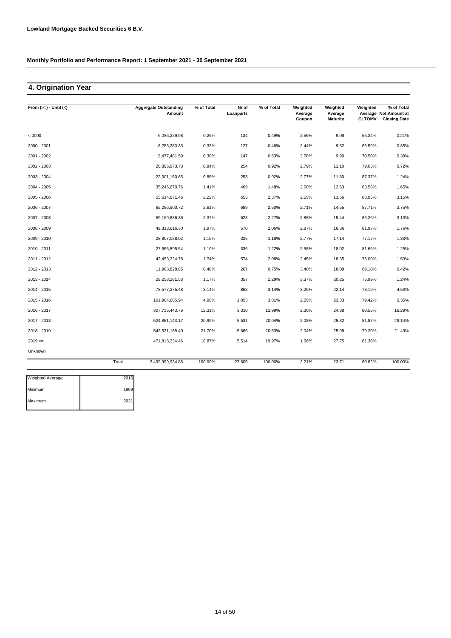# **4. Origination Year**

| From $(>=) -$ Until $(<)$ |       | <b>Aggregate Outstanding</b><br>Amount | % of Total | Nr of<br>Loanparts | % of Total | Weighted<br>Average | Weighted<br>Average | Weighted      | % of Total<br>Average Not.Amount at |
|---------------------------|-------|----------------------------------------|------------|--------------------|------------|---------------------|---------------------|---------------|-------------------------------------|
|                           |       |                                        |            |                    |            | Coupon              | <b>Maturity</b>     | <b>CLTOMV</b> | <b>Closing Date</b>                 |
| < 2000                    |       | 6,286,229.98                           | 0.25%      | 134                | 0.49%      | 2.55%               | 9.08                | 56.34%        | 0.21%                               |
| 2000 - 2001               |       | 8,256,283.33                           | 0.33%      | 127                | 0.46%      | 2.44%               | 9.52                | 66.59%        | 0.35%                               |
| 2001 - 2002               |       | 9,477,481.59                           | 0.38%      | 147                | 0.53%      | 2.78%               | 9.90                | 70.50%        | 0.39%                               |
| 2002 - 2003               |       | 20,895,973.78                          | 0.84%      | 254                | 0.92%      | 2.79%               | 11.10               | 79.03%        | 0.72%                               |
| 2003 - 2004               |       | 22,001,150.65                          | 0.88%      | 253                | 0.92%      | 2.77%               | 11.80               | 87.37%        | 1.24%                               |
| $2004 - 2005$             |       | 35,245,670.76                          | 1.41%      | 409                | 1.48%      | 2.60%               | 12.63               | 83.58%        | 1.65%                               |
| 2005 - 2006               |       | 55,614,671.46                          | 2.22%      | 653                | 2.37%      | 2.55%               | 13.56               | 88.95%        | 3.15%                               |
| 2006 - 2007               |       | 65,286,500.72                          | 2.61%      | 689                | 2.50%      | 2.71%               | 14.55               | 87.71%        | 3.75%                               |
| 2007 - 2008               |       | 59,169,886.36                          | 2.37%      | 628                | 2.27%      | 2.88%               | 15.44               | 86.26%        | 3.13%                               |
| 2008 - 2009               |       | 49,313,616.30                          | 1.97%      | 570                | 2.06%      | 2.87%               | 16.36               | 81.97%        | 1.76%                               |
| 2009 - 2010               |       | 28,807,088.02                          | 1.15%      | 325                | 1.18%      | 2.77%               | 17.14               | 77.17%        | 1.33%                               |
| 2010 - 2011               |       | 27,556,895.54                          | 1.10%      | 336                | 1.22%      | 2.58%               | 18.02               | 81.66%        | 1.25%                               |
| 2011 - 2012               |       | 43,453,324.78                          | 1.74%      | 574                | 2.08%      | 2.45%               | 18.35               | 76.00%        | 1.53%                               |
| 2012 - 2013               |       | 11,988,828.85                          | 0.48%      | 207                | 0.75%      | 3.40%               | 18.09               | 69.10%        | 0.42%                               |
| 2013 - 2014               |       | 29,258,281.53                          | 1.17%      | 357                | 1.29%      | 3.37%               | 20.25               | 75.99%        | 1.24%                               |
| 2014 - 2015               |       | 78,577,275.48                          | 3.14%      | 868                | 3.14%      | 3.26%               | 22.14               | 78.19%        | 4.63%                               |
| 2015 - 2016               |       | 101,904,685.94                         | 4.08%      | 1,053              | 3.81%      | 2.65%               | 23.33               | 79.42%        | 6.35%                               |
| 2016 - 2017               |       | 307,715,443.76                         | 12.31%     | 3,310              | 11.99%     | 2.30%               | 24.38               | 80.55%        | 16.29%                              |
| 2017 - 2018               |       | 524,851,143.17                         | 20.99%     | 5,531              | 20.04%     | 2.08%               | 25.32               | 81.87%        | 29.14%                              |
| 2018 - 2019               |       | 542,521,168.40                         | 21.70%     | 5,666              | 20.53%     | 2.04%               | 25.98               | 79.20%        | 21.49%                              |
| $2019 ==$                 |       | 471,818,334.46                         | 18.87%     | 5,514              | 19.97%     | 1.66%               | 27.75               | 81.30%        |                                     |
| Unknown                   |       |                                        |            |                    |            |                     |                     |               |                                     |
|                           | Total | 2,499,999,934.86                       | 100.00%    | 27,605             | 100.00%    | 2.21%               | 23.71               | 80.82%        | 100.00%                             |

| <b>Weighted Average</b> | 2016 |
|-------------------------|------|
| Minimum                 | 1999 |
| Maximum                 | 2021 |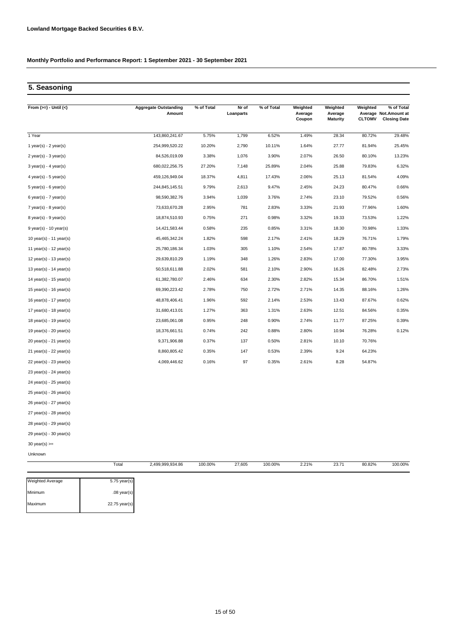# **5. Seasoning**

| From $(>=) -$ Until $(<)$   | <b>Aggregate Outstanding</b> | % of Total | Nr of     | % of Total | Weighted          | Weighted                   | Weighted      | % of Total                                   |
|-----------------------------|------------------------------|------------|-----------|------------|-------------------|----------------------------|---------------|----------------------------------------------|
|                             | Amount                       |            | Loanparts |            | Average<br>Coupon | Average<br><b>Maturity</b> | <b>CLTOMV</b> | Average Not.Amount at<br><b>Closing Date</b> |
|                             |                              |            |           |            |                   |                            |               |                                              |
| 1 Year                      | 143,860,241.67               | 5.75%      | 1,799     | 6.52%      | 1.49%             | 28.34                      | 80.72%        | 29.48%                                       |
| 1 year(s) - $2$ year(s)     | 254,999,520.22               | 10.20%     | 2,790     | 10.11%     | 1.64%             | 27.77                      | 81.94%        | 25.45%                                       |
| $2$ year(s) - $3$ year(s)   | 84,526,019.09                | 3.38%      | 1,076     | 3.90%      | 2.07%             | 26.50                      | 80.10%        | 13.23%                                       |
| $3$ year(s) - 4 year(s)     | 680,022,256.75               | 27.20%     | 7,148     | 25.89%     | 2.04%             | 25.88                      | 79.83%        | 6.32%                                        |
| 4 year(s) - 5 year(s)       | 459,126,949.04               | 18.37%     | 4,811     | 17.43%     | 2.06%             | 25.13                      | 81.54%        | 4.09%                                        |
| $5$ year(s) - 6 year(s)     | 244,845,145.51               | 9.79%      | 2,613     | 9.47%      | 2.45%             | 24.23                      | 80.47%        | 0.66%                                        |
| $6$ year(s) - 7 year(s)     | 98,590,382.76                | 3.94%      | 1,039     | 3.76%      | 2.74%             | 23.10                      | 79.52%        | 0.56%                                        |
| $7$ year(s) - 8 year(s)     | 73,633,670.28                | 2.95%      | 781       | 2.83%      | 3.33%             | 21.93                      | 77.96%        | 1.60%                                        |
| $8$ year(s) - $9$ year(s)   | 18,874,510.93                | 0.75%      | 271       | 0.98%      | 3.32%             | 19.33                      | 73.53%        | 1.22%                                        |
| $9$ year(s) - 10 year(s)    | 14,421,583.44                | 0.58%      | 235       | 0.85%      | 3.31%             | 18.30                      | 70.98%        | 1.33%                                        |
| 10 year(s) - 11 year(s)     | 45,465,342.24                | 1.82%      | 598       | 2.17%      | 2.41%             | 18.29                      | 76.71%        | 1.79%                                        |
| 11 year(s) - $12$ year(s)   | 25,780,186.34                | 1.03%      | 305       | 1.10%      | 2.54%             | 17.87                      | 80.78%        | 3.33%                                        |
| 12 year(s) - 13 year(s)     | 29,639,810.29                | 1.19%      | 348       | 1.26%      | 2.83%             | 17.00                      | 77.30%        | 3.95%                                        |
| 13 year(s) - 14 year(s)     | 50,518,611.88                | 2.02%      | 581       | 2.10%      | 2.90%             | 16.26                      | 82.48%        | 2.73%                                        |
| 14 year(s) - $15$ year(s)   | 61,382,780.07                | 2.46%      | 634       | 2.30%      | 2.82%             | 15.34                      | 86.70%        | 1.51%                                        |
| 15 year(s) - 16 year(s)     | 69,390,223.42                | 2.78%      | 750       | 2.72%      | 2.71%             | 14.35                      | 88.16%        | 1.26%                                        |
| 16 year(s) - 17 year(s)     | 48,878,406.41                | 1.96%      | 592       | 2.14%      | 2.53%             | 13.43                      | 87.67%        | 0.62%                                        |
| 17 year(s) - $18$ year(s)   | 31,680,413.01                | 1.27%      | 363       | 1.31%      | 2.63%             | 12.51                      | 84.56%        | 0.35%                                        |
| 18 year(s) - 19 year(s)     | 23,685,061.08                | 0.95%      | 248       | 0.90%      | 2.74%             | 11.77                      | 87.25%        | 0.39%                                        |
| 19 year(s) - 20 year(s)     | 18,376,661.51                | 0.74%      | 242       | 0.88%      | 2.80%             | 10.94                      | 76.28%        | 0.12%                                        |
| 20 year(s) - 21 year(s)     | 9,371,906.88                 | 0.37%      | 137       | 0.50%      | 2.81%             | 10.10                      | 70.76%        |                                              |
| $21$ year(s) - $22$ year(s) | 8,860,805.42                 | 0.35%      | 147       | 0.53%      | 2.39%             | 9.24                       | 64.23%        |                                              |
| $22$ year(s) - $23$ year(s) | 4,069,446.62                 | 0.16%      | 97        | 0.35%      | 2.61%             | 8.28                       | 54.87%        |                                              |
| 23 year(s) - 24 year(s)     |                              |            |           |            |                   |                            |               |                                              |
| 24 year(s) - 25 year(s)     |                              |            |           |            |                   |                            |               |                                              |
| 25 year(s) - 26 year(s)     |                              |            |           |            |                   |                            |               |                                              |

26 year(s) - 27 year(s)

27 year(s) - 28 year(s)

Maximum 22.75 year(s)

28 year(s) - 29 year(s)

29 year(s) - 30 year(s)

Unknown 30 year(s) >=

100.00% 27,605 2.21% 80.82% 100.00% Weighted Average 5.75 year(s) Minimum .08 year(s) Total 2,499,999,934.86 100.00% 23.71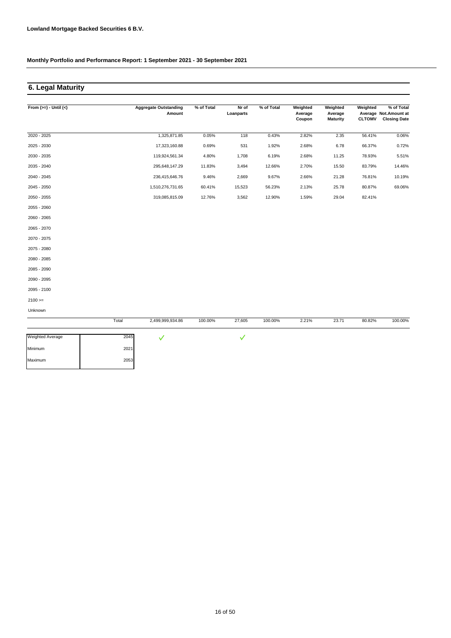Maximum 2053

**Monthly Portfolio and Performance Report: 1 September 2021 - 30 September 2021**

# **6. Legal Maturity**

| From $(>=) -$ Until $(<)$ |       | <b>Aggregate Outstanding</b><br>Amount | % of Total | Nr of<br>Loanparts | % of Total | Weighted<br>Average<br>Coupon | Weighted<br>Average<br><b>Maturity</b> | Weighted<br><b>CLTOMV</b> | % of Total<br>Average Not.Amount at<br><b>Closing Date</b> |
|---------------------------|-------|----------------------------------------|------------|--------------------|------------|-------------------------------|----------------------------------------|---------------------------|------------------------------------------------------------|
| $2020 - 2025$             |       | 1,325,871.85                           | 0.05%      | 118                | 0.43%      | 2.82%                         | 2.35                                   | 56.41%                    | 0.06%                                                      |
| 2025 - 2030               |       | 17,323,160.88                          | 0.69%      | 531                | 1.92%      | 2.68%                         | 6.78                                   | 66.37%                    | 0.72%                                                      |
| 2030 - 2035               |       | 119,924,561.34                         | 4.80%      | 1,708              | 6.19%      | 2.68%                         | 11.25                                  | 78.93%                    | 5.51%                                                      |
| 2035 - 2040               |       | 295,648,147.29                         | 11.83%     | 3,494              | 12.66%     | 2.70%                         | 15.50                                  | 83.79%                    | 14.46%                                                     |
| 2040 - 2045               |       | 236,415,646.76                         | 9.46%      | 2,669              | 9.67%      | 2.66%                         | 21.28                                  | 76.81%                    | 10.19%                                                     |
| 2045 - 2050               |       | 1,510,276,731.65                       | 60.41%     | 15,523             | 56.23%     | 2.13%                         | 25.78                                  | 80.87%                    | 69.06%                                                     |
| 2050 - 2055               |       | 319,085,815.09                         | 12.76%     | 3,562              | 12.90%     | 1.59%                         | 29.04                                  | 82.41%                    |                                                            |
| 2055 - 2060               |       |                                        |            |                    |            |                               |                                        |                           |                                                            |
| 2060 - 2065               |       |                                        |            |                    |            |                               |                                        |                           |                                                            |
| 2065 - 2070               |       |                                        |            |                    |            |                               |                                        |                           |                                                            |
| 2070 - 2075               |       |                                        |            |                    |            |                               |                                        |                           |                                                            |
| 2075 - 2080               |       |                                        |            |                    |            |                               |                                        |                           |                                                            |
| 2080 - 2085               |       |                                        |            |                    |            |                               |                                        |                           |                                                            |
| 2085 - 2090               |       |                                        |            |                    |            |                               |                                        |                           |                                                            |
| 2090 - 2095               |       |                                        |            |                    |            |                               |                                        |                           |                                                            |
| 2095 - 2100               |       |                                        |            |                    |            |                               |                                        |                           |                                                            |
| $2100 >=$                 |       |                                        |            |                    |            |                               |                                        |                           |                                                            |
| Unknown                   |       |                                        |            |                    |            |                               |                                        |                           |                                                            |
|                           | Total | 2,499,999,934.86                       | 100.00%    | 27,605             | 100.00%    | 2.21%                         | 23.71                                  | 80.82%                    | 100.00%                                                    |
| <b>Weighted Average</b>   | 2045  | $\checkmark$                           |            | $\checkmark$       |            |                               |                                        |                           |                                                            |
| Minimum                   | 2021  |                                        |            |                    |            |                               |                                        |                           |                                                            |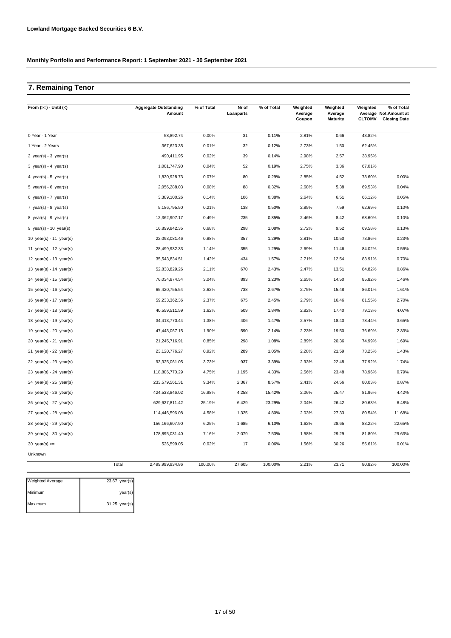# **7. Remaining Tenor**

| From $(>=) -$ Until $(<)$   | <b>Aggregate Outstanding</b><br>Amount | % of Total | Nr of<br>Loanparts | % of Total | Weighted<br>Average<br>Coupon | Weighted<br>Average<br><b>Maturity</b> | Weighted<br><b>CLTOMV</b> | % of Total<br>Average Not. Amount at<br><b>Closing Date</b> |
|-----------------------------|----------------------------------------|------------|--------------------|------------|-------------------------------|----------------------------------------|---------------------------|-------------------------------------------------------------|
| 0 Year - 1 Year             | 58,892.74                              | 0.00%      | 31                 | 0.11%      | 2.81%                         | 0.66                                   | 43.82%                    |                                                             |
| 1 Year - 2 Years            | 367,623.35                             | 0.01%      | 32                 | 0.12%      | 2.73%                         | 1.50                                   | 62.45%                    |                                                             |
| 2 year(s) - $3$ year(s)     | 490,411.95                             | 0.02%      | 39                 | 0.14%      | 2.98%                         | 2.57                                   | 38.95%                    |                                                             |
| 3 year(s) - 4 year(s)       | 1,001,747.90                           | 0.04%      | 52                 | 0.19%      | 2.75%                         | 3.36                                   | 67.01%                    |                                                             |
| 4 year(s) - 5 year(s)       | 1,830,928.73                           | 0.07%      | 80                 | 0.29%      | 2.85%                         | 4.52                                   | 73.60%                    | 0.00%                                                       |
| 5 year(s) - 6 year(s)       | 2,056,288.03                           | 0.08%      | 88                 | 0.32%      | 2.68%                         | 5.38                                   | 69.53%                    | 0.04%                                                       |
| 6 year(s) - $7$ year(s)     | 3,389,100.26                           | 0.14%      | 106                | 0.38%      | 2.64%                         | 6.51                                   | 66.12%                    | 0.05%                                                       |
| 7 year(s) - 8 year(s)       | 5,186,795.50                           | 0.21%      | 138                | 0.50%      | 2.85%                         | 7.59                                   | 62.69%                    | 0.10%                                                       |
| 8 year(s) - $9$ year(s)     | 12,362,907.17                          | 0.49%      | 235                | 0.85%      | 2.46%                         | 8.42                                   | 68.60%                    | 0.10%                                                       |
| $9$ year(s) - 10 year(s)    | 16,899,842.35                          | 0.68%      | 298                | 1.08%      | 2.72%                         | 9.52                                   | 69.58%                    | 0.13%                                                       |
| 10 $year(s) - 11$ $year(s)$ | 22,093,081.46                          | 0.88%      | 357                | 1.29%      | 2.81%                         | 10.50                                  | 73.86%                    | 0.23%                                                       |
| 11 year(s) - 12 year(s)     | 28,499,932.33                          | 1.14%      | 355                | 1.29%      | 2.69%                         | 11.46                                  | 84.02%                    | 0.56%                                                       |
| 12 year(s) - 13 year(s)     | 35,543,834.51                          | 1.42%      | 434                | 1.57%      | 2.71%                         | 12.54                                  | 83.91%                    | 0.70%                                                       |
| 13 year(s) - $14$ year(s)   | 52,838,829.26                          | 2.11%      | 670                | 2.43%      | 2.47%                         | 13.51                                  | 84.82%                    | 0.86%                                                       |
| 14 year(s) - 15 year(s)     | 76,034,874.54                          | 3.04%      | 893                | 3.23%      | 2.65%                         | 14.50                                  | 85.82%                    | 1.46%                                                       |
| 15 year(s) - 16 year(s)     | 65,420,755.54                          | 2.62%      | 738                | 2.67%      | 2.75%                         | 15.48                                  | 86.01%                    | 1.61%                                                       |
| 16 year(s) - 17 year(s)     | 59,233,362.36                          | 2.37%      | 675                | 2.45%      | 2.79%                         | 16.46                                  | 81.55%                    | 2.70%                                                       |
| 17 year(s) - 18 year(s)     | 40,559,511.59                          | 1.62%      | 509                | 1.84%      | 2.82%                         | 17.40                                  | 79.13%                    | 4.07%                                                       |
| 18 year(s) - 19 year(s)     | 34,413,770.44                          | 1.38%      | 406                | 1.47%      | 2.57%                         | 18.40                                  | 78.44%                    | 3.65%                                                       |
| 19 year(s) - 20 year(s)     | 47,443,067.15                          | 1.90%      | 590                | 2.14%      | 2.23%                         | 19.50                                  | 76.69%                    | 2.33%                                                       |
| $20$ year(s) - $21$ year(s) | 21,245,716.91                          | 0.85%      | 298                | 1.08%      | 2.89%                         | 20.36                                  | 74.99%                    | 1.69%                                                       |
| 21 year(s) - 22 year(s)     | 23,120,776.27                          | 0.92%      | 289                | 1.05%      | 2.28%                         | 21.59                                  | 73.25%                    | 1.43%                                                       |
| 22 year(s) - 23 year(s)     | 93,325,061.05                          | 3.73%      | 937                | 3.39%      | 2.93%                         | 22.48                                  | 77.92%                    | 1.74%                                                       |
| 23 year(s) - 24 year(s)     | 118,806,770.29                         | 4.75%      | 1,195              | 4.33%      | 2.56%                         | 23.48                                  | 78.96%                    | 0.79%                                                       |
| 24 year(s) - $25$ year(s)   | 233,579,561.31                         | 9.34%      | 2,367              | 8.57%      | 2.41%                         | 24.56                                  | 80.03%                    | 0.87%                                                       |
| 25 year(s) - 26 year(s)     | 424,533,846.02                         | 16.98%     | 4,258              | 15.42%     | 2.06%                         | 25.47                                  | 81.96%                    | 4.42%                                                       |
| 26 year(s) - 27 year(s)     | 629,627,811.42                         | 25.19%     | 6,429              | 23.29%     | 2.04%                         | 26.42                                  | 80.63%                    | 6.48%                                                       |
| 27 year(s) - 28 year(s)     | 114,446,596.08                         | 4.58%      | 1,325              | 4.80%      | 2.03%                         | 27.33                                  | 80.54%                    | 11.68%                                                      |
| $28$ year(s) - $29$ year(s) | 156,166,607.90                         | 6.25%      | 1,685              | 6.10%      | 1.62%                         | 28.65                                  | 83.22%                    | 22.65%                                                      |
| $29$ year(s) - 30 year(s)   | 178,895,031.40                         | 7.16%      | 2,079              | 7.53%      | 1.58%                         | 29.29                                  | 81.80%                    | 29.63%                                                      |
| 30 year(s) $>=$             | 526,599.05                             | 0.02%      | 17                 | 0.06%      | 1.56%                         | 30.26                                  | 55.61%                    | 0.01%                                                       |
| Unknown                     |                                        |            |                    |            |                               |                                        |                           |                                                             |
|                             | Total<br>2,499,999,934.86              | 100.00%    | 27,605             | 100.00%    | 2.21%                         | 23.71                                  | 80.82%                    | 100.00%                                                     |

| <b>Weighted Average</b> | $23.67$ year(s)  |
|-------------------------|------------------|
| Minimum                 | $\text{year}(s)$ |
| Maximum                 | 31.25 year(s)    |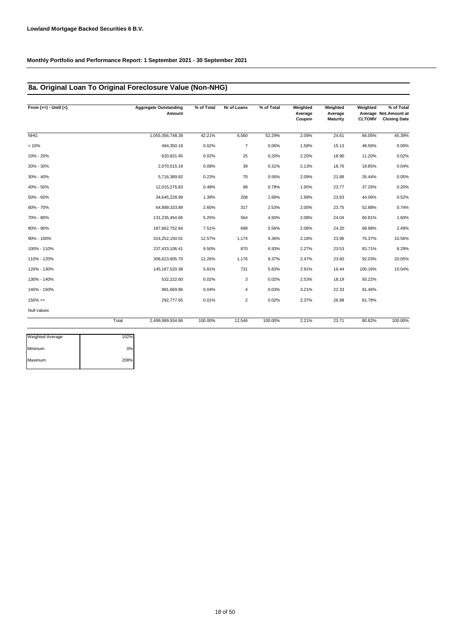# **8a. Original Loan To Original Foreclosure Value (Non-NHG)**

| From $(>=) -$ Until $(<)$ |       | <b>Aggregate Outstanding</b><br>Amount | % of Total | Nr of Loans    | % of Total | Weighted<br>Average<br>Coupon | Weighted<br>Average<br><b>Maturity</b> | Weighted<br><b>CLTOMV</b> | % of Total<br>Average Not.Amount at<br><b>Closing Date</b> |
|---------------------------|-------|----------------------------------------|------------|----------------|------------|-------------------------------|----------------------------------------|---------------------------|------------------------------------------------------------|
| NHG                       |       | 1,055,356,748.39                       | 42.21%     | 6,560          | 52.29%     | 2.09%                         | 24.61                                  | 84.05%                    | 45.39%                                                     |
| < 10%                     |       | 484,350.19                             | 0.02%      | $\overline{7}$ | 0.06%      | 1.58%                         | 15.13                                  | 48.56%                    | 0.00%                                                      |
| 10% - 20%                 |       | 620,831.45                             | 0.02%      | 25             | 0.20%      | 2.20%                         | 18.90                                  | 11.20%                    | 0.02%                                                      |
| 20% - 30%                 |       | 2,070,515.19                           | 0.08%      | 39             | 0.31%      | 2.13%                         | 18.76                                  | 19.85%                    | 0.04%                                                      |
| 30% - 40%                 |       | 5,716,389.82                           | 0.23%      | 70             | 0.56%      | 2.09%                         | 21.88                                  | 26.44%                    | 0.05%                                                      |
| 40% - 50%                 |       | 12,015,276.83                          | 0.48%      | 98             | 0.78%      | 1.95%                         | 23.77                                  | 37.26%                    | 0.20%                                                      |
| 50% - 60%                 |       | 34,645,228.99                          | 1.39%      | 208            | 1.66%      | 1.99%                         | 23.83                                  | 44.06%                    | 0.52%                                                      |
| 60% - 70%                 |       | 64,889,333.89                          | 2.60%      | 317            | 2.53%      | 2.00%                         | 23.75                                  | 52.88%                    | 0.74%                                                      |
| 70% - 80%                 |       | 131,235,454.66                         | 5.25%      | 564            | 4.50%      | 2.08%                         | 24.04                                  | 60.81%                    | 1.60%                                                      |
| 80% - 90%                 |       | 187,662,752.84                         | 7.51%      | 698            | 5.56%      | 2.08%                         | 24.20                                  | 68.98%                    | 2.49%                                                      |
| 90% - 100%                |       | 314,252,150.01                         | 12.57%     | 1,174          | 9.36%      | 2.18%                         | 23.96                                  | 76.37%                    | 10.56%                                                     |
| 100% - 110%               |       | 237,433,106.41                         | 9.50%      | 870            | 6.93%      | 2.27%                         | 23.53                                  | 83.71%                    | 8.29%                                                      |
| 110% - 120%               |       | 306,623,605.70                         | 12.26%     | 1,176          | 9.37%      | 2.47%                         | 23.60                                  | 92.03%                    | 20.05%                                                     |
| 120% - 130%               |       | 145, 187, 520. 38                      | 5.81%      | 731            | 5.83%      | 2.91%                         | 16.44                                  | 100.16%                   | 10.04%                                                     |
| 130% - 140%               |       | 532,222.60                             | 0.02%      | 3              | 0.02%      | 2.53%                         | 18.19                                  | 93.22%                    |                                                            |
| 140% - 150%               |       | 981,669.86                             | 0.04%      | $\overline{4}$ | 0.03%      | 3.21%                         | 22.33                                  | 91.46%                    |                                                            |
| $150\%>=$                 |       | 292,777.65                             | 0.01%      | $\overline{2}$ | 0.02%      | 2.37%                         | 26.98                                  | 81.78%                    |                                                            |
| Null values               |       |                                        |            |                |            |                               |                                        |                           |                                                            |
|                           | Total | 2,499,999,934.86                       | 100.00%    | 12,546         | 100.00%    | 2.21%                         | 23.71                                  | 80.82%                    | 100.00%                                                    |

| <b>Weighted Average</b> | 102% |
|-------------------------|------|
| Minimum                 | 0%   |
| Maximum                 | 208% |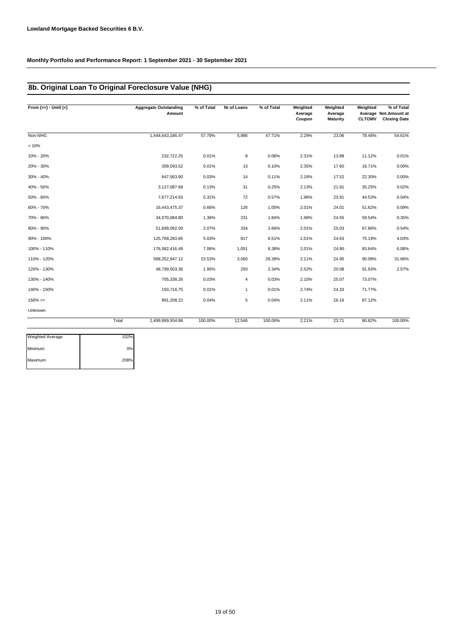# **8b. Original Loan To Original Foreclosure Value (NHG)**

| From $(>=) -$ Until $(<)$ |       | <b>Aggregate Outstanding</b><br>Amount | % of Total | Nr of Loans    | % of Total | Weighted<br>Average<br>Coupon | Weighted<br>Average<br><b>Maturity</b> | Weighted<br><b>CLTOMV</b> | % of Total<br>Average Not. Amount at<br><b>Closing Date</b> |
|---------------------------|-------|----------------------------------------|------------|----------------|------------|-------------------------------|----------------------------------------|---------------------------|-------------------------------------------------------------|
| Non-NHG                   |       | 1,444,643,186.47                       | 57.79%     | 5,986          | 47.71%     | 2.29%                         | 23.06                                  | 78.46%                    | 54.61%                                                      |
| < 10%                     |       |                                        |            |                |            |                               |                                        |                           |                                                             |
| 10% - 20%                 |       | 232,722.25                             | 0.01%      | 8              | 0.06%      | 2.31%                         | 13.88                                  | 11.12%                    | 0.01%                                                       |
| 20% - 30%                 |       | 309,593.52                             | 0.01%      | 13             | 0.10%      | 2.35%                         | 17.60                                  | 16.71%                    | 0.00%                                                       |
| 30% - 40%                 |       | 647,063.90                             | 0.03%      | 14             | 0.11%      | 2.18%                         | 17.52                                  | 22.30%                    | 0.00%                                                       |
| 40% - 50%                 |       | 3,127,087.68                           | 0.13%      | 31             | 0.25%      | 2.13%                         | 21.91                                  | 35.25%                    | 0.02%                                                       |
| 50% - 60%                 |       | 7,677,214.93                           | 0.31%      | 72             | 0.57%      | 1.96%                         | 23.91                                  | 44.53%                    | 0.04%                                                       |
| 60% - 70%                 |       | 16,443,475.37                          | 0.66%      | 126            | 1.00%      | 2.01%                         | 24.01                                  | 51.62%                    | 0.09%                                                       |
| 70% - 80%                 |       | 34,070,084.80                          | 1.36%      | 231            | 1.84%      | 1.98%                         | 24.55                                  | 59.54%                    | 0.35%                                                       |
| 80% - 90%                 |       | 51,699,092.09                          | 2.07%      | 334            | 2.66%      | 2.01%                         | 25.03                                  | 67.86%                    | 0.54%                                                       |
| 90% - 100%                |       | 125,768,283.65                         | 5.03%      | 817            | 6.51%      | 2.01%                         | 24.63                                  | 75.19%                    | 4.03%                                                       |
| 100% - 110%               |       | 176,582,416.49                         | 7.06%      | 1,051          | 8.38%      | 2.01%                         | 24.80                                  | 83.64%                    | 6.08%                                                       |
| 110% - 120%               |       | 588,252,947.12                         | 23.53%     | 3,560          | 28.38%     | 2.11%                         | 24.95                                  | 90.08%                    | 31.66%                                                      |
| 120% - 130%               |       | 48,799,503.36                          | 1.95%      | 293            | 2.34%      | 2.52%                         | 20.08                                  | 91.93%                    | 2.57%                                                       |
| 130% - 140%               |       | 705,338.26                             | 0.03%      | $\overline{4}$ | 0.03%      | 2.10%                         | 25.07                                  | 73.07%                    |                                                             |
| 140% - 150%               |       | 150,716.75                             | 0.01%      | $\mathbf{1}$   | 0.01%      | 2.74%                         | 24.33                                  | 71.77%                    |                                                             |
| $150\% >=$                |       | 891,208.22                             | 0.04%      | 5              | 0.04%      | 2.11%                         | 26.16                                  | 87.12%                    |                                                             |
| Unknown                   |       |                                        |            |                |            |                               |                                        |                           |                                                             |
|                           | Total | 2,499,999,934.86                       | 100.00%    | 12,546         | 100.00%    | 2.21%                         | 23.71                                  | 80.82%                    | 100.00%                                                     |

| <b>Weighted Average</b> | 102% |
|-------------------------|------|
| Minimum                 | 0%   |
| Maximum                 | 208% |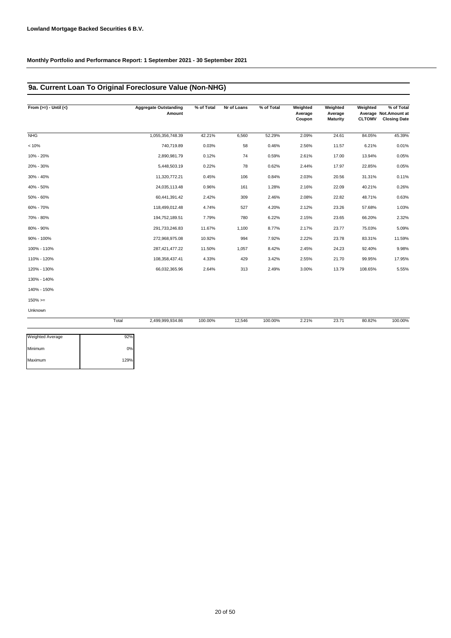# **9a. Current Loan To Original Foreclosure Value (Non-NHG)**

| From $(>=) -$ Until $(<)$ |       | <b>Aggregate Outstanding</b><br>Amount | % of Total | Nr of Loans | % of Total | Weighted<br>Average<br>Coupon | Weighted<br>Average<br><b>Maturity</b> | Weighted<br><b>CLTOMV</b> | % of Total<br>Average Not.Amount at<br><b>Closing Date</b> |
|---------------------------|-------|----------------------------------------|------------|-------------|------------|-------------------------------|----------------------------------------|---------------------------|------------------------------------------------------------|
| <b>NHG</b>                |       | 1,055,356,748.39                       | 42.21%     | 6,560       | 52.29%     | 2.09%                         | 24.61                                  | 84.05%                    | 45.39%                                                     |
| < 10%                     |       | 740,719.89                             | 0.03%      | 58          | 0.46%      | 2.56%                         | 11.57                                  | 6.21%                     | 0.01%                                                      |
| 10% - 20%                 |       | 2,890,981.79                           | 0.12%      | 74          | 0.59%      | 2.61%                         | 17.00                                  | 13.94%                    | 0.05%                                                      |
| 20% - 30%                 |       | 5,448,503.19                           | 0.22%      | 78          | 0.62%      | 2.44%                         | 17.97                                  | 22.85%                    | 0.05%                                                      |
| 30% - 40%                 |       | 11,320,772.21                          | 0.45%      | 106         | 0.84%      | 2.03%                         | 20.56                                  | 31.31%                    | 0.11%                                                      |
| 40% - 50%                 |       | 24,035,113.48                          | 0.96%      | 161         | 1.28%      | 2.16%                         | 22.09                                  | 40.21%                    | 0.26%                                                      |
| 50% - 60%                 |       | 60,441,391.42                          | 2.42%      | 309         | 2.46%      | 2.08%                         | 22.82                                  | 48.71%                    | 0.63%                                                      |
| 60% - 70%                 |       | 118,499,012.48                         | 4.74%      | 527         | 4.20%      | 2.12%                         | 23.26                                  | 57.68%                    | 1.03%                                                      |
| 70% - 80%                 |       | 194,752,189.51                         | 7.79%      | 780         | 6.22%      | 2.15%                         | 23.65                                  | 66.20%                    | 2.32%                                                      |
| 80% - 90%                 |       | 291,733,246.83                         | 11.67%     | 1,100       | 8.77%      | 2.17%                         | 23.77                                  | 75.03%                    | 5.09%                                                      |
| 90% - 100%                |       | 272,968,975.08                         | 10.92%     | 994         | 7.92%      | 2.22%                         | 23.78                                  | 83.31%                    | 11.59%                                                     |
| 100% - 110%               |       | 287,421,477.22                         | 11.50%     | 1,057       | 8.42%      | 2.45%                         | 24.23                                  | 92.40%                    | 9.98%                                                      |
| 110% - 120%               |       | 108,358,437.41                         | 4.33%      | 429         | 3.42%      | 2.55%                         | 21.70                                  | 99.95%                    | 17.95%                                                     |
| 120% - 130%               |       | 66,032,365.96                          | 2.64%      | 313         | 2.49%      | 3.00%                         | 13.79                                  | 108.65%                   | 5.55%                                                      |
| 130% - 140%               |       |                                        |            |             |            |                               |                                        |                           |                                                            |
| 140% - 150%               |       |                                        |            |             |            |                               |                                        |                           |                                                            |
| $150\%>=$                 |       |                                        |            |             |            |                               |                                        |                           |                                                            |
| Unknown                   |       |                                        |            |             |            |                               |                                        |                           |                                                            |
|                           | Total | 2,499,999,934.86                       | 100.00%    | 12,546      | 100.00%    | 2.21%                         | 23.71                                  | 80.82%                    | 100.00%                                                    |

| Weighted Average | 92%  |
|------------------|------|
| Minimum          | 0%   |
| Maximum          | 129% |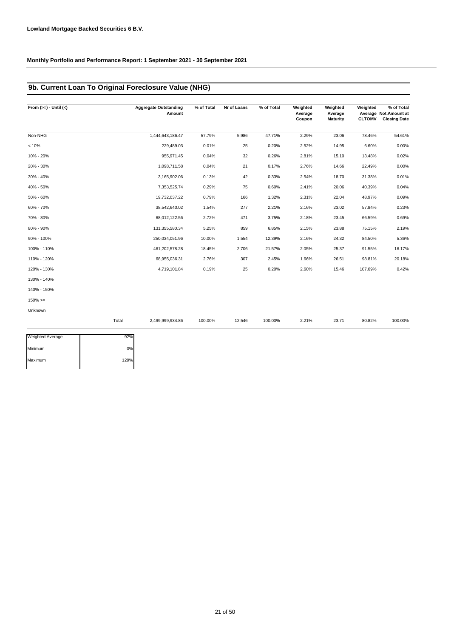# **9b. Current Loan To Original Foreclosure Value (NHG)**

| From $(>=) -$ Until $(<)$ |       | <b>Aggregate Outstanding</b><br>Amount | % of Total | Nr of Loans | % of Total | Weighted<br>Average<br>Coupon | Weighted<br>Average<br><b>Maturity</b> | Weighted | % of Total<br>Average Not.Amount at<br><b>CLTOMV</b> Closing Date |
|---------------------------|-------|----------------------------------------|------------|-------------|------------|-------------------------------|----------------------------------------|----------|-------------------------------------------------------------------|
| Non-NHG                   |       | 1,444,643,186.47                       | 57.79%     | 5,986       | 47.71%     | 2.29%                         | 23.06                                  | 78.46%   | 54.61%                                                            |
| < 10%                     |       | 229,489.03                             | 0.01%      | 25          | 0.20%      | 2.52%                         | 14.95                                  | 6.60%    | 0.00%                                                             |
| 10% - 20%                 |       | 955,971.45                             | 0.04%      | 32          | 0.26%      | 2.81%                         | 15.10                                  | 13.48%   | 0.02%                                                             |
| 20% - 30%                 |       | 1,098,711.58                           | 0.04%      | 21          | 0.17%      | 2.76%                         | 14.66                                  | 22.49%   | 0.00%                                                             |
| 30% - 40%                 |       | 3,165,902.06                           | 0.13%      | 42          | 0.33%      | 2.54%                         | 18.70                                  | 31.38%   | 0.01%                                                             |
| 40% - 50%                 |       | 7,353,525.74                           | 0.29%      | 75          | 0.60%      | 2.41%                         | 20.06                                  | 40.39%   | 0.04%                                                             |
| 50% - 60%                 |       | 19,732,037.22                          | 0.79%      | 166         | 1.32%      | 2.31%                         | 22.04                                  | 48.97%   | 0.09%                                                             |
| 60% - 70%                 |       | 38,542,640.02                          | 1.54%      | 277         | 2.21%      | 2.16%                         | 23.02                                  | 57.84%   | 0.23%                                                             |
| 70% - 80%                 |       | 68,012,122.56                          | 2.72%      | 471         | 3.75%      | 2.18%                         | 23.45                                  | 66.59%   | 0.69%                                                             |
| 80% - 90%                 |       | 131,355,580.34                         | 5.25%      | 859         | 6.85%      | 2.15%                         | 23.88                                  | 75.15%   | 2.19%                                                             |
| 90% - 100%                |       | 250,034,051.96                         | 10.00%     | 1,554       | 12.39%     | 2.16%                         | 24.32                                  | 84.50%   | 5.36%                                                             |
| 100% - 110%               |       | 461,202,578.28                         | 18.45%     | 2,706       | 21.57%     | 2.05%                         | 25.37                                  | 91.55%   | 16.17%                                                            |
| 110% - 120%               |       | 68,955,036.31                          | 2.76%      | 307         | 2.45%      | 1.66%                         | 26.51                                  | 98.81%   | 20.18%                                                            |
| 120% - 130%               |       | 4,719,101.84                           | 0.19%      | 25          | 0.20%      | 2.60%                         | 15.46                                  | 107.69%  | 0.42%                                                             |
| 130% - 140%               |       |                                        |            |             |            |                               |                                        |          |                                                                   |
| 140% - 150%               |       |                                        |            |             |            |                               |                                        |          |                                                                   |
| $150\%>=$                 |       |                                        |            |             |            |                               |                                        |          |                                                                   |
| Unknown                   |       |                                        |            |             |            |                               |                                        |          |                                                                   |
|                           | Total | 2,499,999,934.86                       | 100.00%    | 12,546      | 100.00%    | 2.21%                         | 23.71                                  | 80.82%   | 100.00%                                                           |

| Weighted Average | 92%  |
|------------------|------|
| Minimum          | 0%   |
| Maximum          | 129% |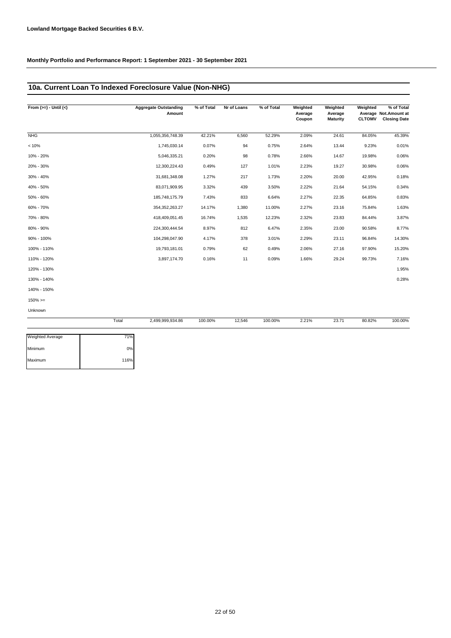# **10a. Current Loan To Indexed Foreclosure Value (Non-NHG)**

| From $(>=) -$ Until $(<)$ |       | <b>Aggregate Outstanding</b><br>Amount | % of Total | Nr of Loans | % of Total | Weighted<br>Average<br>Coupon | Weighted<br>Average<br><b>Maturity</b> | Weighted<br><b>CLTOMV</b> | % of Total<br>Average Not. Amount at<br><b>Closing Date</b> |
|---------------------------|-------|----------------------------------------|------------|-------------|------------|-------------------------------|----------------------------------------|---------------------------|-------------------------------------------------------------|
| NHG                       |       | 1,055,356,748.39                       | 42.21%     | 6,560       | 52.29%     | 2.09%                         | 24.61                                  | 84.05%                    | 45.39%                                                      |
| < 10%                     |       | 1,745,030.14                           | 0.07%      | 94          | 0.75%      | 2.64%                         | 13.44                                  | 9.23%                     | 0.01%                                                       |
| 10% - 20%                 |       | 5,046,335.21                           | 0.20%      | 98          | 0.78%      | 2.66%                         | 14.67                                  | 19.98%                    | 0.06%                                                       |
| 20% - 30%                 |       | 12,300,224.43                          | 0.49%      | 127         | 1.01%      | 2.23%                         | 19.27                                  | 30.98%                    | 0.06%                                                       |
| 30% - 40%                 |       | 31,681,348.08                          | 1.27%      | 217         | 1.73%      | 2.20%                         | 20.00                                  | 42.95%                    | 0.18%                                                       |
| 40% - 50%                 |       | 83,071,909.95                          | 3.32%      | 439         | 3.50%      | 2.22%                         | 21.64                                  | 54.15%                    | 0.34%                                                       |
| 50% - 60%                 |       | 185,748,175.79                         | 7.43%      | 833         | 6.64%      | 2.27%                         | 22.35                                  | 64.85%                    | 0.83%                                                       |
| 60% - 70%                 |       | 354, 352, 263. 27                      | 14.17%     | 1,380       | 11.00%     | 2.27%                         | 23.16                                  | 75.84%                    | 1.63%                                                       |
| 70% - 80%                 |       | 418,409,051.45                         | 16.74%     | 1,535       | 12.23%     | 2.32%                         | 23.83                                  | 84.44%                    | 3.87%                                                       |
| 80% - 90%                 |       | 224,300,444.54                         | 8.97%      | 812         | 6.47%      | 2.35%                         | 23.00                                  | 90.58%                    | 8.77%                                                       |
| 90% - 100%                |       | 104,298,047.90                         | 4.17%      | 378         | 3.01%      | 2.29%                         | 23.11                                  | 96.84%                    | 14.30%                                                      |
| 100% - 110%               |       | 19,793,181.01                          | 0.79%      | 62          | 0.49%      | 2.06%                         | 27.16                                  | 97.90%                    | 15.20%                                                      |
| 110% - 120%               |       | 3,897,174.70                           | 0.16%      | 11          | 0.09%      | 1.66%                         | 29.24                                  | 99.73%                    | 7.16%                                                       |
| 120% - 130%               |       |                                        |            |             |            |                               |                                        |                           | 1.95%                                                       |
| 130% - 140%               |       |                                        |            |             |            |                               |                                        |                           | 0.28%                                                       |
| 140% - 150%               |       |                                        |            |             |            |                               |                                        |                           |                                                             |
| $150\% >=$                |       |                                        |            |             |            |                               |                                        |                           |                                                             |
| Unknown                   |       |                                        |            |             |            |                               |                                        |                           |                                                             |
|                           | Total | 2,499,999,934.86                       | 100.00%    | 12,546      | 100.00%    | 2.21%                         | 23.71                                  | 80.82%                    | 100.00%                                                     |

| <b>Weighted Average</b> | 71%  |
|-------------------------|------|
| Minimum                 | 0%   |
| Maximum                 | 116% |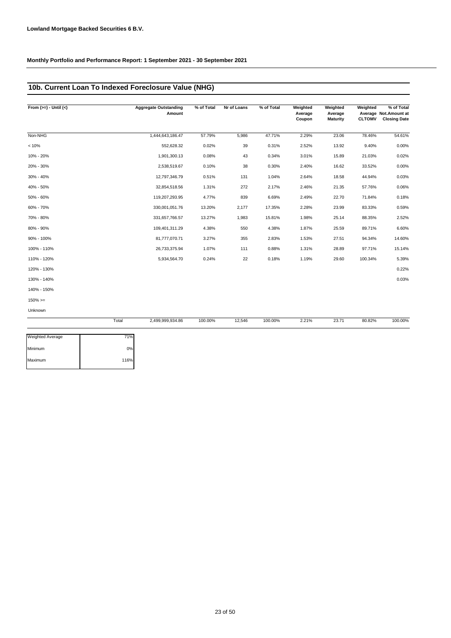# **10b. Current Loan To Indexed Foreclosure Value (NHG)**

| From $(>=) -$ Until $(<)$ |       | <b>Aggregate Outstanding</b><br>Amount | % of Total | Nr of Loans | % of Total | Weighted<br>Average<br>Coupon | Weighted<br>Average<br>Maturity | Weighted<br><b>CLTOMV</b> | % of Total<br>Average Not. Amount at<br><b>Closing Date</b> |
|---------------------------|-------|----------------------------------------|------------|-------------|------------|-------------------------------|---------------------------------|---------------------------|-------------------------------------------------------------|
| Non-NHG                   |       | 1,444,643,186.47                       | 57.79%     | 5,986       | 47.71%     | 2.29%                         | 23.06                           | 78.46%                    | 54.61%                                                      |
| < 10%                     |       | 552,628.32                             | 0.02%      | 39          | 0.31%      | 2.52%                         | 13.92                           | 9.40%                     | 0.00%                                                       |
| 10% - 20%                 |       | 1,901,300.13                           | 0.08%      | 43          | 0.34%      | 3.01%                         | 15.89                           | 21.03%                    | 0.02%                                                       |
| 20% - 30%                 |       | 2,538,519.67                           | 0.10%      | 38          | 0.30%      | 2.40%                         | 16.62                           | 33.52%                    | 0.00%                                                       |
| 30% - 40%                 |       | 12,797,346.79                          | 0.51%      | 131         | 1.04%      | 2.64%                         | 18.58                           | 44.94%                    | 0.03%                                                       |
| 40% - 50%                 |       | 32,854,518.56                          | 1.31%      | 272         | 2.17%      | 2.46%                         | 21.35                           | 57.76%                    | 0.06%                                                       |
| 50% - 60%                 |       | 119,207,293.95                         | 4.77%      | 839         | 6.69%      | 2.49%                         | 22.70                           | 71.84%                    | 0.18%                                                       |
| 60% - 70%                 |       | 330,001,051.76                         | 13.20%     | 2,177       | 17.35%     | 2.28%                         | 23.99                           | 83.33%                    | 0.59%                                                       |
| 70% - 80%                 |       | 331,657,766.57                         | 13.27%     | 1,983       | 15.81%     | 1.98%                         | 25.14                           | 88.35%                    | 2.52%                                                       |
| 80% - 90%                 |       | 109,401,311.29                         | 4.38%      | 550         | 4.38%      | 1.87%                         | 25.59                           | 89.71%                    | 6.60%                                                       |
| 90% - 100%                |       | 81,777,070.71                          | 3.27%      | 355         | 2.83%      | 1.53%                         | 27.51                           | 94.34%                    | 14.60%                                                      |
| 100% - 110%               |       | 26,733,375.94                          | 1.07%      | 111         | 0.88%      | 1.31%                         | 28.89                           | 97.71%                    | 15.14%                                                      |
| 110% - 120%               |       | 5,934,564.70                           | 0.24%      | 22          | 0.18%      | 1.19%                         | 29.60                           | 100.34%                   | 5.39%                                                       |
| 120% - 130%               |       |                                        |            |             |            |                               |                                 |                           | 0.22%                                                       |
| 130% - 140%               |       |                                        |            |             |            |                               |                                 |                           | 0.03%                                                       |
| 140% - 150%               |       |                                        |            |             |            |                               |                                 |                           |                                                             |
| $150\%>=$                 |       |                                        |            |             |            |                               |                                 |                           |                                                             |
| Unknown                   |       |                                        |            |             |            |                               |                                 |                           |                                                             |
|                           | Total | 2,499,999,934.86                       | 100.00%    | 12,546      | 100.00%    | 2.21%                         | 23.71                           | 80.82%                    | 100.00%                                                     |

| Weighted Average | 71%  |
|------------------|------|
| Minimum          | 0%   |
| Maximum          | 116% |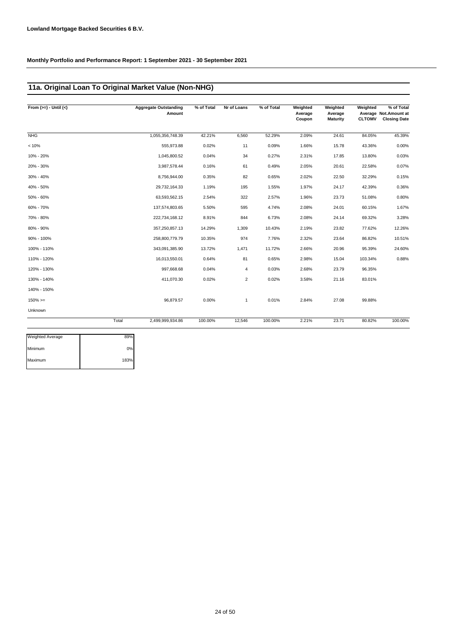# **11a. Original Loan To Original Market Value (Non-NHG)**

| From $(>=) -$ Until $(<)$ |       | <b>Aggregate Outstanding</b><br>Amount | % of Total | Nr of Loans    | % of Total | Weighted<br>Average<br>Coupon | Weighted<br>Average<br><b>Maturity</b> | Weighted<br><b>CLTOMV</b> | % of Total<br>Average Not.Amount at<br><b>Closing Date</b> |
|---------------------------|-------|----------------------------------------|------------|----------------|------------|-------------------------------|----------------------------------------|---------------------------|------------------------------------------------------------|
| NHG                       |       | 1,055,356,748.39                       | 42.21%     | 6,560          | 52.29%     | 2.09%                         | 24.61                                  | 84.05%                    | 45.39%                                                     |
| < 10%                     |       | 555,973.88                             | 0.02%      | 11             | 0.09%      | 1.66%                         | 15.78                                  | 43.36%                    | 0.00%                                                      |
| 10% - 20%                 |       | 1,045,800.52                           | 0.04%      | 34             | 0.27%      | 2.31%                         | 17.85                                  | 13.80%                    | 0.03%                                                      |
| 20% - 30%                 |       | 3,987,578.44                           | 0.16%      | 61             | 0.49%      | 2.05%                         | 20.61                                  | 22.58%                    | 0.07%                                                      |
| 30% - 40%                 |       | 8,756,944.00                           | 0.35%      | 82             | 0.65%      | 2.02%                         | 22.50                                  | 32.29%                    | 0.15%                                                      |
| 40% - 50%                 |       | 29,732,164.33                          | 1.19%      | 195            | 1.55%      | 1.97%                         | 24.17                                  | 42.39%                    | 0.36%                                                      |
| 50% - 60%                 |       | 63,593,562.15                          | 2.54%      | 322            | 2.57%      | 1.96%                         | 23.73                                  | 51.08%                    | 0.80%                                                      |
| 60% - 70%                 |       | 137,574,803.65                         | 5.50%      | 595            | 4.74%      | 2.08%                         | 24.01                                  | 60.15%                    | 1.67%                                                      |
| 70% - 80%                 |       | 222,734,168.12                         | 8.91%      | 844            | 6.73%      | 2.08%                         | 24.14                                  | 69.32%                    | 3.28%                                                      |
| 80% - 90%                 |       | 357,250,857.13                         | 14.29%     | 1,309          | 10.43%     | 2.19%                         | 23.82                                  | 77.62%                    | 12.26%                                                     |
| 90% - 100%                |       | 258,800,779.79                         | 10.35%     | 974            | 7.76%      | 2.32%                         | 23.64                                  | 86.82%                    | 10.51%                                                     |
| 100% - 110%               |       | 343,091,385.90                         | 13.72%     | 1,471          | 11.72%     | 2.66%                         | 20.96                                  | 95.39%                    | 24.60%                                                     |
| 110% - 120%               |       | 16,013,550.01                          | 0.64%      | 81             | 0.65%      | 2.98%                         | 15.04                                  | 103.34%                   | 0.88%                                                      |
| 120% - 130%               |       | 997,668.68                             | 0.04%      | $\overline{4}$ | 0.03%      | 2.68%                         | 23.79                                  | 96.35%                    |                                                            |
| 130% - 140%               |       | 411,070.30                             | 0.02%      | $\overline{2}$ | 0.02%      | 3.58%                         | 21.16                                  | 83.01%                    |                                                            |
| 140% - 150%               |       |                                        |            |                |            |                               |                                        |                           |                                                            |
| $150\%>=$                 |       | 96.879.57                              | 0.00%      | $\mathbf{1}$   | 0.01%      | 2.84%                         | 27.08                                  | 99.88%                    |                                                            |
| Unknown                   |       |                                        |            |                |            |                               |                                        |                           |                                                            |
|                           | Total | 2,499,999,934.86                       | 100.00%    | 12,546         | 100.00%    | 2.21%                         | 23.71                                  | 80.82%                    | 100.00%                                                    |

| Weighted Average | 89%  |
|------------------|------|
| Minimum          | 0%   |
| Maximum          | 183% |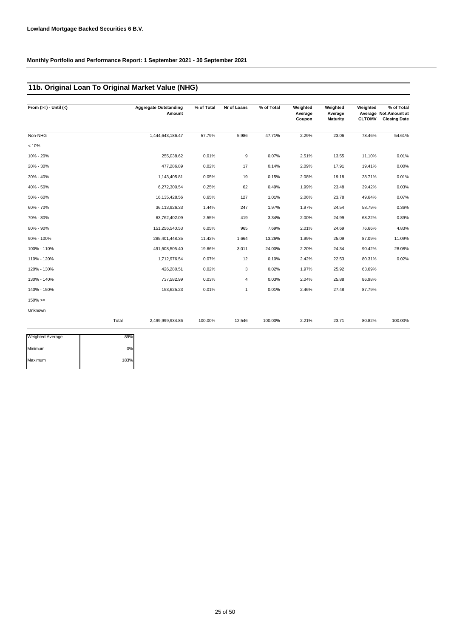# **11b. Original Loan To Original Market Value (NHG)**

| From $(>=) -$ Until $(<)$ |       | <b>Aggregate Outstanding</b><br>Amount | % of Total | Nr of Loans    | % of Total | Weighted<br>Average<br>Coupon | Weighted<br>Average<br>Maturity | Weighted<br><b>CLTOMV</b> | % of Total<br>Average Not.Amount at<br><b>Closing Date</b> |
|---------------------------|-------|----------------------------------------|------------|----------------|------------|-------------------------------|---------------------------------|---------------------------|------------------------------------------------------------|
| Non-NHG                   |       | 1,444,643,186.47                       | 57.79%     | 5,986          | 47.71%     | 2.29%                         | 23.06                           | 78.46%                    | 54.61%                                                     |
| < 10%                     |       |                                        |            |                |            |                               |                                 |                           |                                                            |
| 10% - 20%                 |       | 255,038.62                             | 0.01%      | 9              | 0.07%      | 2.51%                         | 13.55                           | 11.10%                    | 0.01%                                                      |
| 20% - 30%                 |       | 477,286.89                             | 0.02%      | 17             | 0.14%      | 2.09%                         | 17.91                           | 19.41%                    | 0.00%                                                      |
| 30% - 40%                 |       | 1,143,405.81                           | 0.05%      | 19             | 0.15%      | 2.08%                         | 19.18                           | 28.71%                    | 0.01%                                                      |
| 40% - 50%                 |       | 6,272,300.54                           | 0.25%      | 62             | 0.49%      | 1.99%                         | 23.48                           | 39.42%                    | 0.03%                                                      |
| 50% - 60%                 |       | 16,135,428.56                          | 0.65%      | 127            | 1.01%      | 2.06%                         | 23.78                           | 49.64%                    | 0.07%                                                      |
| 60% - 70%                 |       | 36,113,926.33                          | 1.44%      | 247            | 1.97%      | 1.97%                         | 24.54                           | 58.79%                    | 0.36%                                                      |
| 70% - 80%                 |       | 63,762,402.09                          | 2.55%      | 419            | 3.34%      | 2.00%                         | 24.99                           | 68.22%                    | 0.89%                                                      |
| 80% - 90%                 |       | 151,256,540.53                         | 6.05%      | 965            | 7.69%      | 2.01%                         | 24.69                           | 76.66%                    | 4.83%                                                      |
| 90% - 100%                |       | 285,401,448.35                         | 11.42%     | 1,664          | 13.26%     | 1.99%                         | 25.09                           | 87.09%                    | 11.09%                                                     |
| 100% - 110%               |       | 491,508,505.40                         | 19.66%     | 3,011          | 24.00%     | 2.20%                         | 24.34                           | 90.42%                    | 28.08%                                                     |
| 110% - 120%               |       | 1,712,976.54                           | 0.07%      | 12             | 0.10%      | 2.42%                         | 22.53                           | 80.31%                    | 0.02%                                                      |
| 120% - 130%               |       | 426,280.51                             | 0.02%      | 3              | 0.02%      | 1.97%                         | 25.92                           | 63.69%                    |                                                            |
| 130% - 140%               |       | 737,582.99                             | 0.03%      | $\overline{4}$ | 0.03%      | 2.04%                         | 25.88                           | 86.98%                    |                                                            |
| 140% - 150%               |       | 153,625.23                             | 0.01%      | $\mathbf{1}$   | 0.01%      | 2.46%                         | 27.48                           | 87.79%                    |                                                            |
| $150\%>=$                 |       |                                        |            |                |            |                               |                                 |                           |                                                            |
| Unknown                   |       |                                        |            |                |            |                               |                                 |                           |                                                            |
|                           | Total | 2,499,999,934.86                       | 100.00%    | 12,546         | 100.00%    | 2.21%                         | 23.71                           | 80.82%                    | 100.00%                                                    |

| Weighted Average | 89%  |
|------------------|------|
| Minimum          | 0%   |
| Maximum          | 183% |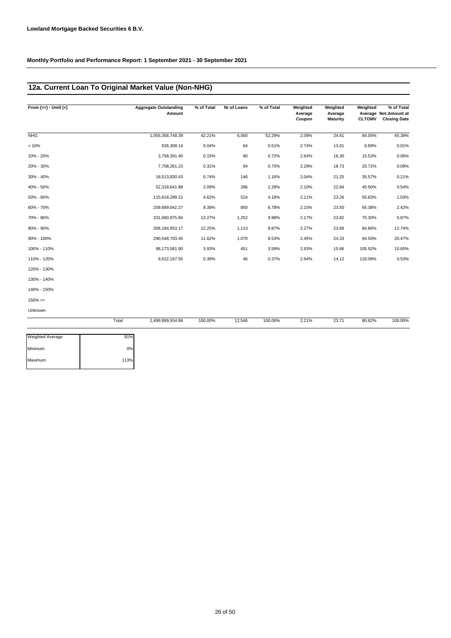# **12a. Current Loan To Original Market Value (Non-NHG)**

| From $(>=) -$ Until $(<)$ |       | <b>Aggregate Outstanding</b><br>Amount | % of Total | Nr of Loans | % of Total | Weighted<br>Average<br>Coupon | Weighted<br>Average<br><b>Maturity</b> | Weighted | % of Total<br>Average Not.Amount at<br><b>CLTOMV</b> Closing Date |
|---------------------------|-------|----------------------------------------|------------|-------------|------------|-------------------------------|----------------------------------------|----------|-------------------------------------------------------------------|
| <b>NHG</b>                |       | 1,055,356,748.39                       | 42.21%     | 6,560       | 52.29%     | 2.09%                         | 24.61                                  | 84.05%   | 45.39%                                                            |
| < 10%                     |       | 926,308.14                             | 0.04%      | 64          | 0.51%      | 2.74%                         | 13.01                                  | 6.89%    | 0.01%                                                             |
| 10% - 20%                 |       | 3,758,391.40                           | 0.15%      | 90          | 0.72%      | 2.64%                         | 16.30                                  | 15.53%   | 0.06%                                                             |
| 20% - 30%                 |       | 7,708,261.23                           | 0.31%      | 94          | 0.75%      | 2.29%                         | 18.73                                  | 25.72%   | 0.09%                                                             |
| 30% - 40%                 |       | 18,513,830.43                          | 0.74%      | 146         | 1.16%      | 2.04%                         | 21.25                                  | 35.57%   | 0.21%                                                             |
| 40% - 50%                 |       | 52,318,641.88                          | 2.09%      | 286         | 2.28%      | 2.10%                         | 22.84                                  | 45.90%   | 0.54%                                                             |
| 50% - 60%                 |       | 115,618,299.21                         | 4.62%      | 524         | 4.18%      | 2.11%                         | 23.26                                  | 55.83%   | 1.03%                                                             |
| 60% - 70%                 |       | 209,689,042.27                         | 8.39%      | 850         | 6.78%      | 2.15%                         | 23.50                                  | 65.38%   | 2.42%                                                             |
| 70% - 80%                 |       | 331,680,975.84                         | 13.27%     | 1,252       | 9.98%      | 2.17%                         | 23.82                                  | 75.30%   | 5.87%                                                             |
| 80% - 90%                 |       | 306, 184, 953. 17                      | 12.25%     | 1,113       | 8.87%      | 2.27%                         | 23.66                                  | 84.86%   | 12.74%                                                            |
| 90% - 100%                |       | 290,548,703.45                         | 11.62%     | 1,070       | 8.53%      | 2.45%                         | 24.33                                  | 94.50%   | 20.47%                                                            |
| 100% - 110%               |       | 98,173,581.90                          | 3.93%      | 451         | 3.59%      | 2.93%                         | 15.66                                  | 105.92%  | 10.65%                                                            |
| 110% - 120%               |       | 9,522,197.55                           | 0.38%      | 46          | 0.37%      | 2.94%                         | 14.12                                  | 110.08%  | 0.53%                                                             |
| 120% - 130%               |       |                                        |            |             |            |                               |                                        |          |                                                                   |
| 130% - 140%               |       |                                        |            |             |            |                               |                                        |          |                                                                   |
| 140% - 150%               |       |                                        |            |             |            |                               |                                        |          |                                                                   |
| $150\%>=$                 |       |                                        |            |             |            |                               |                                        |          |                                                                   |
| Unknown                   |       |                                        |            |             |            |                               |                                        |          |                                                                   |
|                           | Total | 2,499,999,934.86                       | 100.00%    | 12,546      | 100.00%    | 2.21%                         | 23.71                                  | 80.82%   | 100.00%                                                           |

| <b>Weighted Average</b> | 81%  |
|-------------------------|------|
| Minimum                 | 0%   |
| Maximum                 | 113% |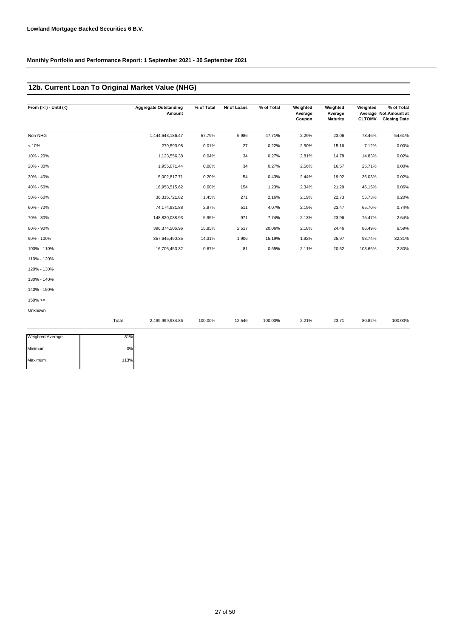# **12b. Current Loan To Original Market Value (NHG)**

| From $(>=) -$ Until $(<)$ | <b>Aggregate Outstanding</b><br>Amount | % of Total | Nr of Loans | % of Total | Weighted<br>Average<br>Coupon | Weighted<br>Average<br><b>Maturity</b> | Weighted<br><b>CLTOMV</b> | % of Total<br>Average Not. Amount at<br><b>Closing Date</b> |
|---------------------------|----------------------------------------|------------|-------------|------------|-------------------------------|----------------------------------------|---------------------------|-------------------------------------------------------------|
| Non-NHG                   | 1,444,643,186.47                       | 57.79%     | 5,986       | 47.71%     | 2.29%                         | 23.06                                  | 78.46%                    | 54.61%                                                      |
| < 10%                     | 279.593.98                             | 0.01%      | 27          | 0.22%      | 2.50%                         | 15.16                                  | 7.12%                     | 0.00%                                                       |
| 10% - 20%                 | 1,123,556.38                           | 0.04%      | 34          | 0.27%      | 2.81%                         | 14.78                                  | 14.83%                    | 0.02%                                                       |
| 20% - 30%                 | 1,955,071.44                           | 0.08%      | 34          | 0.27%      | 2.56%                         | 16.57                                  | 25.71%                    | 0.00%                                                       |
| 30% - 40%                 | 5,002,817.71                           | 0.20%      | 54          | 0.43%      | 2.44%                         | 19.92                                  | 36.03%                    | 0.02%                                                       |
| 40% - 50%                 | 16,958,515.62                          | 0.68%      | 154         | 1.23%      | 2.34%                         | 21.29                                  | 46.15%                    | 0.06%                                                       |
| 50% - 60%                 | 36,316,721.82                          | 1.45%      | 271         | 2.16%      | 2.19%                         | 22.73                                  | 55.73%                    | 0.20%                                                       |
| 60% - 70%                 | 74,174,931.88                          | 2.97%      | 511         | 4.07%      | 2.19%                         | 23.47                                  | 65.70%                    | 0.74%                                                       |
| 70% - 80%                 | 148,820,088.93                         | 5.95%      | 971         | 7.74%      | 2.13%                         | 23.96                                  | 75.47%                    | 2.64%                                                       |
| 80% - 90%                 | 396,374,506.96                         | 15.85%     | 2,517       | 20.06%     | 2.18%                         | 24.46                                  | 86.49%                    | 6.59%                                                       |
| 90% - 100%                | 357,645,490.35                         | 14.31%     | 1,906       | 15.19%     | 1.92%                         | 25.97                                  | 93.74%                    | 32.31%                                                      |
| 100% - 110%               | 16,705,453.32                          | 0.67%      | 81          | 0.65%      | 2.11%                         | 20.62                                  | 103.66%                   | 2.80%                                                       |
| 110% - 120%               |                                        |            |             |            |                               |                                        |                           |                                                             |
| 120% - 130%               |                                        |            |             |            |                               |                                        |                           |                                                             |
| 130% - 140%               |                                        |            |             |            |                               |                                        |                           |                                                             |
| 140% - 150%               |                                        |            |             |            |                               |                                        |                           |                                                             |
| $150\%>=$                 |                                        |            |             |            |                               |                                        |                           |                                                             |
| Unknown                   |                                        |            |             |            |                               |                                        |                           |                                                             |
|                           | Total<br>2,499,999,934.86              | 100.00%    | 12,546      | 100.00%    | 2.21%                         | 23.71                                  | 80.82%                    | 100.00%                                                     |

| Weighted Average | 81%  |
|------------------|------|
| Minimum          | 0%   |
| Maximum          | 113% |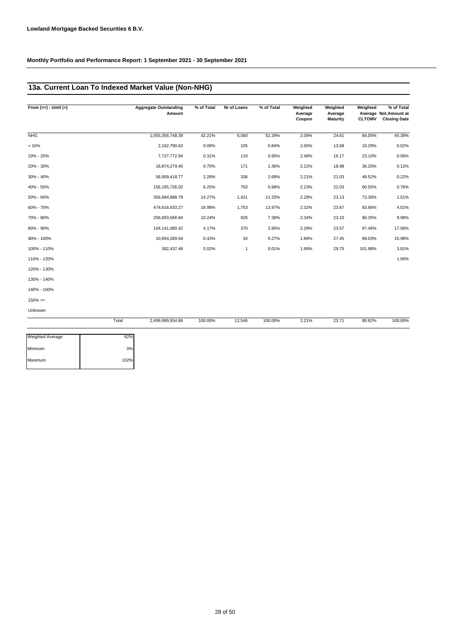# **13a. Current Loan To Indexed Market Value (Non-NHG)**

| From $(>=) -$ Until $(<)$ | <b>Aggregate Outstanding</b><br>Amount | % of Total | Nr of Loans  | % of Total | Weighted<br>Average<br>Coupon | Weighted<br>Average<br><b>Maturity</b> | Weighted<br><b>CLTOMV</b> | % of Total<br>Average Not. Amount at<br><b>Closing Date</b> |
|---------------------------|----------------------------------------|------------|--------------|------------|-------------------------------|----------------------------------------|---------------------------|-------------------------------------------------------------|
| <b>NHG</b>                | 1,055,356,748.39                       | 42.21%     | 6,560        | 52.29%     | 2.09%                         | 24.61                                  | 84.05%                    | 45.39%                                                      |
| < 10%                     | 2,162,790.63                           | 0.09%      | 105          | 0.84%      | 2.65%                         | 13.68                                  | 10.29%                    | 0.02%                                                       |
| 10% - 20%                 | 7,727,772.94                           | 0.31%      | 119          | 0.95%      | 2.48%                         | 16.17                                  | 23.10%                    | 0.06%                                                       |
| 20% - 30%                 | 18,874,279.40                          | 0.75%      | 171          | 1.36%      | 2.22%                         | 18.98                                  | 36.20%                    | 0.12%                                                       |
| 30% - 40%                 | 56,909,418.77                          | 2.28%      | 336          | 2.68%      | 2.21%                         | 21.03                                  | 48.52%                    | 0.22%                                                       |
| 40% - 50%                 | 156, 195, 726.02                       | 6.25%      | 750          | 5.98%      | 2.23%                         | 22.03                                  | 60.55%                    | 0.76%                                                       |
| 50% - 60%                 | 356,684,888.78                         | 14.27%     | 1,421        | 11.33%     | 2.28%                         | 23.13                                  | 73.30%                    | 1.51%                                                       |
| 60% - 70%                 | 474,616,933.27                         | 18.98%     | 1,753        | 13.97%     | 2.32%                         | 23.67                                  | 83.66%                    | 4.01%                                                       |
| 70% - 80%                 | 256,093,568.84                         | 10.24%     | 926          | 7.38%      | 2.34%                         | 23.10                                  | 90.35%                    | 9.98%                                                       |
| 80% - 90%                 | 104,141,080.42                         | 4.17%      | 370          | 2.95%      | 2.29%                         | 23.57                                  | 97.46%                    | 17.06%                                                      |
| 90% - 100%                | 10,854,289.94                          | 0.43%      | 34           | 0.27%      | 1.89%                         | 27.45                                  | 99.03%                    | 15.98%                                                      |
| 100% - 110%               | 382,437.46                             | 0.02%      | $\mathbf{1}$ | 0.01%      | 1.99%                         | 29.75                                  | 101.98%                   | 3.81%                                                       |
| 110% - 120%               |                                        |            |              |            |                               |                                        |                           | 1.06%                                                       |
| 120% - 130%               |                                        |            |              |            |                               |                                        |                           |                                                             |
| 130% - 140%               |                                        |            |              |            |                               |                                        |                           |                                                             |
| 140% - 150%               |                                        |            |              |            |                               |                                        |                           |                                                             |
| $150\% >=$                |                                        |            |              |            |                               |                                        |                           |                                                             |
| Unknown                   |                                        |            |              |            |                               |                                        |                           |                                                             |

|                         | Total | 2,499,999,934.86 | 100.00% | 12,546 | 100.00% | 2.21% | 23.71 | 80.82% | 100.00% |
|-------------------------|-------|------------------|---------|--------|---------|-------|-------|--------|---------|
| <b>Weighted Average</b> | 62%   |                  |         |        |         |       |       |        |         |
| Minimum                 | 0%    |                  |         |        |         |       |       |        |         |

| weighted Average | 62%  |
|------------------|------|
| Minimum          | 0%   |
| Maximum          | 102% |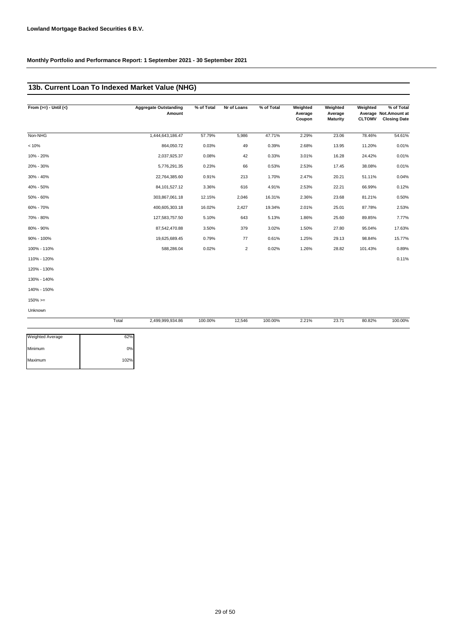# **13b. Current Loan To Indexed Market Value (NHG)**

| From $(>=) -$ Until $(<)$ | <b>Aggregate Outstanding</b><br>Amount | % of Total | Nr of Loans    | % of Total | Weighted<br>Average<br>Coupon | Weighted<br>Average<br><b>Maturity</b> | Weighted<br><b>CLTOMV</b> | % of Total<br>Average Not.Amount at<br><b>Closing Date</b> |
|---------------------------|----------------------------------------|------------|----------------|------------|-------------------------------|----------------------------------------|---------------------------|------------------------------------------------------------|
| Non-NHG                   | 1,444,643,186.47                       | 57.79%     | 5,986          | 47.71%     | 2.29%                         | 23.06                                  | 78.46%                    | 54.61%                                                     |
| < 10%                     | 864,050.72                             | 0.03%      | 49             | 0.39%      | 2.68%                         | 13.95                                  | 11.20%                    | 0.01%                                                      |
| 10% - 20%                 | 2,037,925.37                           | 0.08%      | 42             | 0.33%      | 3.01%                         | 16.28                                  | 24.42%                    | 0.01%                                                      |
| 20% - 30%                 | 5,776,291.35                           | 0.23%      | 66             | 0.53%      | 2.53%                         | 17.45                                  | 38.08%                    | 0.01%                                                      |
| 30% - 40%                 | 22,764,385.60                          | 0.91%      | 213            | 1.70%      | 2.47%                         | 20.21                                  | 51.11%                    | 0.04%                                                      |
| 40% - 50%                 | 84, 101, 527. 12                       | 3.36%      | 616            | 4.91%      | 2.53%                         | 22.21                                  | 66.99%                    | 0.12%                                                      |
| 50% - 60%                 | 303,867,061.18                         | 12.15%     | 2,046          | 16.31%     | 2.36%                         | 23.68                                  | 81.21%                    | 0.50%                                                      |
| 60% - 70%                 | 400,605,303.18                         | 16.02%     | 2,427          | 19.34%     | 2.01%                         | 25.01                                  | 87.78%                    | 2.53%                                                      |
| 70% - 80%                 | 127,583,757.50                         | 5.10%      | 643            | 5.13%      | 1.86%                         | 25.60                                  | 89.85%                    | 7.77%                                                      |
| 80% - 90%                 | 87,542,470.88                          | 3.50%      | 379            | 3.02%      | 1.50%                         | 27.80                                  | 95.04%                    | 17.63%                                                     |
| 90% - 100%                | 19,625,689.45                          | 0.79%      | 77             | 0.61%      | 1.25%                         | 29.13                                  | 98.84%                    | 15.77%                                                     |
| 100% - 110%               | 588,286.04                             | 0.02%      | $\overline{2}$ | 0.02%      | 1.26%                         | 28.82                                  | 101.43%                   | 0.89%                                                      |
| 110% - 120%               |                                        |            |                |            |                               |                                        |                           | 0.11%                                                      |
| 120% - 130%               |                                        |            |                |            |                               |                                        |                           |                                                            |
| 130% - 140%               |                                        |            |                |            |                               |                                        |                           |                                                            |
| 140% - 150%               |                                        |            |                |            |                               |                                        |                           |                                                            |
| $150\% >=$                |                                        |            |                |            |                               |                                        |                           |                                                            |

Unknown

|                  | Tota<br>. | 2,499,999,934.86<br>. | 100.00% | 12,546 | 100.00% | 221%<br>2.21/0<br>$\sim$ $\sim$ | $\sim -1$<br>20.1<br>the contract of the contract of the | 80.82%<br>. | 100.00%<br>. |
|------------------|-----------|-----------------------|---------|--------|---------|---------------------------------|----------------------------------------------------------|-------------|--------------|
|                  |           |                       |         |        |         |                                 |                                                          |             |              |
| Meinhted Average | 62%       |                       |         |        |         |                                 |                                                          |             |              |

| <b>Weighted Average</b> | 62%  |
|-------------------------|------|
| Minimum                 | 0%   |
| Maximum                 | 102% |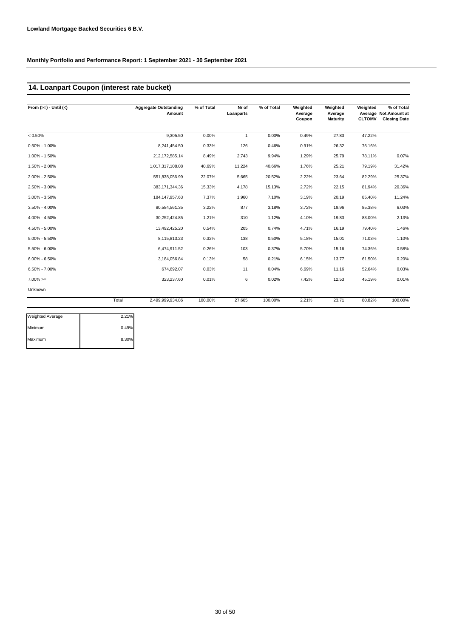# **14. Loanpart Coupon (interest rate bucket)**

| From $(>=) -$ Until $(<)$ |       | <b>Aggregate Outstanding</b><br>Amount | % of Total | Nr of<br>Loanparts | % of Total | Weighted<br>Average<br>Coupon | Weighted<br>Average<br>Maturity | Weighted<br><b>CLTOMV</b> | % of Total<br>Average Not. Amount at<br><b>Closing Date</b> |
|---------------------------|-------|----------------------------------------|------------|--------------------|------------|-------------------------------|---------------------------------|---------------------------|-------------------------------------------------------------|
| $< 0.50\%$                |       | 9.305.50                               | 0.00%      | $\mathbf{1}$       | 0.00%      | 0.49%                         | 27.83                           | 47.22%                    |                                                             |
| $0.50\% - 1.00\%$         |       | 8,241,454.50                           | 0.33%      | 126                | 0.46%      | 0.91%                         | 26.32                           | 75.16%                    |                                                             |
| 1.00% - 1.50%             |       | 212, 172, 585. 14                      | 8.49%      | 2,743              | 9.94%      | 1.29%                         | 25.79                           | 78.11%                    | 0.07%                                                       |
| 1.50% - 2.00%             |       | 1,017,317,108.08                       | 40.69%     | 11,224             | 40.66%     | 1.76%                         | 25.21                           | 79.19%                    | 31.42%                                                      |
| 2.00% - 2.50%             |       | 551,838,056.99                         | 22.07%     | 5,665              | 20.52%     | 2.22%                         | 23.64                           | 82.29%                    | 25.37%                                                      |
| 2.50% - 3.00%             |       | 383,171,344.36                         | 15.33%     | 4,178              | 15.13%     | 2.72%                         | 22.15                           | 81.94%                    | 20.36%                                                      |
| $3.00\% - 3.50\%$         |       | 184, 147, 957. 63                      | 7.37%      | 1,960              | 7.10%      | 3.19%                         | 20.19                           | 85.40%                    | 11.24%                                                      |
| $3.50\% - 4.00\%$         |       | 80,584,561.35                          | 3.22%      | 877                | 3.18%      | 3.72%                         | 19.96                           | 85.38%                    | 6.03%                                                       |
| 4.00% - 4.50%             |       | 30,252,424.85                          | 1.21%      | 310                | 1.12%      | 4.10%                         | 19.83                           | 83.00%                    | 2.13%                                                       |
| 4.50% - 5.00%             |       | 13,492,425.20                          | 0.54%      | 205                | 0.74%      | 4.71%                         | 16.19                           | 79.40%                    | 1.46%                                                       |
| $5.00\% - 5.50\%$         |       | 8,115,813.23                           | 0.32%      | 138                | 0.50%      | 5.18%                         | 15.01                           | 71.03%                    | 1.10%                                                       |
| $5.50\% - 6.00\%$         |       | 6,474,911.52                           | 0.26%      | 103                | 0.37%      | 5.70%                         | 15.16                           | 74.36%                    | 0.58%                                                       |
| $6.00\% - 6.50\%$         |       | 3,184,056.84                           | 0.13%      | 58                 | 0.21%      | 6.15%                         | 13.77                           | 61.50%                    | 0.20%                                                       |
| $6.50\% - 7.00\%$         |       | 674,692.07                             | 0.03%      | 11                 | 0.04%      | 6.69%                         | 11.16                           | 52.64%                    | 0.03%                                                       |
| $7.00\% =$                |       | 323,237.60                             | 0.01%      | 6                  | 0.02%      | 7.42%                         | 12.53                           | 45.19%                    | 0.01%                                                       |
| Unknown                   |       |                                        |            |                    |            |                               |                                 |                           |                                                             |
|                           | Total | 2,499,999,934.86                       | 100.00%    | 27,605             | 100.00%    | 2.21%                         | 23.71                           | 80.82%                    | 100.00%                                                     |

| <b>Weighted Average</b> | 2.21% |
|-------------------------|-------|
| Minimum                 | 0.49% |
| Maximum                 | 8.30% |
|                         |       |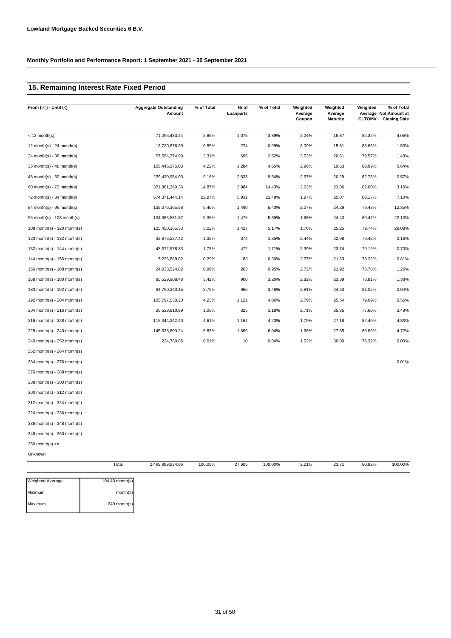# **15. Remaining Interest Rate Fixed Period**

| From $(>=) -$ Until $(<)$       | <b>Aggregate Outstanding</b><br>Amount | % of Total | Nr of<br>Loanparts | % of Total | Weighted<br>Average<br>Coupon | Weighted<br>Average<br><b>Maturity</b> | Weighted<br><b>CLTOMV</b> | % of Total<br>Average Not. Amount at<br><b>Closing Date</b> |
|---------------------------------|----------------------------------------|------------|--------------------|------------|-------------------------------|----------------------------------------|---------------------------|-------------------------------------------------------------|
| $<$ 12 month(s)                 | 71,265,433.44                          | 2.85%      | 1,075              | 3.89%      | 2.24%                         | 15.87                                  | 82.32%                    | 4.05%                                                       |
| 12 month(s) - 24 month(s)       | 13,720,676.39                          | 0.55%      | 274                | 0.99%      | 3.09%                         | 15.81                                  | 83.66%                    | 1.53%                                                       |
| 24 month(s) - 36 month(s)       | 57,654,374.99                          | 2.31%      | 695                | 2.52%      | 3.72%                         | 20.61                                  | 79.57%                    | 1.49%                                                       |
| $36$ month(s) - 48 month(s)     | 105,445,375.03                         | 4.22%      | 1,284              | 4.65%      | 2.96%                         | 19.53                                  | 80.99%                    | 0.64%                                                       |
| $48$ month(s) - 60 month(s)     | 229,430,954.03                         | 9.18%      | 2,633              | 9.54%      | 2.57%                         | 20.29                                  | 82.73%                    | 0.57%                                                       |
| 60 month(s) - 72 month(s)       | 371,861,369.36                         | 14.87%     | 3,984              | 14.43%     | 2.03%                         | 23.06                                  | 82.60%                    | 3.10%                                                       |
| 72 month(s) - 84 month(s)       | 574,371,444.14                         | 22.97%     | 5,931              | 21.49%     | 1.97%                         | 25.07                                  | 80.17%                    | 7.10%                                                       |
| 84 month(s) - 96 month(s)       | 135,076,365.58                         | 5.40%      | 1,490              | 5.40%      | 2.07%                         | 24.29                                  | 79.48%                    | 12.35%                                                      |
| 96 month(s) - 108 month(s)      | 134,383,531.87                         | 5.38%      | 1,476              | 5.35%      | 1.68%                         | 24.43                                  | 80.47%                    | 22.13%                                                      |
| 108 month(s) - 120 month(s)     | 125,450,365.33                         | 5.02%      | 1,427              | 5.17%      | 1.70%                         | 25.25                                  | 79.74%                    | 29.08%                                                      |
| $120$ month(s) - $132$ month(s) | 32,876,227.42                          | 1.32%      | 374                | 1.35%      | 2.44%                         | 22.98                                  | 79.42%                    | 0.16%                                                       |
| 132 month(s) - 144 month(s)     | 43,372,978.33                          | 1.73%      | 472                | 1.71%      | 2.39%                         | 23.74                                  | 79.19%                    | 0.70%                                                       |
| 144 month(s) - 156 month(s)     | 7,236,889.82                           | 0.29%      | 83                 | 0.30%      | 2.77%                         | 21.63                                  | 78.22%                    | 0.81%                                                       |
| 156 month(s) - 168 month(s)     | 24,038,524.82                          | 0.96%      | 263                | 0.95%      | 2.72%                         | 21.92                                  | 78.78%                    | 1.26%                                                       |
| 168 month(s) - 180 month(s)     | 85,529,908.48                          | 3.42%      | 900                | 3.26%      | 2.82%                         | 23.39                                  | 78.81%                    | 1.38%                                                       |
| 180 month(s) - 192 month(s)     | 94,760,343.15                          | 3.79%      | 955                | 3.46%      | 2.81%                         | 24.63                                  | 81.02%                    | 0.04%                                                       |
| 192 month(s) - 204 month(s)     | 105,797,538.20                         | 4.23%      | 1,121              | 4.06%      | 2.79%                         | 25.54                                  | 79.09%                    | 0.56%                                                       |
| 204 month(s) - 216 month(s)     | 26,529,810.99                          | 1.06%      | 325                | 1.18%      | 2.71%                         | 25.35                                  | 77.60%                    | 3.49%                                                       |
| 216 month(s) - 228 month(s)     | 115,344,242.40                         | 4.61%      | 1,167              | 4.23%      | 1.79%                         | 27.18                                  | 82.40%                    | 4.83%                                                       |
| 228 month(s) - 240 month(s)     | 145,628,800.24                         | 5.83%      | 1,666              | 6.04%      | 1.68%                         | 27.55                                  | 80.66%                    | 4.72%                                                       |
| 240 month(s) - 252 month(s)     | 224,780.85                             | 0.01%      | 10                 | 0.04%      | 1.53%                         | 30.00                                  | 76.32%                    | 0.00%                                                       |
| 252 month(s) - 264 month(s)     |                                        |            |                    |            |                               |                                        |                           |                                                             |
| 264 month(s) - 276 month(s)     |                                        |            |                    |            |                               |                                        |                           | 0.01%                                                       |
| 276 month(s) - 288 month(s)     |                                        |            |                    |            |                               |                                        |                           |                                                             |
| 288 month(s) - 300 month(s)     |                                        |            |                    |            |                               |                                        |                           |                                                             |
| 300 month(s) - 312 month(s)     |                                        |            |                    |            |                               |                                        |                           |                                                             |
| 312 month(s) - 324 month(s)     |                                        |            |                    |            |                               |                                        |                           |                                                             |
| 324 month(s) - 336 month(s)     |                                        |            |                    |            |                               |                                        |                           |                                                             |

336 month(s) - 348 month(s)

348 month(s) - 360 month(s)

Weighted Average

 $360$  month(s)  $>=$ 

Unknown

| Total             | 2,499,999,934.86 | 100.00% | 27.605 | 100.00% | 2.21% | 23.71 | 80.82% | 100.00% |
|-------------------|------------------|---------|--------|---------|-------|-------|--------|---------|
|                   |                  |         |        |         |       |       |        |         |
| $104.48$ month(s) |                  |         |        |         |       |       |        |         |
| $mean + h(a)$     |                  |         |        |         |       |       |        |         |

Minimum month(s) Maximum 240 month(s)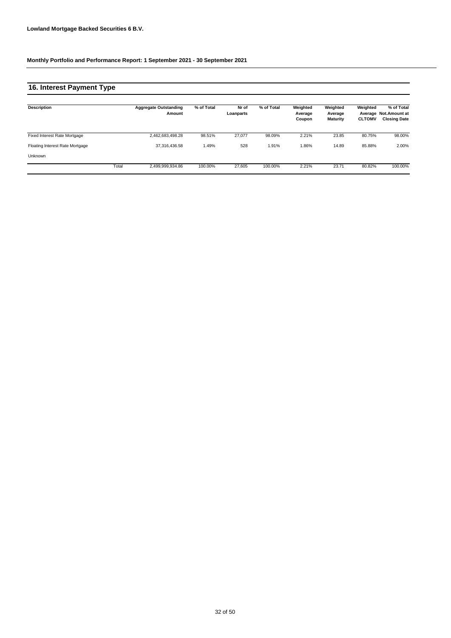# **16. Interest Payment Type**

| Description                     |       | <b>Aggregate Outstanding</b><br>Amount | % of Total | Nr of<br>Loanparts | % of Total | Weighted<br>Average<br>Coupon | Weighted<br>Average<br><b>Maturity</b> | Weighted<br><b>CLTOMV</b> | % of Total<br>Average Not.Amount at<br><b>Closing Date</b> |
|---------------------------------|-------|----------------------------------------|------------|--------------------|------------|-------------------------------|----------------------------------------|---------------------------|------------------------------------------------------------|
| Fixed Interest Rate Mortgage    |       | 2,462,683,498.28                       | 98.51%     | 27.077             | 98.09%     | 2.21%                         | 23.85                                  | 80.75%                    | 98.00%                                                     |
| Floating Interest Rate Mortgage |       | 37.316.436.58                          | 1.49%      | 528                | 1.91%      | 1.86%                         | 14.89                                  | 85.88%                    | 2.00%                                                      |
| Unknown                         |       |                                        |            |                    |            |                               |                                        |                           |                                                            |
|                                 | Total | 2,499,999,934.86                       | 100.00%    | 27.605             | 100.00%    | 2.21%                         | 23.71                                  | 80.82%                    | 100.00%                                                    |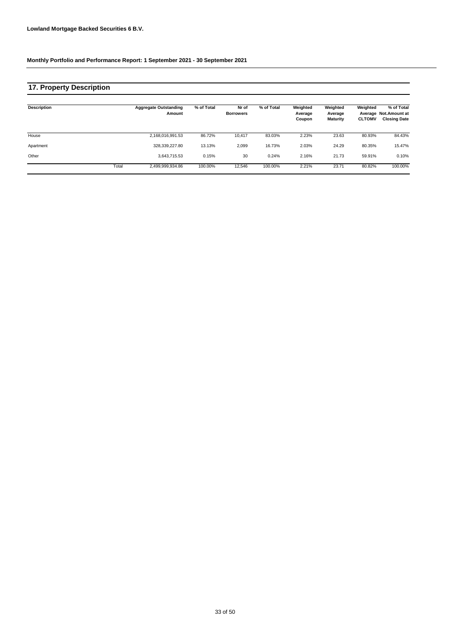# **17. Property Description**

| <b>Description</b> |       | <b>Aggregate Outstanding</b><br>Amount | % of Total | Nr of<br><b>Borrowers</b> | % of Total | Weighted<br>Average<br>Coupon | Weighted<br>Average<br><b>Maturity</b> | Weighted<br><b>CLTOMV</b> | % of Total<br>Average Not.Amount at<br><b>Closing Date</b> |
|--------------------|-------|----------------------------------------|------------|---------------------------|------------|-------------------------------|----------------------------------------|---------------------------|------------------------------------------------------------|
| House              |       | 2,168,016,991.53                       | 86.72%     | 10.417                    | 83.03%     | 2.23%                         | 23.63                                  | 80.93%                    | 84.43%                                                     |
| Apartment          |       | 328.339.227.80                         | 13.13%     | 2,099                     | 16.73%     | 2.03%                         | 24.29                                  | 80.35%                    | 15.47%                                                     |
| Other              |       | 3.643.715.53                           | 0.15%      | 30                        | 0.24%      | 2.16%                         | 21.73                                  | 59.91%                    | 0.10%                                                      |
|                    | Total | 2,499,999,934.86                       | 100.00%    | 12.546                    | 100.00%    | 2.21%                         | 23.71                                  | 80.82%                    | 100.00%                                                    |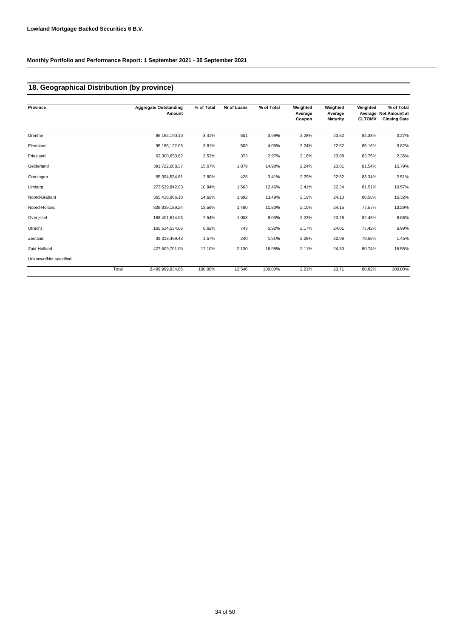# **18. Geographical Distribution (by province)**

| Province              |       | <b>Aggregate Outstanding</b><br>Amount | % of Total | Nr of Loans | % of Total | Weighted<br>Average | Weighted<br>Average | Weighted      | % of Total<br>Average Not. Amount at |
|-----------------------|-------|----------------------------------------|------------|-------------|------------|---------------------|---------------------|---------------|--------------------------------------|
|                       |       |                                        |            |             |            | Coupon              | <b>Maturity</b>     | <b>CLTOMV</b> | <b>Closing Date</b>                  |
| Drenthe               |       | 85,162,190.10                          | 3.41%      | 501         | 3.99%      | 2.28%               | 23.62               | 84.38%        | 3.27%                                |
| Flevoland             |       | 95, 185, 122.03                        | 3.81%      | 509         | 4.06%      | 2.24%               | 22.62               | 85.16%        | 3.82%                                |
| Friesland             |       | 63,300,653.62                          | 2.53%      | 373         | 2.97%      | 2.16%               | 23.98               | 83.75%        | 2.36%                                |
| Gelderland            |       | 391,722,088.37                         | 15.67%     | 1,879       | 14.98%     | 2.24%               | 23.61               | 81.54%        | 15.79%                               |
| Groningen             |       | 65,094,534.81                          | 2.60%      | 428         | 3.41%      | 2.29%               | 22.62               | 83.34%        | 2.51%                                |
| Limburg               |       | 273,539,842.03                         | 10.94%     | 1,563       | 12.46%     | 2.41%               | 22.34               | 81.51%        | 10.57%                               |
| Noord-Brabant         |       | 365,416,966.10                         | 14.62%     | 1,692       | 13.49%     | 2.19%               | 24.13               | 80.58%        | 15.32%                               |
| Noord-Holland         |       | 339,839,189.24                         | 13.59%     | 1,480       | 11.80%     | 2.10%               | 24.15               | 77.57%        | 13.29%                               |
| Overijssel            |       | 188,401,614.03                         | 7.54%      | 1,008       | 8.03%      | 2.23%               | 23.78               | 82.43%        | 8.08%                                |
| Utrecht               |       | 165,514,534.05                         | 6.62%      | 743         | 5.92%      | 2.17%               | 24.01               | 77.42%        | 6.99%                                |
| Zeeland               |       | 39,313,499.43                          | 1.57%      | 240         | 1.91%      | 2.28%               | 22.96               | 79.56%        | 1.45%                                |
| Zuid-Holland          |       | 427,509,701.05                         | 17.10%     | 2,130       | 16.98%     | 2.11%               | 24.30               | 80.74%        | 16.55%                               |
| Unknown/Not specified |       |                                        |            |             |            |                     |                     |               |                                      |
|                       | Total | 2,499,999,934.86                       | 100.00%    | 12,546      | 100.00%    | 2.21%               | 23.71               | 80.82%        | 100.00%                              |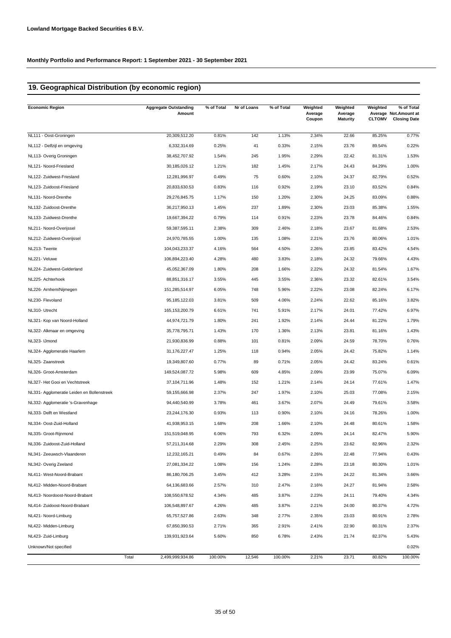# **19. Geographical Distribution (by economic region)**

| <b>Economic Region</b>                     | <b>Aggregate Outstanding</b><br>Amount | % of Total | Nr of Loans | % of Total | Weighted<br>Average<br>Coupon | Weighted<br>Average<br><b>Maturity</b> | Weighted<br><b>CLTOMV</b> | % of Total<br>Average Not.Amount at<br><b>Closing Date</b> |
|--------------------------------------------|----------------------------------------|------------|-------------|------------|-------------------------------|----------------------------------------|---------------------------|------------------------------------------------------------|
| NL111 - Oost-Groningen                     | 20,309,512.20                          | 0.81%      | 142         | 1.13%      | 2.34%                         | 22.66                                  | 85.25%                    | 0.77%                                                      |
| NL112 - Delfzijl en omgeving               | 6,332,314.69                           | 0.25%      | 41          | 0.33%      | 2.15%                         | 23.76                                  | 89.54%                    | 0.22%                                                      |
| NL113- Overig Groningen                    | 38,452,707.92                          | 1.54%      | 245         | 1.95%      | 2.29%                         | 22.42                                  | 81.31%                    | 1.53%                                                      |
| NL121- Noord-Friesland                     | 30, 185, 026. 12                       | 1.21%      | 182         | 1.45%      | 2.17%                         | 24.43                                  | 84.29%                    | 1.00%                                                      |
| NL122- Zuidwest-Friesland                  | 12,281,996.97                          | 0.49%      | 75          | 0.60%      | 2.10%                         | 24.37                                  | 82.79%                    | 0.52%                                                      |
| NL123- Zuidoost-Friesland                  | 20,833,630.53                          | 0.83%      | 116         | 0.92%      | 2.19%                         | 23.10                                  | 83.52%                    | 0.84%                                                      |
| NL131- Noord-Drenthe                       | 29,276,845.75                          | 1.17%      | 150         | 1.20%      | 2.30%                         | 24.25                                  | 83.09%                    | 0.88%                                                      |
| NL132- Zuidoost-Drenthe                    | 36,217,950.13                          | 1.45%      | 237         | 1.89%      | 2.30%                         | 23.03                                  | 85.38%                    | 1.55%                                                      |
| NL133- Zuidwest-Drenthe                    | 19,667,394.22                          | 0.79%      | 114         | 0.91%      | 2.23%                         | 23.78                                  | 84.46%                    | 0.84%                                                      |
| NL211- Noord-Overijssel                    | 59,387,595.11                          | 2.38%      | 309         | 2.46%      | 2.18%                         | 23.67                                  | 81.68%                    | 2.53%                                                      |
| NL212- Zuidwest-Overijssel                 | 24,970,785.55                          | 1.00%      | 135         | 1.08%      | 2.21%                         | 23.76                                  | 80.06%                    | 1.01%                                                      |
| NL213- Twente                              | 104,043,233.37                         | 4.16%      | 564         | 4.50%      | 2.26%                         | 23.85                                  | 83.42%                    | 4.54%                                                      |
| NL221- Veluwe                              | 106,894,223.40                         | 4.28%      | 480         | 3.83%      | 2.18%                         | 24.32                                  | 79.66%                    | 4.43%                                                      |
| NL224- Zuidwest-Gelderland                 | 45,052,367.09                          | 1.80%      | 208         | 1.66%      | 2.22%                         | 24.32                                  | 81.54%                    | 1.67%                                                      |
| NL225- Achterhoek                          | 88,851,316.17                          | 3.55%      | 445         | 3.55%      | 2.36%                         | 23.32                                  | 82.61%                    | 3.54%                                                      |
| NL226- Arnhem/Nijmegen                     | 151,285,514.97                         | 6.05%      | 748         | 5.96%      | 2.22%                         | 23.08                                  | 82.24%                    | 6.17%                                                      |
| NL230- Flevoland                           | 95, 185, 122.03                        | 3.81%      | 509         | 4.06%      | 2.24%                         | 22.62                                  | 85.16%                    | 3.82%                                                      |
| NL310- Utrecht                             | 165, 153, 200. 79                      | 6.61%      | 741         | 5.91%      | 2.17%                         | 24.01                                  | 77.42%                    | 6.97%                                                      |
| NL321- Kop van Noord-Holland               | 44,974,721.79                          | 1.80%      | 241         | 1.92%      | 2.14%                         | 24.44                                  | 81.22%                    | 1.79%                                                      |
| NL322- Alkmaar en omgeving                 | 35,778,795.71                          | 1.43%      | 170         | 1.36%      | 2.13%                         | 23.81                                  | 81.16%                    | 1.43%                                                      |
| NL323- IJmond                              | 21,930,836.99                          | 0.88%      | 101         | 0.81%      | 2.09%                         | 24.59                                  | 78.70%                    | 0.76%                                                      |
| NL324- Agglomeratie Haarlem                | 31, 176, 227. 47                       | 1.25%      | 118         | 0.94%      | 2.05%                         | 24.42                                  | 75.82%                    | 1.14%                                                      |
| NL325- Zaanstreek                          | 19,349,807.60                          | 0.77%      | 89          | 0.71%      | 2.05%                         | 24.42                                  | 83.24%                    | 0.61%                                                      |
| NL326- Groot-Amsterdam                     | 149,524,087.72                         | 5.98%      | 609         | 4.85%      | 2.09%                         | 23.99                                  | 75.07%                    | 6.09%                                                      |
| NL327- Het Gooi en Vechtstreek             | 37,104,711.96                          | 1.48%      | 152         | 1.21%      | 2.14%                         | 24.14                                  | 77.61%                    | 1.47%                                                      |
| NL331- Agglomeratie Leiden en Bollenstreek | 59,155,666.98                          | 2.37%      | 247         | 1.97%      | 2.10%                         | 25.03                                  | 77.08%                    | 2.15%                                                      |
| NL332- Agglomeratie 's-Gravenhage          | 94,440,540.99                          | 3.78%      | 461         | 3.67%      | 2.07%                         | 24.49                                  | 79.61%                    | 3.58%                                                      |
| NL333- Delft en Westland                   | 23,244,176.30                          | 0.93%      | 113         | 0.90%      | 2.10%                         | 24.16                                  | 78.26%                    | 1.00%                                                      |
| NL334- Oost-Zuid-Holland                   | 41,938,953.15                          | 1.68%      | 208         | 1.66%      | 2.10%                         | 24.48                                  | 80.61%                    | 1.58%                                                      |
| NL335- Groot-Rijnmond                      | 151,519,048.95                         | 6.06%      | 793         | 6.32%      | 2.09%                         | 24.14                                  | 82.47%                    | 5.90%                                                      |
| NL336- Zuidoost-Zuid-Holland               | 57,211,314.68                          | 2.29%      | 308         | 2.45%      | 2.25%                         | 23.62                                  | 82.96%                    | 2.32%                                                      |
| NL341- Zeeuwsch-Vlaanderen                 | 12,232,165.21                          | 0.49%      | 84          | 0.67%      | 2.26%                         | 22.48                                  | 77.94%                    | 0.43%                                                      |
| NL342- Overig Zeeland                      | 27,081,334.22                          | 1.08%      | 156         | 1.24%      | 2.28%                         | 23.18                                  | 80.30%                    | 1.01%                                                      |
| NL411- West-Noord-Brabant                  | 86,180,706.25                          | 3.45%      | 412         | 3.28%      | 2.15%                         | 24.22                                  | 81.34%                    | 3.66%                                                      |
| NL412- Midden-Noord-Brabant                | 64,136,683.66                          | 2.57%      | 310         | 2.47%      | 2.16%                         | 24.27                                  | 81.94%                    | 2.58%                                                      |
| NL413- Noordoost-Noord-Brabant             | 108,550,678.52                         | 4.34%      | 485         | 3.87%      | 2.23%                         | 24.11                                  | 79.40%                    | 4.34%                                                      |
| NL414- Zuidoost-Noord-Brabant              | 106,548,897.67                         | 4.26%      | 485         | 3.87%      | 2.21%                         | 24.00                                  | 80.37%                    | 4.72%                                                      |
| NL421- Noord-Limburg                       | 65,757,527.86                          | 2.63%      | 348         | 2.77%      | 2.35%                         | 23.03                                  | 80.91%                    | 2.78%                                                      |
| NL422- Midden-Limburg                      | 67,850,390.53                          | 2.71%      | 365         | 2.91%      | 2.41%                         | 22.90                                  | 80.31%                    | 2.37%                                                      |
| NL423- Zuid-Limburg                        | 139,931,923.64                         | 5.60%      | 850         | 6.78%      | 2.43%                         | 21.74                                  | 82.37%                    | 5.43%                                                      |
| Unknown/Not specified                      |                                        |            |             |            |                               |                                        |                           | 0.02%                                                      |
|                                            | Total<br>2,499,999,934.86              | 100.00%    | 12,546      | 100.00%    | 2.21%                         | 23.71                                  | 80.82%                    | 100.00%                                                    |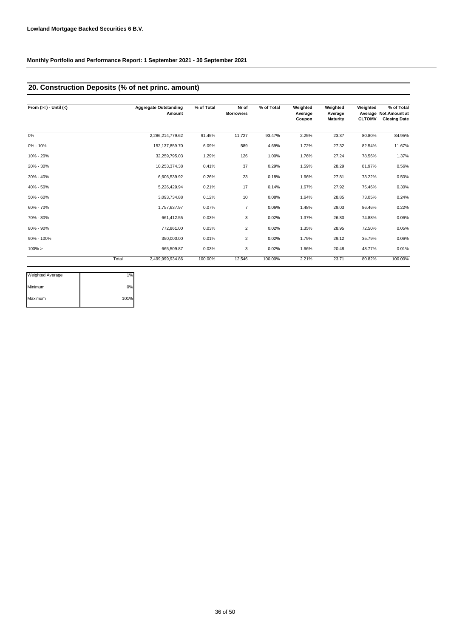# **20. Construction Deposits (% of net princ. amount)**

| From $(>=) -$ Until $(<)$ |       | <b>Aggregate Outstanding</b><br>Amount | % of Total | Nr of<br><b>Borrowers</b> | % of Total | Weighted<br>Average<br>Coupon | Weighted<br>Average<br><b>Maturity</b> | Weighted<br><b>CLTOMV</b> | % of Total<br>Average Not.Amount at<br><b>Closing Date</b> |
|---------------------------|-------|----------------------------------------|------------|---------------------------|------------|-------------------------------|----------------------------------------|---------------------------|------------------------------------------------------------|
| 0%                        |       | 2,286,214,779.62                       | 91.45%     | 11,727                    | 93.47%     | 2.25%                         | 23.37                                  | 80.80%                    | 84.95%                                                     |
| $0\% - 10\%$              |       | 152, 137, 859.70                       | 6.09%      | 589                       | 4.69%      | 1.72%                         | 27.32                                  | 82.54%                    | 11.67%                                                     |
| 10% - 20%                 |       | 32,259,795.03                          | 1.29%      | 126                       | 1.00%      | 1.76%                         | 27.24                                  | 78.56%                    | 1.37%                                                      |
| 20% - 30%                 |       | 10,253,374.38                          | 0.41%      | 37                        | 0.29%      | 1.59%                         | 28.29                                  | 81.97%                    | 0.56%                                                      |
| 30% - 40%                 |       | 6,606,539.92                           | 0.26%      | 23                        | 0.18%      | 1.66%                         | 27.81                                  | 73.22%                    | 0.50%                                                      |
| 40% - 50%                 |       | 5,226,429.94                           | 0.21%      | 17                        | 0.14%      | 1.67%                         | 27.92                                  | 75.46%                    | 0.30%                                                      |
| 50% - 60%                 |       | 3,093,734.88                           | 0.12%      | 10                        | 0.08%      | 1.64%                         | 28.85                                  | 73.05%                    | 0.24%                                                      |
| 60% - 70%                 |       | 1,757,637.97                           | 0.07%      | $\overline{7}$            | 0.06%      | 1.48%                         | 29.03                                  | 86.46%                    | 0.22%                                                      |
| 70% - 80%                 |       | 661,412.55                             | 0.03%      | 3                         | 0.02%      | 1.37%                         | 26.80                                  | 74.88%                    | 0.06%                                                      |
| 80% - 90%                 |       | 772,861.00                             | 0.03%      | $\overline{2}$            | 0.02%      | 1.35%                         | 28.95                                  | 72.50%                    | 0.05%                                                      |
| 90% - 100%                |       | 350,000.00                             | 0.01%      | $\overline{2}$            | 0.02%      | 1.79%                         | 29.12                                  | 35.79%                    | 0.06%                                                      |
| $100\% >$                 |       | 665,509.87                             | 0.03%      | 3                         | 0.02%      | 1.66%                         | 20.48                                  | 48.77%                    | 0.01%                                                      |
|                           | Total | 2,499,999,934.86                       | 100.00%    | 12,546                    | 100.00%    | 2.21%                         | 23.71                                  | 80.82%                    | 100.00%                                                    |

| <b>Weighted Average</b> | 1%   |
|-------------------------|------|
| Minimum                 | 0%   |
| Maximum                 | 101% |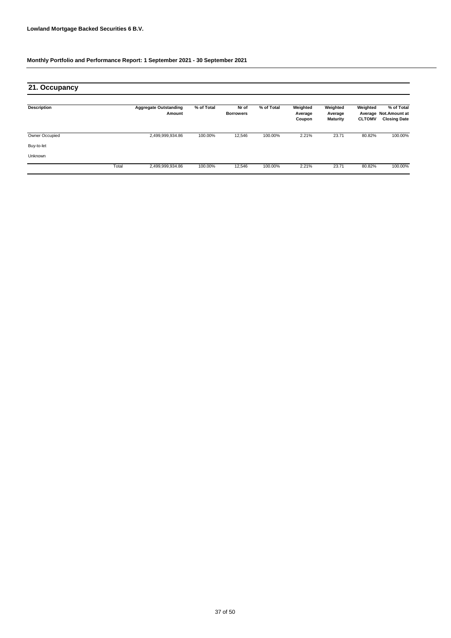| 21. Occupancy  |       |                                        |            |                           |            |                               |                                        |                                      |                                                           |
|----------------|-------|----------------------------------------|------------|---------------------------|------------|-------------------------------|----------------------------------------|--------------------------------------|-----------------------------------------------------------|
| Description    |       | <b>Aggregate Outstanding</b><br>Amount | % of Total | Nr of<br><b>Borrowers</b> | % of Total | Weighted<br>Average<br>Coupon | Weighted<br>Average<br><b>Maturity</b> | Weighted<br>Average<br><b>CLTOMV</b> | % of Total<br><b>Not.Amount at</b><br><b>Closing Date</b> |
| Owner Occupied |       | 2,499,999,934.86                       | 100.00%    | 12,546                    | 100.00%    | 2.21%                         | 23.71                                  | 80.82%                               | 100.00%                                                   |
| Buy-to-let     |       |                                        |            |                           |            |                               |                                        |                                      |                                                           |
| Unknown        |       |                                        |            |                           |            |                               |                                        |                                      |                                                           |
|                | Total | 2,499,999,934.86                       | 100.00%    | 12,546                    | 100.00%    | 2.21%                         | 23.71                                  | 80.82%                               | 100.00%                                                   |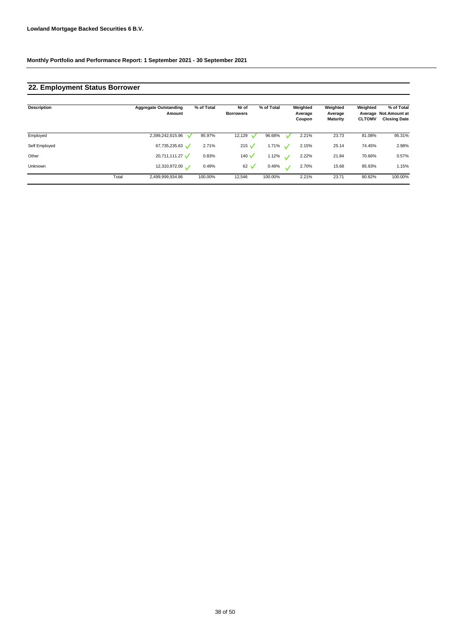# **22. Employment Status Borrower**

| <b>Description</b> |       | <b>Aggregate Outstanding</b><br>Amount | % of Total | Nr of<br><b>Borrowers</b> | % of Total       |              | Weighted<br>Average<br>Coupon | Weighted<br>Average<br><b>Maturity</b> | Weighted<br><b>CLTOMV</b> | % of Total<br>Average Not.Amount at<br><b>Closing Date</b> |
|--------------------|-------|----------------------------------------|------------|---------------------------|------------------|--------------|-------------------------------|----------------------------------------|---------------------------|------------------------------------------------------------|
| Employed           |       | 2,399,242,615.96                       | 95.97%     | 12,129                    | 96.68%           |              | 2.21%                         | 23.73                                  | 81.08%                    | 95.31%                                                     |
| Self Employed      |       | 67,735,235.63                          | 2.71%      | 215 $\sqrt$               | 1.71% $\sqrt{ }$ |              | 2.15%                         | 25.14                                  | 74.45%                    | 2.98%                                                      |
| Other              |       | 20,711,111.27                          | 0.83%      | 140 $\sqrt$               | 1.12% $\sqrt{ }$ |              | 2.22%                         | 21.84                                  | 70.66%                    | 0.57%                                                      |
| <b>Unknown</b>     |       | 12,310,972.00                          | 0.49%      | $62 \sqrt$                | 0.49%            | $\checkmark$ | 2.70%                         | 15.68                                  | 85.93%                    | 1.15%                                                      |
|                    | Total | 2,499,999,934.86                       | 100.00%    | 12,546                    | 100.00%          |              | 2.21%                         | 23.71                                  | 80.82%                    | 100.00%                                                    |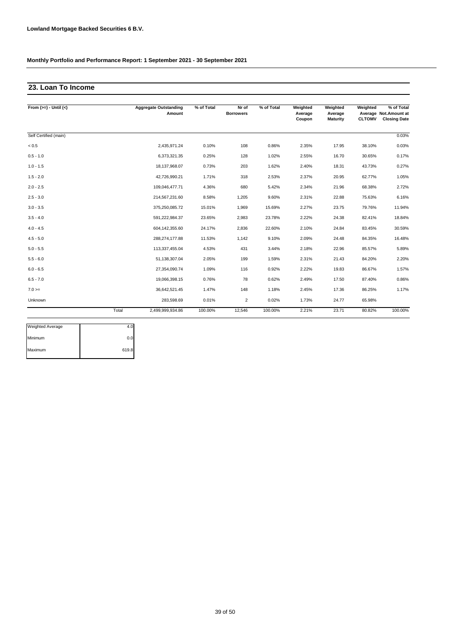# **23. Loan To Income**

| From $(>=) -$ Until $(<)$ |       | <b>Aggregate Outstanding</b><br>Amount | % of Total | Nr of<br><b>Borrowers</b> | % of Total | Weighted<br>Average<br>Coupon | Weighted<br>Average<br><b>Maturity</b> | Weighted<br><b>CLTOMV</b> | % of Total<br>Average Not.Amount at<br><b>Closing Date</b> |
|---------------------------|-------|----------------------------------------|------------|---------------------------|------------|-------------------------------|----------------------------------------|---------------------------|------------------------------------------------------------|
|                           |       |                                        |            |                           |            |                               |                                        |                           |                                                            |
| Self Certified (main)     |       |                                        |            |                           |            |                               |                                        |                           | 0.03%                                                      |
| $< 0.5$                   |       | 2,435,971.24                           | 0.10%      | 108                       | 0.86%      | 2.35%                         | 17.95                                  | 38.10%                    | 0.03%                                                      |
| $0.5 - 1.0$               |       | 6,373,321.35                           | 0.25%      | 128                       | 1.02%      | 2.55%                         | 16.70                                  | 30.65%                    | 0.17%                                                      |
| $1.0 - 1.5$               |       | 18,137,968.07                          | 0.73%      | 203                       | 1.62%      | 2.40%                         | 18.31                                  | 43.73%                    | 0.27%                                                      |
| $1.5 - 2.0$               |       | 42,726,990.21                          | 1.71%      | 318                       | 2.53%      | 2.37%                         | 20.95                                  | 62.77%                    | 1.05%                                                      |
| $2.0 - 2.5$               |       | 109,046,477.71                         | 4.36%      | 680                       | 5.42%      | 2.34%                         | 21.96                                  | 68.38%                    | 2.72%                                                      |
| $2.5 - 3.0$               |       | 214,567,231.60                         | 8.58%      | 1,205                     | 9.60%      | 2.31%                         | 22.88                                  | 75.63%                    | 6.16%                                                      |
| $3.0 - 3.5$               |       | 375,250,085.72                         | 15.01%     | 1,969                     | 15.69%     | 2.27%                         | 23.75                                  | 79.76%                    | 11.94%                                                     |
| $3.5 - 4.0$               |       | 591,222,984.37                         | 23.65%     | 2,983                     | 23.78%     | 2.22%                         | 24.38                                  | 82.41%                    | 18.84%                                                     |
| $4.0 - 4.5$               |       | 604,142,355.60                         | 24.17%     | 2,836                     | 22.60%     | 2.10%                         | 24.84                                  | 83.45%                    | 30.59%                                                     |
| $4.5 - 5.0$               |       | 288.274.177.88                         | 11.53%     | 1,142                     | 9.10%      | 2.09%                         | 24.48                                  | 84.35%                    | 16.48%                                                     |
| $5.0 - 5.5$               |       | 113,337,455.04                         | 4.53%      | 431                       | 3.44%      | 2.18%                         | 22.96                                  | 85.57%                    | 5.89%                                                      |
| $5.5 - 6.0$               |       | 51,138,307.04                          | 2.05%      | 199                       | 1.59%      | 2.31%                         | 21.43                                  | 84.20%                    | 2.20%                                                      |
| $6.0 - 6.5$               |       | 27,354,090.74                          | 1.09%      | 116                       | 0.92%      | 2.22%                         | 19.83                                  | 86.67%                    | 1.57%                                                      |
| $6.5 - 7.0$               |       | 19,066,398.15                          | 0.76%      | 78                        | 0.62%      | 2.49%                         | 17.50                                  | 87.40%                    | 0.86%                                                      |
| $7.0 =$                   |       | 36,642,521.45                          | 1.47%      | 148                       | 1.18%      | 2.45%                         | 17.36                                  | 86.25%                    | 1.17%                                                      |
| Unknown                   |       | 283,598.69                             | 0.01%      | $\overline{2}$            | 0.02%      | 1.73%                         | 24.77                                  | 65.98%                    |                                                            |
|                           | Total | 2,499,999,934.86                       | 100.00%    | 12,546                    | 100.00%    | 2.21%                         | 23.71                                  | 80.82%                    | 100.00%                                                    |

| <b>Weighted Average</b> | 4.0   |
|-------------------------|-------|
| Minimum                 | 0.0   |
| Maximum                 | 619.8 |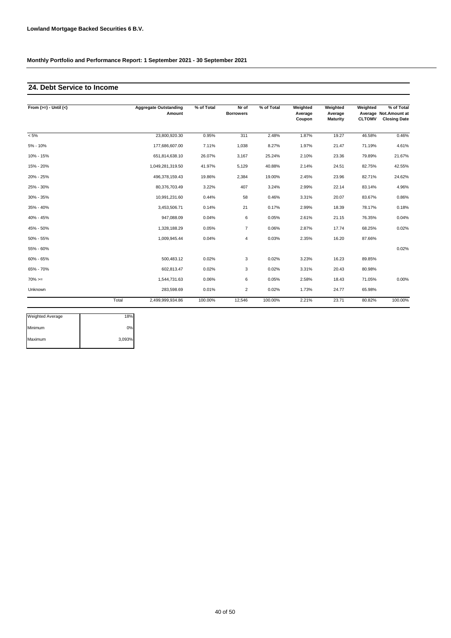# **24. Debt Service to Income**

| From $(>=) -$ Until $(<)$ |       | <b>Aggregate Outstanding</b><br>Amount | % of Total | Nr of<br><b>Borrowers</b> | % of Total | Weighted<br>Average<br>Coupon | Weighted<br>Average<br><b>Maturity</b> | Weighted<br><b>CLTOMV</b> | % of Total<br>Average Not.Amount at<br><b>Closing Date</b> |
|---------------------------|-------|----------------------------------------|------------|---------------------------|------------|-------------------------------|----------------------------------------|---------------------------|------------------------------------------------------------|
| $< 5\%$                   |       | 23,800,920.30                          | 0.95%      | 311                       | 2.48%      | 1.87%                         | 19.27                                  | 46.58%                    | 0.46%                                                      |
| 5% - 10%                  |       | 177,686,607.00                         | 7.11%      | 1,038                     | 8.27%      | 1.97%                         | 21.47                                  | 71.19%                    | 4.61%                                                      |
| 10% - 15%                 |       | 651,814,638.10                         | 26.07%     | 3,167                     | 25.24%     | 2.10%                         | 23.36                                  | 79.89%                    | 21.67%                                                     |
| 15% - 20%                 |       | 1,049,281,319.50                       | 41.97%     | 5,129                     | 40.88%     | 2.14%                         | 24.51                                  | 82.75%                    | 42.55%                                                     |
| 20% - 25%                 |       | 496,378,159.43                         | 19.86%     | 2,384                     | 19.00%     | 2.45%                         | 23.96                                  | 82.71%                    | 24.62%                                                     |
| 25% - 30%                 |       | 80,376,703.49                          | 3.22%      | 407                       | 3.24%      | 2.99%                         | 22.14                                  | 83.14%                    | 4.96%                                                      |
| 30% - 35%                 |       | 10,991,231.60                          | 0.44%      | 58                        | 0.46%      | 3.31%                         | 20.07                                  | 83.67%                    | 0.86%                                                      |
| 35% - 40%                 |       | 3,453,506.71                           | 0.14%      | 21                        | 0.17%      | 2.99%                         | 18.39                                  | 78.17%                    | 0.18%                                                      |
| 40% - 45%                 |       | 947,088.09                             | 0.04%      | 6                         | 0.05%      | 2.61%                         | 21.15                                  | 76.35%                    | 0.04%                                                      |
| 45% - 50%                 |       | 1,328,188.29                           | 0.05%      | $\overline{7}$            | 0.06%      | 2.87%                         | 17.74                                  | 68.25%                    | 0.02%                                                      |
| 50% - 55%                 |       | 1,009,945.44                           | 0.04%      | $\overline{4}$            | 0.03%      | 2.35%                         | 16.20                                  | 87.66%                    |                                                            |
| 55% - 60%                 |       |                                        |            |                           |            |                               |                                        |                           | 0.02%                                                      |
| 60% - 65%                 |       | 500.483.12                             | 0.02%      | 3                         | 0.02%      | 3.23%                         | 16.23                                  | 89.85%                    |                                                            |
| 65% - 70%                 |       | 602,813.47                             | 0.02%      | 3                         | 0.02%      | 3.31%                         | 20.43                                  | 80.98%                    |                                                            |
| $70\%>=$                  |       | 1,544,731.63                           | 0.06%      | 6                         | 0.05%      | 2.58%                         | 18.43                                  | 71.05%                    | 0.00%                                                      |
| Unknown                   |       | 283,598.69                             | 0.01%      | 2                         | 0.02%      | 1.73%                         | 24.77                                  | 65.98%                    |                                                            |
|                           | Total | 2,499,999,934.86                       | 100.00%    | 12,546                    | 100.00%    | 2.21%                         | 23.71                                  | 80.82%                    | 100.00%                                                    |

| <b>Weighted Average</b> | 18%    |
|-------------------------|--------|
| Minimum                 | 0%     |
| Maximum                 | 3,093% |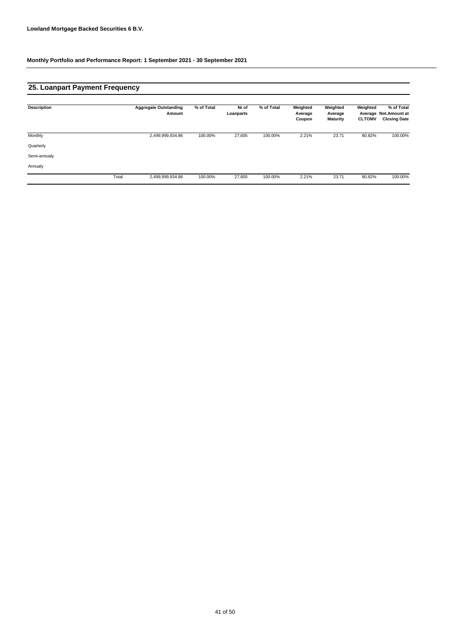# **25. Loanpart Payment Frequency**

| Description  |       | <b>Aggregate Outstanding</b><br>Amount | % of Total | Nr of<br>Loanparts | % of Total | Weighted<br>Average<br>Coupon | Weighted<br>Average<br><b>Maturity</b> | Weighted<br><b>CLTOMV</b> | % of Total<br>Average Not.Amount at<br><b>Closing Date</b> |
|--------------|-------|----------------------------------------|------------|--------------------|------------|-------------------------------|----------------------------------------|---------------------------|------------------------------------------------------------|
| Monthly      |       | 2,499,999,934.86                       | 100.00%    | 27,605             | 100.00%    | 2.21%                         | 23.71                                  | 80.82%                    | 100.00%                                                    |
| Quarterly    |       |                                        |            |                    |            |                               |                                        |                           |                                                            |
| Semi-annualy |       |                                        |            |                    |            |                               |                                        |                           |                                                            |
| Annualy      |       |                                        |            |                    |            |                               |                                        |                           |                                                            |
|              | Total | 2,499,999,934.86                       | 100.00%    | 27,605             | 100.00%    | 2.21%                         | 23.71                                  | 80.82%                    | 100.00%                                                    |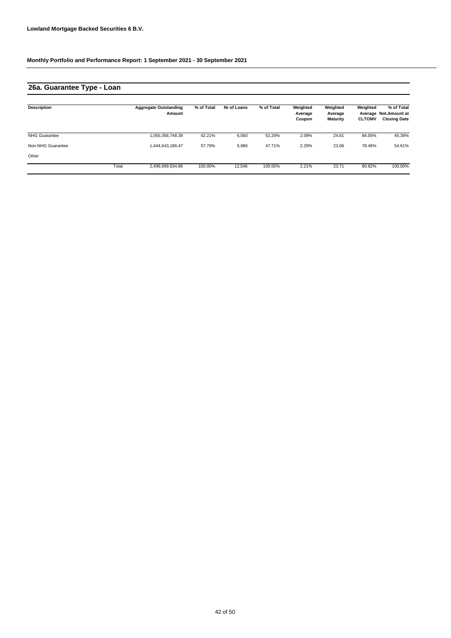# **26a. Guarantee Type - Loan**

| <b>Description</b>   |       | <b>Aggregate Outstanding</b><br>Amount | % of Total | Nr of Loans | % of Total | Weighted<br>Average<br>Coupon | Weighted<br>Average<br><b>Maturity</b> | Weighted<br><b>CLTOMV</b> | % of Total<br>Average Not.Amount at<br><b>Closing Date</b> |
|----------------------|-------|----------------------------------------|------------|-------------|------------|-------------------------------|----------------------------------------|---------------------------|------------------------------------------------------------|
| <b>NHG Guarantee</b> |       | 1,055,356,748.39                       | 42.21%     | 6,560       | 52.29%     | 2.09%                         | 24.61                                  | 84.05%                    | 45.39%                                                     |
| Non-NHG Guarantee    |       | 1.444.643.186.47                       | 57.79%     | 5,986       | 47.71%     | 2.29%                         | 23.06                                  | 78.46%                    | 54.61%                                                     |
| Other                |       |                                        |            |             |            |                               |                                        |                           |                                                            |
|                      | Total | 2,499,999,934.86                       | 100.00%    | 12.546      | 100.00%    | 2.21%                         | 23.71                                  | 80.82%                    | 100.00%                                                    |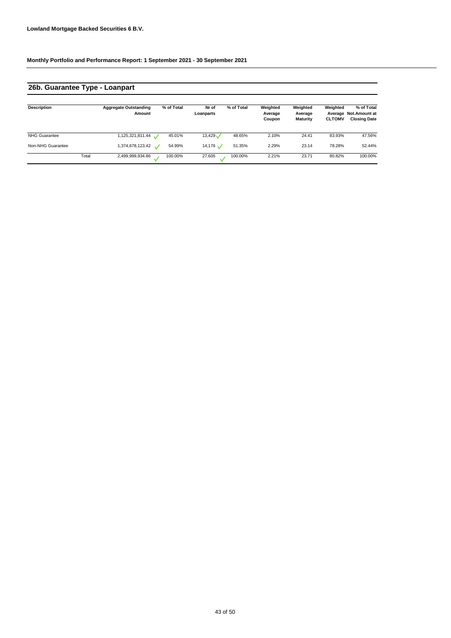# **26b. Guarantee Type - Loanpart**

| <b>Description</b>   |       | <b>Aggregate Outstanding</b><br>Amount | % of Total | Nr of<br>Loanparts  | % of Total | Weighted<br>Average<br>Coupon | Weighted<br>Average<br><b>Maturity</b> | Weighted<br><b>CLTOMV</b> | % of Total<br>Average Not.Amount at<br><b>Closing Date</b> |
|----------------------|-------|----------------------------------------|------------|---------------------|------------|-------------------------------|----------------------------------------|---------------------------|------------------------------------------------------------|
| <b>NHG Guarantee</b> |       | 1,125,321,811.44 \                     | 45.01%     | 13,429              | 48.65%     | 2.10%                         | 24.41                                  | 83.93%                    | 47.56%                                                     |
| Non-NHG Guarantee    |       | 1,374,678,123.42                       | 54.99%     | $14,176$ $\sqrt{ }$ | 51.35%     | 2.29%                         | 23.14                                  | 78.28%                    | 52.44%                                                     |
|                      | Total | 2,499,999,934.86                       | 100.00%    | 27,605              | 100.00%    | 2.21%                         | 23.71                                  | 80.82%                    | 100.00%                                                    |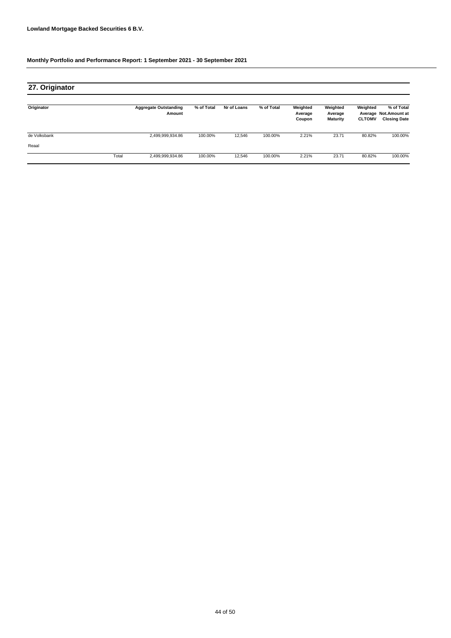| 27. Originator |       |                                        |            |             |            |                               |                                        |                           |                                                            |
|----------------|-------|----------------------------------------|------------|-------------|------------|-------------------------------|----------------------------------------|---------------------------|------------------------------------------------------------|
| Originator     |       | <b>Aggregate Outstanding</b><br>Amount | % of Total | Nr of Loans | % of Total | Weighted<br>Average<br>Coupon | Weighted<br>Average<br><b>Maturity</b> | Weighted<br><b>CLTOMV</b> | % of Total<br>Average Not.Amount at<br><b>Closing Date</b> |
| de Volksbank   |       | 2,499,999,934.86                       | 100.00%    | 12,546      | 100.00%    | 2.21%                         | 23.71                                  | 80.82%                    | 100.00%                                                    |
| Reaal          |       |                                        |            |             |            |                               |                                        |                           |                                                            |
|                | Total | 2,499,999,934.86                       | 100.00%    | 12,546      | 100.00%    | 2.21%                         | 23.71                                  | 80.82%                    | 100.00%                                                    |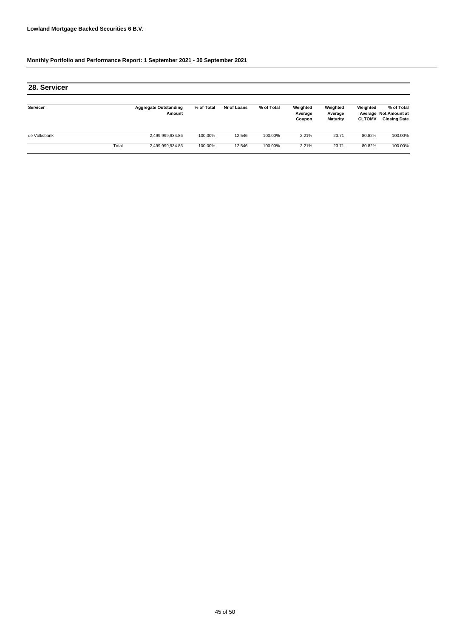| 28. Servicer |       |                                        |            |             |            |                               |                                        |                           |                                                             |
|--------------|-------|----------------------------------------|------------|-------------|------------|-------------------------------|----------------------------------------|---------------------------|-------------------------------------------------------------|
| Servicer     |       | <b>Aggregate Outstanding</b><br>Amount | % of Total | Nr of Loans | % of Total | Weighted<br>Average<br>Coupon | Weighted<br>Average<br><b>Maturity</b> | Weighted<br><b>CLTOMV</b> | % of Total<br>Average Not. Amount at<br><b>Closing Date</b> |
| de Volksbank |       | 2,499,999,934.86                       | 100.00%    | 12.546      | 100.00%    | 2.21%                         | 23.71                                  | 80.82%                    | 100.00%                                                     |
|              | Total | 2,499,999,934.86                       | 100.00%    | 12.546      | 100.00%    | 2.21%                         | 23.71                                  | 80.82%                    | 100.00%                                                     |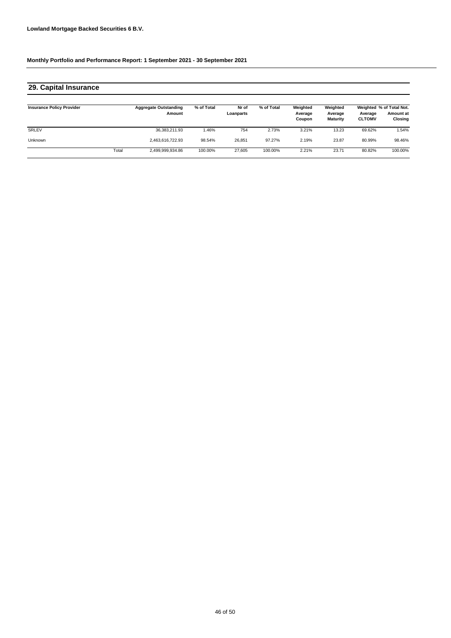#### **Insurance Policy Provider Aggregate Outstanding Amount % of Total Nr of Loanparts Weighted Average Coupon Weighted Average % of Total Not. Amount at CLTOMV Closing** SRLEV 36,383,211.93 1.46% 754 3.21% 69.62% 1.54% Unknown 2,463,616,722.93 98.54% 26,851 2.19% 80.99% 98.46% Total 2,499,999,934.86 100.00% 27,605 100.00% 2.21% 23.71 80.82% 100.00% **% of Total Weighted Average Maturity** 97.27% 23.87 2.73% 13.23 **29. Capital Insurance**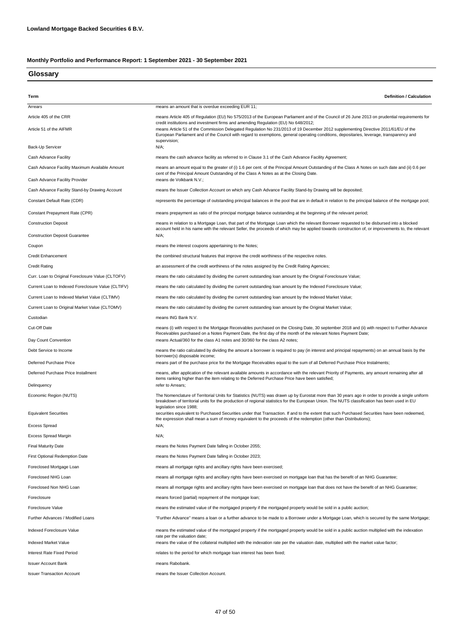| Glossary                                           |                                                                                                                                                                                                                                                                                                                             |
|----------------------------------------------------|-----------------------------------------------------------------------------------------------------------------------------------------------------------------------------------------------------------------------------------------------------------------------------------------------------------------------------|
|                                                    |                                                                                                                                                                                                                                                                                                                             |
| Term                                               | <b>Definition / Calculation</b>                                                                                                                                                                                                                                                                                             |
| Arrears                                            | means an amount that is overdue exceeding EUR 11;                                                                                                                                                                                                                                                                           |
| Article 405 of the CRR                             | means Article 405 of Regulation (EU) No 575/2013 of the European Parliament and of the Council of 26 June 2013 on prudential requirements for<br>credit institutions and investment firms and amending Regulation (EU) No 648/2012;                                                                                         |
| Article 51 of the AIFMR                            | means Article 51 of the Commission Delegated Regulation No 231/2013 of 19 December 2012 supplementing Directive 2011/61/EU of the<br>European Parliament and of the Council with regard to exemptions, general operating conditions, depositaries, leverage, transparency and<br>supervision;                               |
| Back-Up Servicer                                   | N/A;                                                                                                                                                                                                                                                                                                                        |
| Cash Advance Facility                              | means the cash advance facility as referred to in Clause 3.1 of the Cash Advance Facility Agreement;                                                                                                                                                                                                                        |
| Cash Advance Facility Maximum Available Amount     | means an amount equal to the greater of (i) 1.6 per cent. of the Principal Amount Outstanding of the Class A Notes on such date and (ii) 0.6 per<br>cent of the Principal Amount Outstanding of the Class A Notes as at the Closing Date.                                                                                   |
| Cash Advance Facility Provider                     | means de Volkbank N.V.;                                                                                                                                                                                                                                                                                                     |
| Cash Advance Facility Stand-by Drawing Account     | means the Issuer Collection Account on which any Cash Advance Facility Stand-by Drawing will be deposited;                                                                                                                                                                                                                  |
| Constant Default Rate (CDR)                        | represents the percentage of outstanding principal balances in the pool that are in default in relation to the principal balance of the mortgage pool;                                                                                                                                                                      |
| Constant Prepayment Rate (CPR)                     | means prepayment as ratio of the principal mortgage balance outstanding at the beginning of the relevant period;                                                                                                                                                                                                            |
| <b>Construction Deposit</b>                        | means in relation to a Mortgage Loan, that part of the Mortgage Loan which the relevant Borrower requested to be disbursed into a blocked<br>account held in his name with the relevant Seller, the proceeds of which may be applied towards construction of, or improvements to, the relevant                              |
| <b>Construction Deposit Guarantee</b>              | N/A;                                                                                                                                                                                                                                                                                                                        |
| Coupon                                             | means the interest coupons appertaining to the Notes;                                                                                                                                                                                                                                                                       |
| <b>Credit Enhancement</b>                          | the combined structural features that improve the credit worthiness of the respective notes.                                                                                                                                                                                                                                |
| <b>Credit Rating</b>                               | an assessment of the credit worthiness of the notes assigned by the Credit Rating Agencies;                                                                                                                                                                                                                                 |
| Curr. Loan to Original Foreclosure Value (CLTOFV)  | means the ratio calculated by dividing the current outstanding loan amount by the Orignal Foreclosure Value;                                                                                                                                                                                                                |
| Current Loan to Indexed Foreclosure Value (CLTIFV) | means the ratio calculated by dividing the current outstanding loan amount by the Indexed Foreclosure Value;                                                                                                                                                                                                                |
| Current Loan to Indexed Market Value (CLTIMV)      | means the ratio calculated by dividing the current outstanding loan amount by the Indexed Market Value;                                                                                                                                                                                                                     |
| Current Loan to Original Market Value (CLTOMV)     | means the ratio calculated by dividing the current outstanding loan amount by the Original Market Value;                                                                                                                                                                                                                    |
| Custodian                                          | means ING Bank N.V.                                                                                                                                                                                                                                                                                                         |
| Cut-Off Date                                       | means (i) with respect to the Mortgage Receivables purchased on the Closing Date, 30 september 2018 and (ii) with respect to Further Advance<br>Receivables purchased on a Notes Payment Date, the first day of the month of the relevant Notes Payment Date;                                                               |
| Day Count Convention                               | means Actual/360 for the class A1 notes and 30/360 for the class A2 notes;                                                                                                                                                                                                                                                  |
| Debt Service to Income                             | means the ratio calculated by dividing the amount a borrower is required to pay (in interest and principal repayments) on an annual basis by the<br>borrower(s) disposable income;                                                                                                                                          |
| Deferred Purchase Price                            | means part of the purchase price for the Mortgage Receivables equal to the sum of all Deferred Purchase Price Instalments;                                                                                                                                                                                                  |
| Deferred Purchase Price Installment                | means, after application of the relevant available amounts in accordance with the relevant Priority of Payments, any amount remaining after all<br>items ranking higher than the item relating to the Deferred Purchase Price have been satisfied;                                                                          |
| Delinquency                                        | refer to Arrears;                                                                                                                                                                                                                                                                                                           |
| Economic Region (NUTS)                             | The Nomenclature of Territorial Units for Statistics (NUTS) was drawn up by Eurostat more than 30 years ago in order to provide a single uniform<br>breakdown of territorial units for the production of regional statistics for the European Union. The NUTS classification has been used in EU<br>legislation since 1988; |
| <b>Equivalent Securities</b>                       | securities equivalent to Purchased Securities under that Transaction. If and to the extent that such Purchased Securities have been redeemed,<br>the expression shall mean a sum of money equivalent to the proceeds of the redemption (other than Distributions);                                                          |
| <b>Excess Spread</b>                               | $N/A$ ;                                                                                                                                                                                                                                                                                                                     |
| Excess Spread Margin                               | $N/A$ ;                                                                                                                                                                                                                                                                                                                     |
| <b>Final Maturity Date</b>                         | means the Notes Payment Date falling in October 2055;                                                                                                                                                                                                                                                                       |
| First Optional Redemption Date                     | means the Notes Payment Date falling in October 2023;                                                                                                                                                                                                                                                                       |
| Foreclosed Mortgage Loan                           | means all mortgage rights and ancillary rights have been exercised;                                                                                                                                                                                                                                                         |
| Foreclosed NHG Loan                                | means all mortgage rights and ancillary rights have been exercised on mortgage loan that has the benefit of an NHG Guarantee;                                                                                                                                                                                               |
| Foreclosed Non NHG Loan                            | means all mortgage rights and ancillary rights have been exercised on mortgage loan that does not have the benefit of an NHG Guarantee;                                                                                                                                                                                     |
| Foreclosure                                        | means forced (partial) repayment of the mortgage loan;                                                                                                                                                                                                                                                                      |
| Foreclosure Value                                  | means the estimated value of the mortgaged property if the mortgaged property would be sold in a public auction;                                                                                                                                                                                                            |
| Further Advances / Modified Loans                  | "Further Advance" means a loan or a further advance to be made to a Borrower under a Mortgage Loan, which is secured by the same Mortgage;                                                                                                                                                                                  |
| Indexed Foreclosure Value                          | means the estimated value of the mortgaged property if the mortgaged property would be sold in a public auction multiplied with the indexation<br>rate per the valuation date;                                                                                                                                              |
| <b>Indexed Market Value</b>                        | means the value of the collateral multiplied with the indexation rate per the valuation date, multiplied with the market value factor;                                                                                                                                                                                      |
| <b>Interest Rate Fixed Period</b>                  | relates to the period for which mortgage loan interest has been fixed;                                                                                                                                                                                                                                                      |
| <b>Issuer Account Bank</b>                         | means Rabobank.                                                                                                                                                                                                                                                                                                             |
| <b>Issuer Transaction Account</b>                  | means the Issuer Collection Account.                                                                                                                                                                                                                                                                                        |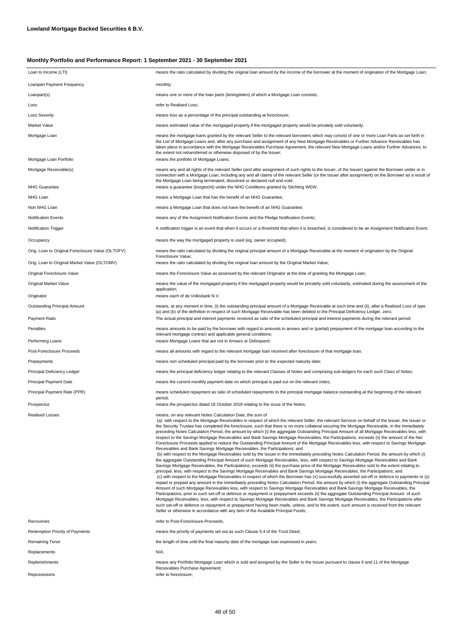| Loan to Income (LTI)                              | means the ratio calculated by dividing the original loan amount by the income of the borrower at the moment of origination of the Mortgage Loan;                                                                                                                                                                                                                                                                                                                                                                                                                                                                                                                                                                                                                                                                                                                                                                                                                                                                                                                                                                                                                                                                                                                                                                                                                                                                                                                                                                                                                                                                                                                                                                                                                                                                                                                                                                                                                                                                                                                                                                                                                                                                                                                                                                                                                                                                                                    |
|---------------------------------------------------|-----------------------------------------------------------------------------------------------------------------------------------------------------------------------------------------------------------------------------------------------------------------------------------------------------------------------------------------------------------------------------------------------------------------------------------------------------------------------------------------------------------------------------------------------------------------------------------------------------------------------------------------------------------------------------------------------------------------------------------------------------------------------------------------------------------------------------------------------------------------------------------------------------------------------------------------------------------------------------------------------------------------------------------------------------------------------------------------------------------------------------------------------------------------------------------------------------------------------------------------------------------------------------------------------------------------------------------------------------------------------------------------------------------------------------------------------------------------------------------------------------------------------------------------------------------------------------------------------------------------------------------------------------------------------------------------------------------------------------------------------------------------------------------------------------------------------------------------------------------------------------------------------------------------------------------------------------------------------------------------------------------------------------------------------------------------------------------------------------------------------------------------------------------------------------------------------------------------------------------------------------------------------------------------------------------------------------------------------------------------------------------------------------------------------------------------------------|
| Loanpart Payment Frequency                        | monthly;                                                                                                                                                                                                                                                                                                                                                                                                                                                                                                                                                                                                                                                                                                                                                                                                                                                                                                                                                                                                                                                                                                                                                                                                                                                                                                                                                                                                                                                                                                                                                                                                                                                                                                                                                                                                                                                                                                                                                                                                                                                                                                                                                                                                                                                                                                                                                                                                                                            |
|                                                   | means one or more of the loan parts (leningdelen) of which a Mortgage Loan consists;                                                                                                                                                                                                                                                                                                                                                                                                                                                                                                                                                                                                                                                                                                                                                                                                                                                                                                                                                                                                                                                                                                                                                                                                                                                                                                                                                                                                                                                                                                                                                                                                                                                                                                                                                                                                                                                                                                                                                                                                                                                                                                                                                                                                                                                                                                                                                                |
| Loanpart(s)<br>Loss                               | refer to Realised Loss;                                                                                                                                                                                                                                                                                                                                                                                                                                                                                                                                                                                                                                                                                                                                                                                                                                                                                                                                                                                                                                                                                                                                                                                                                                                                                                                                                                                                                                                                                                                                                                                                                                                                                                                                                                                                                                                                                                                                                                                                                                                                                                                                                                                                                                                                                                                                                                                                                             |
| Loss Severity                                     | means loss as a percentage of the principal outstanding at foreclosure;                                                                                                                                                                                                                                                                                                                                                                                                                                                                                                                                                                                                                                                                                                                                                                                                                                                                                                                                                                                                                                                                                                                                                                                                                                                                                                                                                                                                                                                                                                                                                                                                                                                                                                                                                                                                                                                                                                                                                                                                                                                                                                                                                                                                                                                                                                                                                                             |
| Market Value                                      | means estimated value of the mortgaged property if the mortgaged property would be privately sold voluntarily;                                                                                                                                                                                                                                                                                                                                                                                                                                                                                                                                                                                                                                                                                                                                                                                                                                                                                                                                                                                                                                                                                                                                                                                                                                                                                                                                                                                                                                                                                                                                                                                                                                                                                                                                                                                                                                                                                                                                                                                                                                                                                                                                                                                                                                                                                                                                      |
|                                                   |                                                                                                                                                                                                                                                                                                                                                                                                                                                                                                                                                                                                                                                                                                                                                                                                                                                                                                                                                                                                                                                                                                                                                                                                                                                                                                                                                                                                                                                                                                                                                                                                                                                                                                                                                                                                                                                                                                                                                                                                                                                                                                                                                                                                                                                                                                                                                                                                                                                     |
| Mortgage Loan                                     | means the mortgage loans granted by the relevant Seller to the relevant borrowers which may consist of one or more Loan Parts as set forth in<br>the List of Mortgage Loans and, after any purchase and assignment of any New Mortgage Receivables or Further Advance Receivables has<br>taken place in accordance with the Mortgage Receivables Purchase Agreement, the relevant New Mortgage Loans and/or Further Advances, to<br>the extent not retransferred or otherwise disposed of by the Issuer;                                                                                                                                                                                                                                                                                                                                                                                                                                                                                                                                                                                                                                                                                                                                                                                                                                                                                                                                                                                                                                                                                                                                                                                                                                                                                                                                                                                                                                                                                                                                                                                                                                                                                                                                                                                                                                                                                                                                            |
| Mortgage Loan Portfolio                           | means the portfolio of Mortgage Loans;                                                                                                                                                                                                                                                                                                                                                                                                                                                                                                                                                                                                                                                                                                                                                                                                                                                                                                                                                                                                                                                                                                                                                                                                                                                                                                                                                                                                                                                                                                                                                                                                                                                                                                                                                                                                                                                                                                                                                                                                                                                                                                                                                                                                                                                                                                                                                                                                              |
| Mortgage Receivable(s)                            | means any and all rights of the relevant Seller (and after assignment of such rights to the Issuer, of the Issuer) against the Borrower under or in<br>connection with a Mortgage Loan, including any and all claims of the relevant Seller (or the Issuer after assignment) on the Borrower as a result of<br>the Mortgage Loan being terminated, dissolved or declared null and void;                                                                                                                                                                                                                                                                                                                                                                                                                                                                                                                                                                                                                                                                                                                                                                                                                                                                                                                                                                                                                                                                                                                                                                                                                                                                                                                                                                                                                                                                                                                                                                                                                                                                                                                                                                                                                                                                                                                                                                                                                                                             |
| NHG Guarantee                                     | means a guarantee (borgtocht) under the NHG Conditions granted by Stichting WEW;                                                                                                                                                                                                                                                                                                                                                                                                                                                                                                                                                                                                                                                                                                                                                                                                                                                                                                                                                                                                                                                                                                                                                                                                                                                                                                                                                                                                                                                                                                                                                                                                                                                                                                                                                                                                                                                                                                                                                                                                                                                                                                                                                                                                                                                                                                                                                                    |
| NHG Loan                                          | means a Mortgage Loan that has the benefit of an NHG Guarantee;                                                                                                                                                                                                                                                                                                                                                                                                                                                                                                                                                                                                                                                                                                                                                                                                                                                                                                                                                                                                                                                                                                                                                                                                                                                                                                                                                                                                                                                                                                                                                                                                                                                                                                                                                                                                                                                                                                                                                                                                                                                                                                                                                                                                                                                                                                                                                                                     |
| Non NHG Loan                                      | means a Mortgage Loan that does not have the benefit of an NHG Guarantee;                                                                                                                                                                                                                                                                                                                                                                                                                                                                                                                                                                                                                                                                                                                                                                                                                                                                                                                                                                                                                                                                                                                                                                                                                                                                                                                                                                                                                                                                                                                                                                                                                                                                                                                                                                                                                                                                                                                                                                                                                                                                                                                                                                                                                                                                                                                                                                           |
| Notification Events                               | means any of the Assignment Notification Events and the Pledge Notification Events;                                                                                                                                                                                                                                                                                                                                                                                                                                                                                                                                                                                                                                                                                                                                                                                                                                                                                                                                                                                                                                                                                                                                                                                                                                                                                                                                                                                                                                                                                                                                                                                                                                                                                                                                                                                                                                                                                                                                                                                                                                                                                                                                                                                                                                                                                                                                                                 |
| Notification Trigger                              | A notification trigger is an event that when it occurs or a threshold that when it is breached, is considered to be an Assignment Notification Event;                                                                                                                                                                                                                                                                                                                                                                                                                                                                                                                                                                                                                                                                                                                                                                                                                                                                                                                                                                                                                                                                                                                                                                                                                                                                                                                                                                                                                                                                                                                                                                                                                                                                                                                                                                                                                                                                                                                                                                                                                                                                                                                                                                                                                                                                                               |
| Occupancy                                         | means the way the mortgaged property is used (eg. owner occupied);                                                                                                                                                                                                                                                                                                                                                                                                                                                                                                                                                                                                                                                                                                                                                                                                                                                                                                                                                                                                                                                                                                                                                                                                                                                                                                                                                                                                                                                                                                                                                                                                                                                                                                                                                                                                                                                                                                                                                                                                                                                                                                                                                                                                                                                                                                                                                                                  |
| Orig. Loan to Original Foreclosure Value (OLTOFV) | means the ratio calculated by dividing the original principal amount of a Mortgage Receivable at the moment of origination by the Original<br>Foreclosure Value;                                                                                                                                                                                                                                                                                                                                                                                                                                                                                                                                                                                                                                                                                                                                                                                                                                                                                                                                                                                                                                                                                                                                                                                                                                                                                                                                                                                                                                                                                                                                                                                                                                                                                                                                                                                                                                                                                                                                                                                                                                                                                                                                                                                                                                                                                    |
| Orig. Loan to Original Market Value (OLTOMV)      | means the ratio calculated by dividing the original loan amount by the Original Market Value;                                                                                                                                                                                                                                                                                                                                                                                                                                                                                                                                                                                                                                                                                                                                                                                                                                                                                                                                                                                                                                                                                                                                                                                                                                                                                                                                                                                                                                                                                                                                                                                                                                                                                                                                                                                                                                                                                                                                                                                                                                                                                                                                                                                                                                                                                                                                                       |
| Original Foreclosure Value                        | means the Foreclosure Value as assessed by the relevant Originator at the time of granting the Mortgage Loan;                                                                                                                                                                                                                                                                                                                                                                                                                                                                                                                                                                                                                                                                                                                                                                                                                                                                                                                                                                                                                                                                                                                                                                                                                                                                                                                                                                                                                                                                                                                                                                                                                                                                                                                                                                                                                                                                                                                                                                                                                                                                                                                                                                                                                                                                                                                                       |
| Original Market Value                             | means the value of the mortgaged property if the mortgaged property would be privately sold voluntarily, estimated during the assessment of the<br>application;                                                                                                                                                                                                                                                                                                                                                                                                                                                                                                                                                                                                                                                                                                                                                                                                                                                                                                                                                                                                                                                                                                                                                                                                                                                                                                                                                                                                                                                                                                                                                                                                                                                                                                                                                                                                                                                                                                                                                                                                                                                                                                                                                                                                                                                                                     |
| Originator                                        | means each of de Volksbank N.V.                                                                                                                                                                                                                                                                                                                                                                                                                                                                                                                                                                                                                                                                                                                                                                                                                                                                                                                                                                                                                                                                                                                                                                                                                                                                                                                                                                                                                                                                                                                                                                                                                                                                                                                                                                                                                                                                                                                                                                                                                                                                                                                                                                                                                                                                                                                                                                                                                     |
| Outstanding Principal Amount                      | means, at any moment in time, (i) the outstanding principal amount of a Mortgage Receivable at such time and (ii), after a Realised Loss of type<br>(a) and (b) of the definition in respect of such Mortgage Receivable has been debited to the Principal Deficiency Ledger, zero;                                                                                                                                                                                                                                                                                                                                                                                                                                                                                                                                                                                                                                                                                                                                                                                                                                                                                                                                                                                                                                                                                                                                                                                                                                                                                                                                                                                                                                                                                                                                                                                                                                                                                                                                                                                                                                                                                                                                                                                                                                                                                                                                                                 |
| Payment Ratio                                     | The actual principal and interest payments received as ratio of the scheduled principal and interest payments during the relevant period;                                                                                                                                                                                                                                                                                                                                                                                                                                                                                                                                                                                                                                                                                                                                                                                                                                                                                                                                                                                                                                                                                                                                                                                                                                                                                                                                                                                                                                                                                                                                                                                                                                                                                                                                                                                                                                                                                                                                                                                                                                                                                                                                                                                                                                                                                                           |
| Penalties                                         | means amounts to be paid by the borrower with regard to amounts in arrears and or (partial) prepayment of the mortgage loan according to the<br>relevant mortgage contract and applicable general conditions;                                                                                                                                                                                                                                                                                                                                                                                                                                                                                                                                                                                                                                                                                                                                                                                                                                                                                                                                                                                                                                                                                                                                                                                                                                                                                                                                                                                                                                                                                                                                                                                                                                                                                                                                                                                                                                                                                                                                                                                                                                                                                                                                                                                                                                       |
| Performing Loans                                  | means Mortgage Loans that are not in Arrears or Delinquent;                                                                                                                                                                                                                                                                                                                                                                                                                                                                                                                                                                                                                                                                                                                                                                                                                                                                                                                                                                                                                                                                                                                                                                                                                                                                                                                                                                                                                                                                                                                                                                                                                                                                                                                                                                                                                                                                                                                                                                                                                                                                                                                                                                                                                                                                                                                                                                                         |
| Post-Foreclosure Proceeds                         | means all amounts with regard to the relevant mortgage loan received after foreclosure of that mortgage loan;                                                                                                                                                                                                                                                                                                                                                                                                                                                                                                                                                                                                                                                                                                                                                                                                                                                                                                                                                                                                                                                                                                                                                                                                                                                                                                                                                                                                                                                                                                                                                                                                                                                                                                                                                                                                                                                                                                                                                                                                                                                                                                                                                                                                                                                                                                                                       |
| Prepayments                                       | means non scheduled principal paid by the borrower prior to the expected maturity date;                                                                                                                                                                                                                                                                                                                                                                                                                                                                                                                                                                                                                                                                                                                                                                                                                                                                                                                                                                                                                                                                                                                                                                                                                                                                                                                                                                                                                                                                                                                                                                                                                                                                                                                                                                                                                                                                                                                                                                                                                                                                                                                                                                                                                                                                                                                                                             |
| Principal Deficiency Ledger                       | means the principal deficiency ledger relating to the relevant Classes of Notes and comprising sub-ledgers for each such Class of Notes;                                                                                                                                                                                                                                                                                                                                                                                                                                                                                                                                                                                                                                                                                                                                                                                                                                                                                                                                                                                                                                                                                                                                                                                                                                                                                                                                                                                                                                                                                                                                                                                                                                                                                                                                                                                                                                                                                                                                                                                                                                                                                                                                                                                                                                                                                                            |
| Principal Payment Date                            | means the current monthly payment date on which principal is paid out on the relevant notes;                                                                                                                                                                                                                                                                                                                                                                                                                                                                                                                                                                                                                                                                                                                                                                                                                                                                                                                                                                                                                                                                                                                                                                                                                                                                                                                                                                                                                                                                                                                                                                                                                                                                                                                                                                                                                                                                                                                                                                                                                                                                                                                                                                                                                                                                                                                                                        |
| Principal Payment Rate (PPR)                      | means scheduled repayment as ratio of scheduled repayments to the principal mortgage balance outstanding at the beginning of the relevant<br>period;                                                                                                                                                                                                                                                                                                                                                                                                                                                                                                                                                                                                                                                                                                                                                                                                                                                                                                                                                                                                                                                                                                                                                                                                                                                                                                                                                                                                                                                                                                                                                                                                                                                                                                                                                                                                                                                                                                                                                                                                                                                                                                                                                                                                                                                                                                |
| Prospectus                                        | means the prospectus dated 18 October 2018 relating to the issue of the Notes;                                                                                                                                                                                                                                                                                                                                                                                                                                                                                                                                                                                                                                                                                                                                                                                                                                                                                                                                                                                                                                                                                                                                                                                                                                                                                                                                                                                                                                                                                                                                                                                                                                                                                                                                                                                                                                                                                                                                                                                                                                                                                                                                                                                                                                                                                                                                                                      |
| <b>Realised Losses</b>                            | means, on any relevant Notes Calculation Date, the sum of<br>(a) with respect to the Mortgage Receivables in respect of which the relevant Seller, the relevant Servicer on behalf of the Issuer, the Issuer or<br>the Security Trustee has completed the foreclosure, such that there is no more collateral securing the Mortgage Receivable, in the immediately<br>preceding Notes Calculation Period, the amount by which (i) the aggregate Outstanding Principal Amount of all Mortgage Receivables less, with<br>respect to the Savings Mortgage Receivables and Bank Savings Mortgage Receivables, the Participations, exceeds (ii) the amount of the Net<br>Foreclosure Proceeds applied to reduce the Outstanding Principal Amount of the Mortgage Receivables less, with respect to Savings Mortgage<br>Receivables and Bank Savings Mortgage Receivables, the Participations; and<br>(b) with respect to the Mortgage Receivables sold by the Issuer in the immediately preceding Notes Calculation Period, the amount by which (i)<br>the aggregate Outstanding Principal Amount of such Mortgage Receivables, less, with respect to Savings Mortgage Receivables and Bank<br>Savings Mortgage Receivables, the Participations, exceeds (ii) the purchase price of the Mortgage Receivables sold to the extent relating to<br>principal, less, with respect to the Savings Mortgage Receivables and Bank Savings Mortgage Receivables, the Participations; and<br>(c) with respect to the Mortgage Receivables in respect of which the Borrower has (x) successfully asserted set-off or defence to payments or (y)<br>repaid or prepaid any amount in the immediately preceding Notes Calculation Period, the amount by which (i) the aggregate Outstanding Principal<br>Amount of such Mortgage Receivables less, with respect to Savings Mortgage Receivables and Bank Savings Mortgage Receivables, the<br>Participations, prior to such set-off or defence or repayment or prepayment exceeds (ii) the aggregate Outstanding Principal Amount of such<br>Mortgage Receivables, less, with respect to Savings Mortgage Receivables and Bank Savings Mortgage Receivables, the Participations after<br>such set-off or defence or repayment or prepayment having been made, unless, and to the extent, such amount is received from the relevant<br>Seller or otherwise in accordance with any item of the Available Principal Funds; |
| Recoveries                                        | refer to Post-Foreclosure-Proceeds;                                                                                                                                                                                                                                                                                                                                                                                                                                                                                                                                                                                                                                                                                                                                                                                                                                                                                                                                                                                                                                                                                                                                                                                                                                                                                                                                                                                                                                                                                                                                                                                                                                                                                                                                                                                                                                                                                                                                                                                                                                                                                                                                                                                                                                                                                                                                                                                                                 |
| Redemption Priority of Payments                   | means the priority of payments set out as such Clause 5.4 of the Trust Deed;                                                                                                                                                                                                                                                                                                                                                                                                                                                                                                                                                                                                                                                                                                                                                                                                                                                                                                                                                                                                                                                                                                                                                                                                                                                                                                                                                                                                                                                                                                                                                                                                                                                                                                                                                                                                                                                                                                                                                                                                                                                                                                                                                                                                                                                                                                                                                                        |
| Remaining Tenor                                   | the length of time until the final maturity date of the mortgage loan expressed in years;                                                                                                                                                                                                                                                                                                                                                                                                                                                                                                                                                                                                                                                                                                                                                                                                                                                                                                                                                                                                                                                                                                                                                                                                                                                                                                                                                                                                                                                                                                                                                                                                                                                                                                                                                                                                                                                                                                                                                                                                                                                                                                                                                                                                                                                                                                                                                           |
| Replacements                                      | N/A;                                                                                                                                                                                                                                                                                                                                                                                                                                                                                                                                                                                                                                                                                                                                                                                                                                                                                                                                                                                                                                                                                                                                                                                                                                                                                                                                                                                                                                                                                                                                                                                                                                                                                                                                                                                                                                                                                                                                                                                                                                                                                                                                                                                                                                                                                                                                                                                                                                                |
| Replenishments                                    | means any Portfolio Mortgage Loan which is sold and assigned by the Seller to the Issuer pursuant to clause 6 and 11 of the Mortgage<br>Receivables Purchase Agreement;                                                                                                                                                                                                                                                                                                                                                                                                                                                                                                                                                                                                                                                                                                                                                                                                                                                                                                                                                                                                                                                                                                                                                                                                                                                                                                                                                                                                                                                                                                                                                                                                                                                                                                                                                                                                                                                                                                                                                                                                                                                                                                                                                                                                                                                                             |
| Repossesions                                      | refer to foreclosure;                                                                                                                                                                                                                                                                                                                                                                                                                                                                                                                                                                                                                                                                                                                                                                                                                                                                                                                                                                                                                                                                                                                                                                                                                                                                                                                                                                                                                                                                                                                                                                                                                                                                                                                                                                                                                                                                                                                                                                                                                                                                                                                                                                                                                                                                                                                                                                                                                               |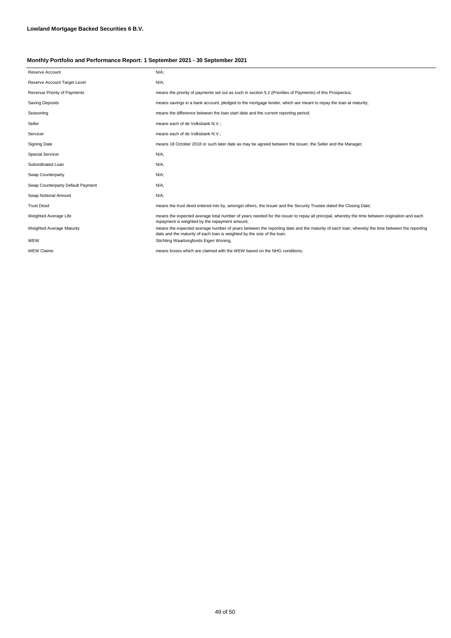| Reserve Account                   | $N/A$ ;                                                                                                                                                                                                                |
|-----------------------------------|------------------------------------------------------------------------------------------------------------------------------------------------------------------------------------------------------------------------|
| Reserve Account Target Level      | $N/A$ ;                                                                                                                                                                                                                |
| Revenue Priority of Payments      | means the priority of payments set out as such in section 5.2 (Priorities of Payments) of this Prospectus;                                                                                                             |
| <b>Saving Deposits</b>            | means savings in a bank account, pledged to the mortgage lender, which are meant to repay the loan at maturity;                                                                                                        |
| Seasoning                         | means the difference between the loan start date and the current reporting period;                                                                                                                                     |
| Seller                            | means each of de Volksbank N.V.;                                                                                                                                                                                       |
| Servicer                          | means each of de Volksbank N.V.;                                                                                                                                                                                       |
| <b>Signing Date</b>               | means 18 October 2018 or such later date as may be agreed between the Issuer, the Seller and the Manager;                                                                                                              |
| <b>Special Servicer</b>           | $N/A$ ;                                                                                                                                                                                                                |
| Subordinated Loan                 | $N/A$ ;                                                                                                                                                                                                                |
| Swap Counterparty                 | $N/A$ ;                                                                                                                                                                                                                |
| Swap Counterparty Default Payment | $N/A$ ;                                                                                                                                                                                                                |
| Swap Notional Amount              | $N/A$ ;                                                                                                                                                                                                                |
| <b>Trust Deed</b>                 | means the trust deed entered into by, amongst others, the Issuer and the Security Trustee dated the Closing Date;                                                                                                      |
| Weighted Average Life             | means the expected average total number of years needed for the issuer to repay all principal, whereby the time between origination and each<br>repayment is weighted by the repayment amount;                         |
| Weighted Average Maturity         | means the expected average number of years between the reporting date and the maturity of each loan, whereby the time between the reporting<br>date and the maturity of each loan is weighted by the size of the loan; |
| WEW                               | Stichting Waarborgfonds Eigen Woning;                                                                                                                                                                                  |
| <b>WEW Claims</b>                 | means losses which are claimed with the WEW based on the NHG conditions:                                                                                                                                               |